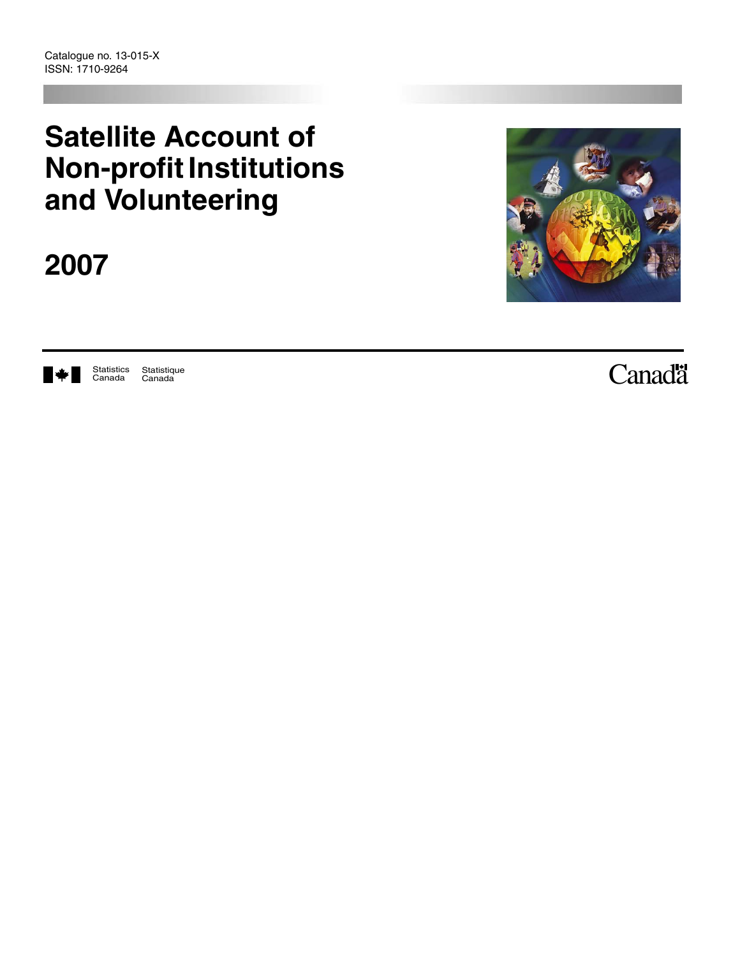# **Satellite Account of Non-profit Institutions and Volunteering**

# **2007**





Statistics Canada Statistique<br>Canada Canad<sup>t</sup>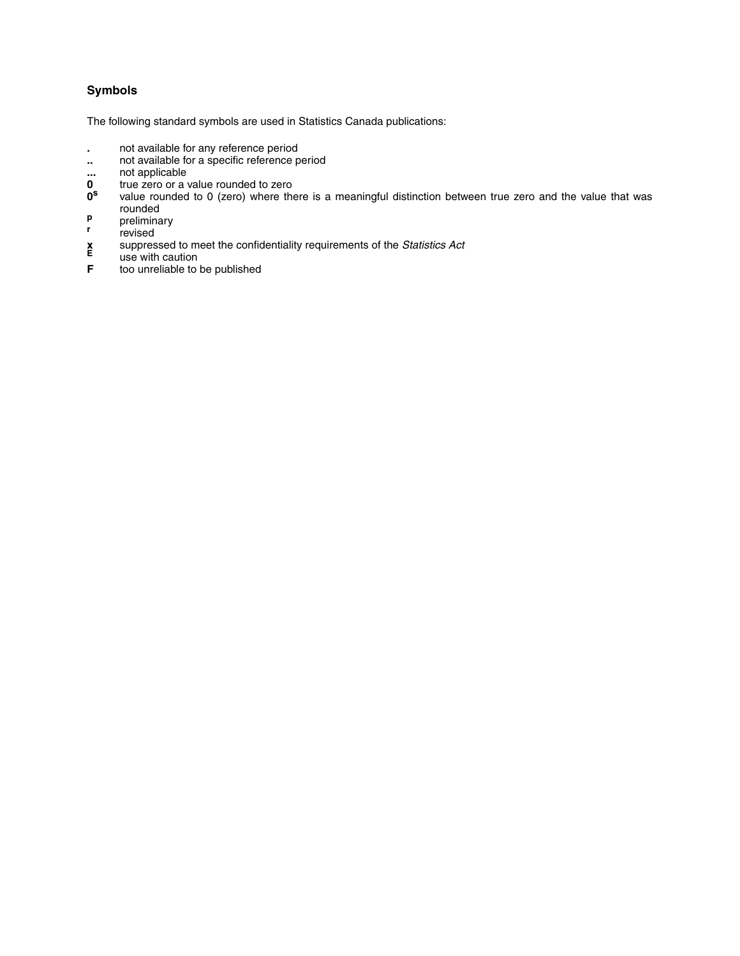# **Symbols**

The following standard symbols are used in Statistics Canada publications:

- **.** not available for any reference period
- **..** not available for a specific reference period
- **...** not applicable<br>**0** true zero or a
- **0** true zero or a value rounded to zero<br>**0<sup>s</sup>** value rounded to 0 (zero) where the
- value rounded to 0 (zero) where there is a meaningful distinction between true zero and the value that was rounded
- 
- **p** preliminary<br>**r** revised
- **x** suppressed to meet the confidentiality requirements of the *Statistics Act*
- **E** use with caution<br>**F** too unreliable to
- **F** too unreliable to be published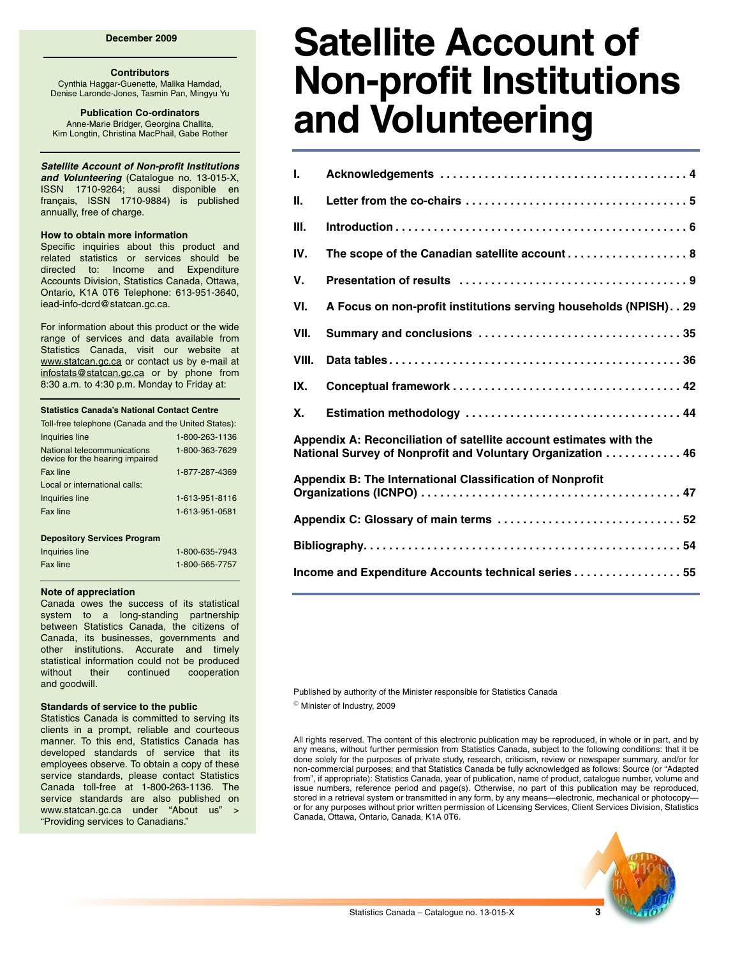#### **Contributors**

Cynthia Haggar-Guenette, Malika Hamdad, Denise Laronde-Jones, Tasmin Pan, Mingyu Yu

**Publication Co-ordinators** Anne-Marie Bridger, Georgina Challita, Kim Longtin, Christina MacPhail, Gabe Rother

*Satellite Account of Non-profit Institutions and Volunteering* (Catalogue no. 13-015-X, ISSN 1710-9264; aussi disponible en français, ISSN 1710-9884) is published annually, free of charge.

#### **How to obtain more information**

Specific inquiries about this product and related statistics or services should be directed to: Income and Expenditure Accounts Division, Statistics Canada, Ottawa, Ontario, K1A 0T6 Telephone: 613-951-3640, iead-info-dcrd@statcan.gc.ca.

For information about this product or the wide range of services and data available from Statistics Canada, visit our website at www.statcan.gc.ca or contact us by e-mail at infostats@statcan.gc.ca or by phone from 8:30 a.m. to 4:30 p.m. Monday to Friday at:

#### **Statistics Canada's National Contact Centre**

| Toll-free telephone (Canada and the United States):            |                |
|----------------------------------------------------------------|----------------|
| Inquiries line                                                 | 1-800-263-1136 |
| National telecommunications<br>device for the hearing impaired | 1-800-363-7629 |
| Fax line                                                       | 1-877-287-4369 |
| Local or international calls:                                  |                |
| Inquiries line                                                 | 1-613-951-8116 |
| Fax line                                                       | 1-613-951-0581 |
|                                                                |                |
| <b>Depository Services Program</b>                             |                |

| Inquiries line |  |  |
|----------------|--|--|
|                |  |  |

| Fax line | 1-800-565-7757 |
|----------|----------------|
|          |                |

1-800-635-7943

#### **Note of appreciation**

Canada owes the success of its statistical system to a long-standing partnership between Statistics Canada, the citizens of Canada, its businesses, governments and other institutions. Accurate and timely statistical information could not be produced without their continued cooperation and goodwill.

#### **Standards of service to the public**

Statistics Canada is committed to serving its clients in a prompt, reliable and courteous manner. To this end, Statistics Canada has developed standards of service that its employees observe. To obtain a copy of these service standards, please contact Statistics Canada toll-free at 1-800-263-1136. The service standards are also published on www.statcan.gc.ca under "About us" > "Providing services to Canadians."

# **Satellite Account of Non-profit Institutions and Volunteering**

| I.    |                                                                                                                                  |
|-------|----------------------------------------------------------------------------------------------------------------------------------|
| П.    |                                                                                                                                  |
| Ш.    |                                                                                                                                  |
| IV.   | The scope of the Canadian satellite account 8                                                                                    |
| V.    |                                                                                                                                  |
| VI.   | A Focus on non-profit institutions serving households (NPISH). . 29                                                              |
| VII.  |                                                                                                                                  |
| VIII. |                                                                                                                                  |
| IX.   |                                                                                                                                  |
| Χ.    |                                                                                                                                  |
|       | Appendix A: Reconciliation of satellite account estimates with the<br>National Survey of Nonprofit and Voluntary Organization 46 |
|       | Appendix B: The International Classification of Nonprofit                                                                        |
|       | Appendix C: Glossary of main terms  52                                                                                           |
|       |                                                                                                                                  |
|       | Income and Expenditure Accounts technical series 55                                                                              |
|       |                                                                                                                                  |

Published by authority of the Minister responsible for Statistics Canada

© Minister of Industry, 2009

All rights reserved. The content of this electronic publication may be reproduced, in whole or in part, and by any means, without further permission from Statistics Canada, subject to the following conditions: that it be done solely for the purposes of private study, research, criticism, review or newspaper summary, and/or for non-commercial purposes; and that Statistics Canada be fully acknowledged as follows: Source (or "Adapted from", if appropriate): Statistics Canada, year of publication, name of product, catalogue number, volume and issue numbers, reference period and page(s). Otherwise, no part of this publication may be reproduced, stored in a retrieval system or transmitted in any form, by any means—electronic, mechanical or photocopy or for any purposes without prior written permission of Licensing Services, Client Services Division, Statistics Canada, Ottawa, Ontario, Canada, K1A 0T6.

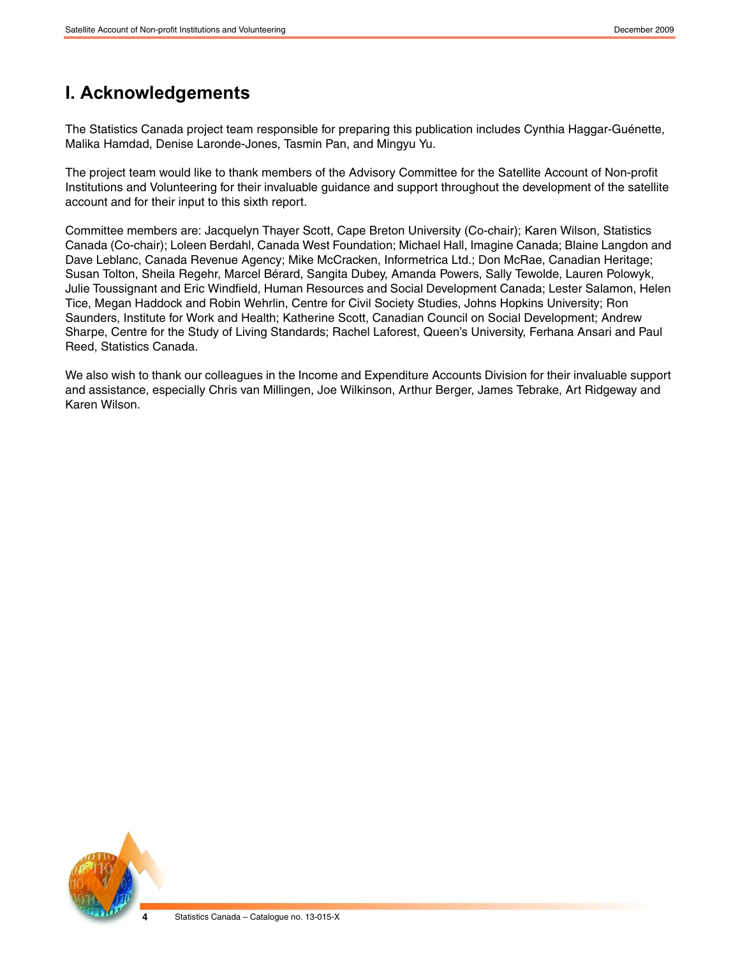# <span id="page-3-0"></span>**I. Acknowledgements**

The Statistics Canada project team responsible for preparing this publication includes Cynthia Haggar-Guénette, Malika Hamdad, Denise Laronde-Jones, Tasmin Pan, and Mingyu Yu.

The project team would like to thank members of the Advisory Committee for the Satellite Account of Non-profit Institutions and Volunteering for their invaluable guidance and support throughout the development of the satellite account and for their input to this sixth report.

Committee members are: Jacquelyn Thayer Scott, Cape Breton University (Co-chair); Karen Wilson, Statistics Canada (Co-chair); Loleen Berdahl, Canada West Foundation; Michael Hall, Imagine Canada; Blaine Langdon and Dave Leblanc, Canada Revenue Agency; Mike McCracken, Informetrica Ltd.; Don McRae, Canadian Heritage; Susan Tolton, Sheila Regehr, Marcel Bérard, Sangita Dubey, Amanda Powers, Sally Tewolde, Lauren Polowyk, Julie Toussignant and Eric Windfield, Human Resources and Social Development Canada; Lester Salamon, Helen Tice, Megan Haddock and Robin Wehrlin, Centre for Civil Society Studies, Johns Hopkins University; Ron Saunders, Institute for Work and Health; Katherine Scott, Canadian Council on Social Development; Andrew Sharpe, Centre for the Study of Living Standards; Rachel Laforest, Queen's University, Ferhana Ansari and Paul Reed, Statistics Canada.

We also wish to thank our colleagues in the Income and Expenditure Accounts Division for their invaluable support and assistance, especially Chris van Millingen, Joe Wilkinson, Arthur Berger, James Tebrake, Art Ridgeway and Karen Wilson.

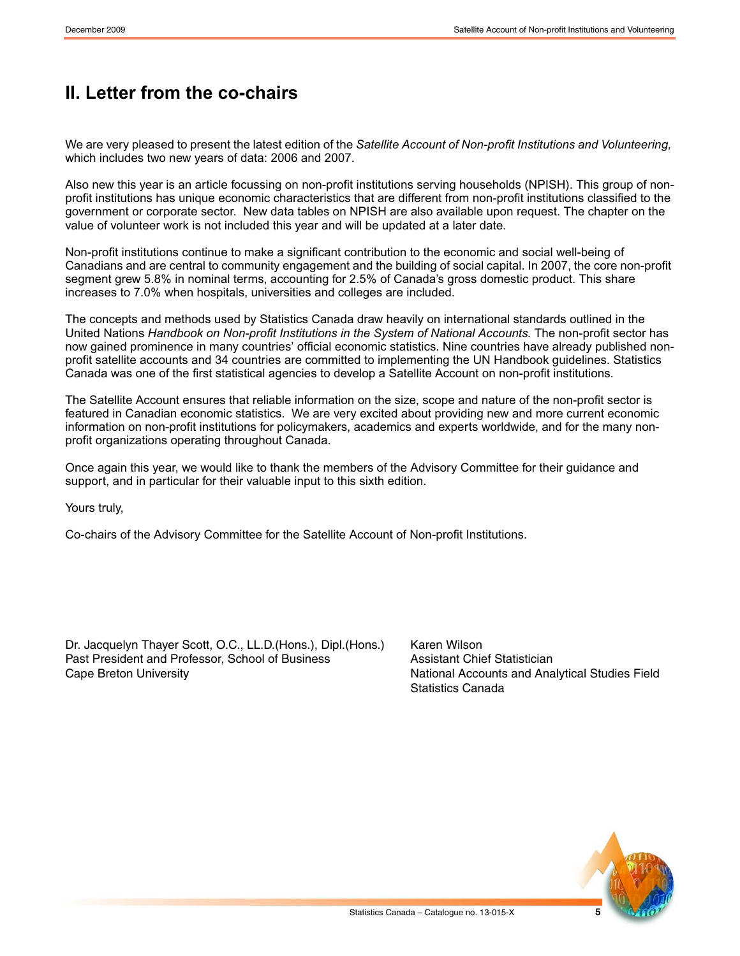# <span id="page-4-0"></span>**II. Letter from the co-chairs**

We are very pleased to present the latest edition of the *Satellite Account of Non-profit Institutions and Volunteering,* which includes two new years of data: 2006 and 2007.

Also new this year is an article focussing on non-profit institutions serving households (NPISH). This group of nonprofit institutions has unique economic characteristics that are different from non-profit institutions classified to the government or corporate sector. New data tables on NPISH are also available upon request. The chapter on the value of volunteer work is not included this year and will be updated at a later date.

Non-profit institutions continue to make a significant contribution to the economic and social well-being of Canadians and are central to community engagement and the building of social capital. In 2007, the core non-profit segment grew 5.8% in nominal terms, accounting for 2.5% of Canada's gross domestic product. This share increases to 7.0% when hospitals, universities and colleges are included.

The concepts and methods used by Statistics Canada draw heavily on international standards outlined in the United Nations *Handbook on Non-profit Institutions in the System of National Accounts.* The non-profit sector has now gained prominence in many countries' official economic statistics. Nine countries have already published nonprofit satellite accounts and 34 countries are committed to implementing the UN Handbook guidelines. Statistics Canada was one of the first statistical agencies to develop a Satellite Account on non-profit institutions.

The Satellite Account ensures that reliable information on the size, scope and nature of the non-profit sector is featured in Canadian economic statistics. We are very excited about providing new and more current economic information on non-profit institutions for policymakers, academics and experts worldwide, and for the many nonprofit organizations operating throughout Canada.

Once again this year, we would like to thank the members of the Advisory Committee for their guidance and support, and in particular for their valuable input to this sixth edition.

Yours truly,

Co-chairs of the Advisory Committee for the Satellite Account of Non-profit Institutions.

Dr. Jacquelyn Thayer Scott, O.C., LL.D.(Hons.), Dipl.(Hons.) Past President and Professor, School of Business Cape Breton University

Karen Wilson Assistant Chief Statistician National Accounts and Analytical Studies Field Statistics Canada

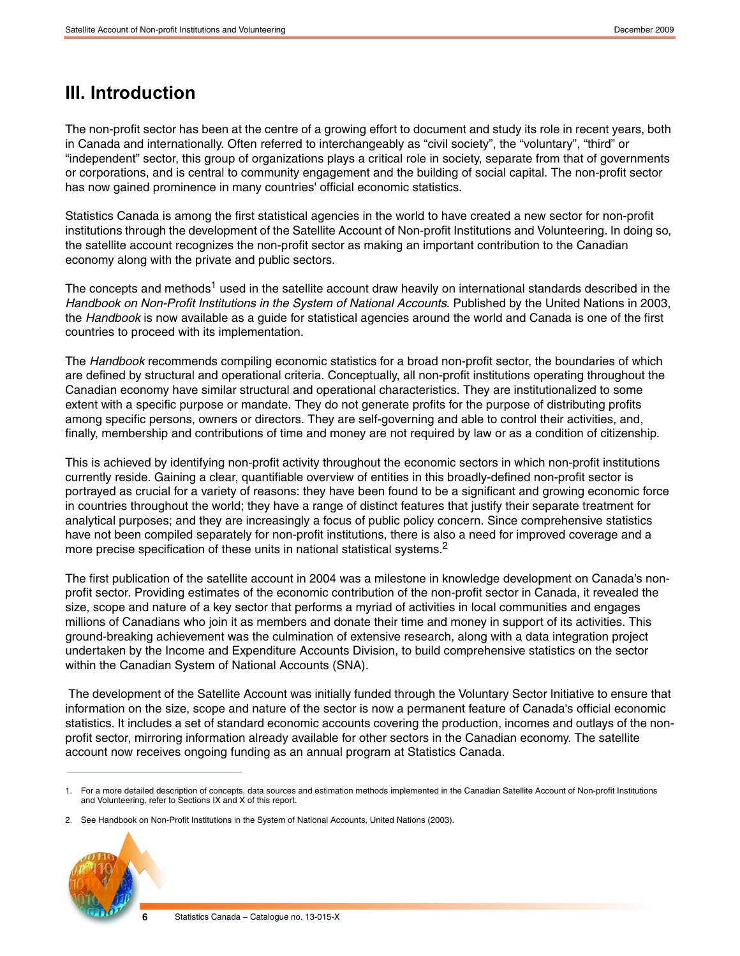# <span id="page-5-0"></span>**III. Introduction**

The non-profit sector has been at the centre of a growing effort to document and study its role in recent years, both in Canada and internationally. Often referred to interchangeably as "civil society", the "voluntary", "third" or "independent" sector, this group of organizations plays a critical role in society, separate from that of governments or corporations, and is central to community engagement and the building of social capital. The non-profit sector has now gained prominence in many countries' official economic statistics.

Statistics Canada is among the first statistical agencies in the world to have created a new sector for non-profit institutions through the development of the Satellite Account of Non-profit Institutions and Volunteering*.* In doing so, the satellite account recognizes the non-profit sector as making an important contribution to the Canadian economy along with the private and public sectors.

The concepts and methods<sup>1</sup> used in the satellite account draw heavily on international standards described in the *Handbook on Non-Profit Institutions in the System of National Accounts*. Published by the United Nations in 2003, the *Handbook* is now available as a guide for statistical agencies around the world and Canada is one of the first countries to proceed with its implementation.

The *Handbook* recommends compiling economic statistics for a broad non-profit sector, the boundaries of which are defined by structural and operational criteria. Conceptually, all non-profit institutions operating throughout the Canadian economy have similar structural and operational characteristics. They are institutionalized to some extent with a specific purpose or mandate. They do not generate profits for the purpose of distributing profits among specific persons, owners or directors. They are self-governing and able to control their activities, and, finally, membership and contributions of time and money are not required by law or as a condition of citizenship.

This is achieved by identifying non-profit activity throughout the economic sectors in which non-profit institutions currently reside. Gaining a clear, quantifiable overview of entities in this broadly-defined non-profit sector is portrayed as crucial for a variety of reasons: they have been found to be a significant and growing economic force in countries throughout the world; they have a range of distinct features that justify their separate treatment for analytical purposes; and they are increasingly a focus of public policy concern. Since comprehensive statistics have not been compiled separately for non-profit institutions, there is also a need for improved coverage and a more precise specification of these units in national statistical systems.<sup>2</sup>

The first publication of the satellite account in 2004 was a milestone in knowledge development on Canada's nonprofit sector. Providing estimates of the economic contribution of the non-profit sector in Canada, it revealed the size, scope and nature of a key sector that performs a myriad of activities in local communities and engages millions of Canadians who join it as members and donate their time and money in support of its activities. This ground-breaking achievement was the culmination of extensive research, along with a data integration project undertaken by the Income and Expenditure Accounts Division, to build comprehensive statistics on the sector within the Canadian System of National Accounts (SNA).

The development of the Satellite Account was initially funded through the Voluntary Sector Initiative to ensure that information on the size, scope and nature of the sector is now a permanent feature of Canada's official economic statistics. It includes a set of standard economic accounts covering the production, incomes and outlays of the nonprofit sector, mirroring information already available for other sectors in the Canadian economy. The satellite account now receives ongoing funding as an annual program at Statistics Canada.

<sup>2.</sup> See Handbook on Non-Profit Institutions in the System of National Accounts, United Nations (2003).



<sup>1.</sup> For a more detailed description of concepts, data sources and estimation methods implemented in the Canadian Satellite Account of Non-profit Institutions and Volunteering, refer to Sections IX and X of this report.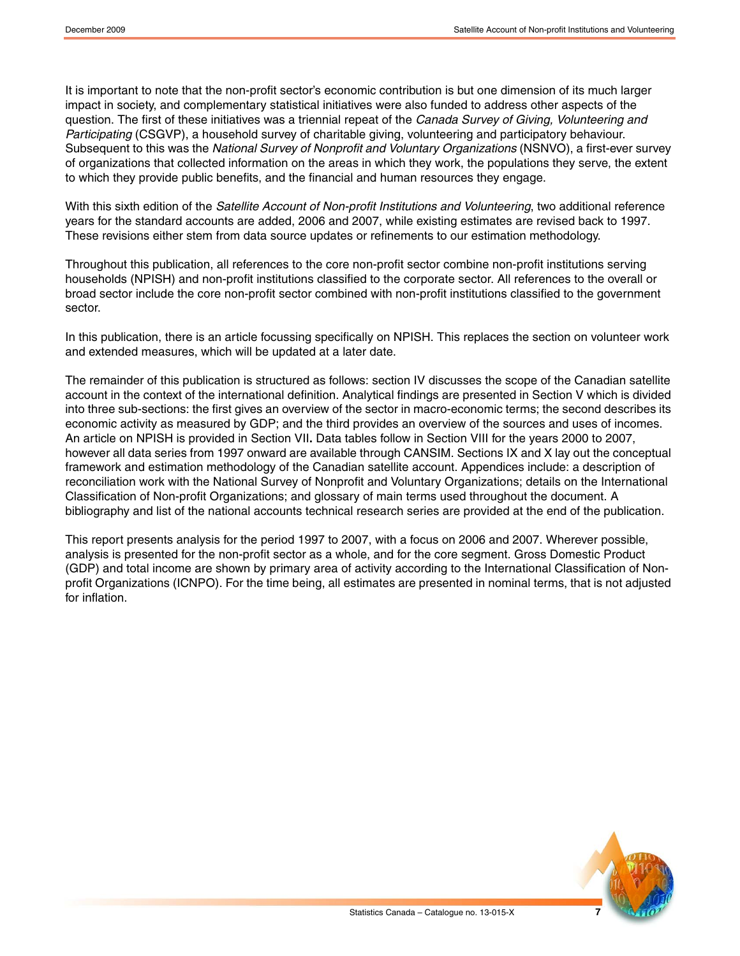It is important to note that the non-profit sector's economic contribution is but one dimension of its much larger impact in society, and complementary statistical initiatives were also funded to address other aspects of the question. The first of these initiatives was a triennial repeat of the *Canada Survey of Giving, Volunteering and Participating* (CSGVP), a household survey of charitable giving, volunteering and participatory behaviour. Subsequent to this was the *National Survey of Nonprofit and Voluntary Organizations* (NSNVO), a first-ever survey of organizations that collected information on the areas in which they work, the populations they serve, the extent to which they provide public benefits, and the financial and human resources they engage.

With this sixth edition of the *Satellite Account of Non-profit Institutions and Volunteering*, two additional reference years for the standard accounts are added, 2006 and 2007, while existing estimates are revised back to 1997. These revisions either stem from data source updates or refinements to our estimation methodology.

Throughout this publication, all references to the core non-profit sector combine non-profit institutions serving households (NPISH) and non-profit institutions classified to the corporate sector. All references to the overall or broad sector include the core non-profit sector combined with non-profit institutions classified to the government sector.

In this publication, there is an article focussing specifically on NPISH. This replaces the section on volunteer work and extended measures, which will be updated at a later date.

The remainder of this publication is structured as follows: section IV discusses the scope of the Canadian satellite account in the context of the international definition. Analytical findings are presented in Section V which is divided into three sub-sections: the first gives an overview of the sector in macro-economic terms; the second describes its economic activity as measured by GDP; and the third provides an overview of the sources and uses of incomes. An article on NPISH is provided in Section VII**.** Data tables follow in Section VIII for the years 2000 to 2007, however all data series from 1997 onward are available through CANSIM. Sections IX and X lay out the conceptual framework and estimation methodology of the Canadian satellite account. Appendices include: a description of reconciliation work with the National Survey of Nonprofit and Voluntary Organizations; details on the International Classification of Non-profit Organizations; and glossary of main terms used throughout the document. A bibliography and list of the national accounts technical research series are provided at the end of the publication.

This report presents analysis for the period 1997 to 2007, with a focus on 2006 and 2007. Wherever possible, analysis is presented for the non-profit sector as a whole, and for the core segment. Gross Domestic Product (GDP) and total income are shown by primary area of activity according to the International Classification of Nonprofit Organizations (ICNPO). For the time being, all estimates are presented in nominal terms, that is not adjusted for inflation.

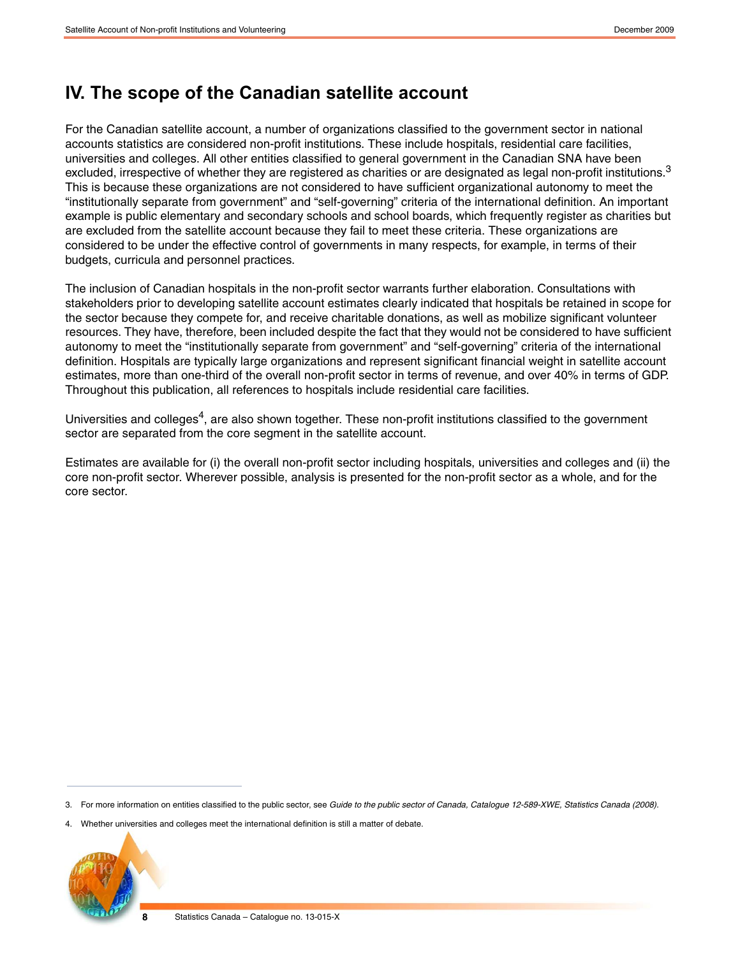# <span id="page-7-0"></span>**IV. The scope of the Canadian satellite account**

For the Canadian satellite account, a number of organizations classified to the government sector in national accounts statistics are considered non-profit institutions. These include hospitals, residential care facilities, universities and colleges. All other entities classified to general government in the Canadian SNA have been excluded, irrespective of whether they are registered as charities or are designated as legal non-profit institutions.<sup>3</sup> This is because these organizations are not considered to have sufficient organizational autonomy to meet the "institutionally separate from government" and "self-governing" criteria of the international definition. An important example is public elementary and secondary schools and school boards, which frequently register as charities but are excluded from the satellite account because they fail to meet these criteria. These organizations are considered to be under the effective control of governments in many respects, for example, in terms of their budgets, curricula and personnel practices.

The inclusion of Canadian hospitals in the non-profit sector warrants further elaboration. Consultations with stakeholders prior to developing satellite account estimates clearly indicated that hospitals be retained in scope for the sector because they compete for, and receive charitable donations, as well as mobilize significant volunteer resources. They have, therefore, been included despite the fact that they would not be considered to have sufficient autonomy to meet the "institutionally separate from government" and "self-governing" criteria of the international definition. Hospitals are typically large organizations and represent significant financial weight in satellite account estimates, more than one-third of the overall non-profit sector in terms of revenue, and over 40% in terms of GDP. Throughout this publication, all references to hospitals include residential care facilities.

Universities and colleges<sup>4</sup>, are also shown together. These non-profit institutions classified to the government sector are separated from the core segment in the satellite account.

Estimates are available for (i) the overall non-profit sector including hospitals, universities and colleges and (ii) the core non-profit sector. Wherever possible, analysis is presented for the non-profit sector as a whole, and for the core sector.

Whether universities and colleges meet the international definition is still a matter of debate.



<sup>3.</sup> For more information on entities classified to the public sector, see *Guide to the public sector of Canada, Catalogue 12-589-XWE, Statistics Canada (2008).*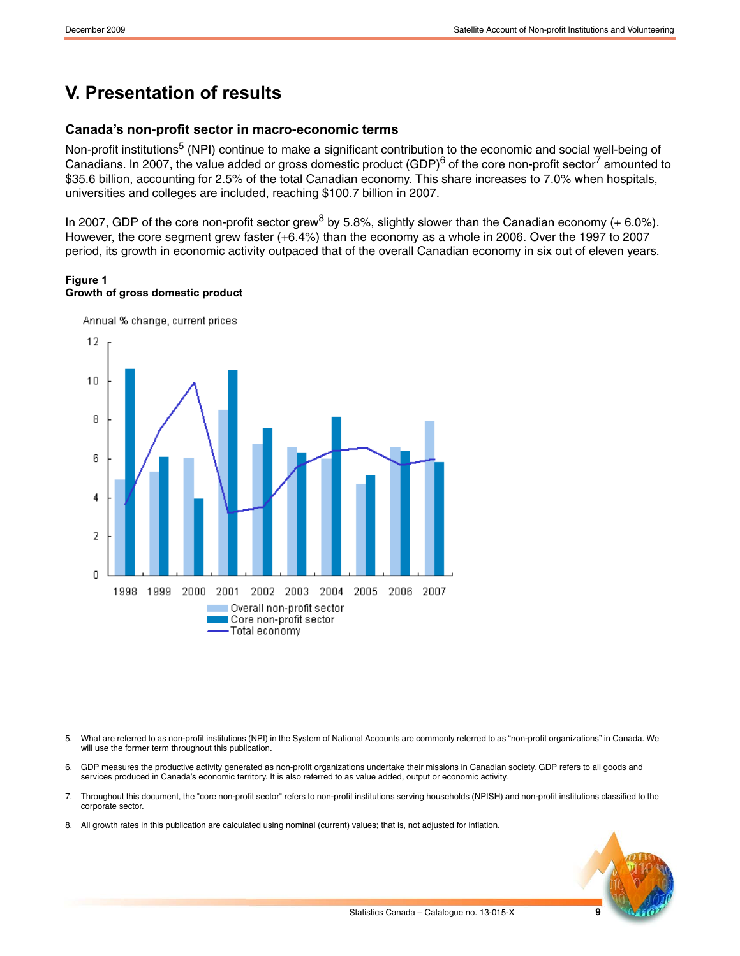# <span id="page-8-0"></span>**V. Presentation of results**

# **Canada's non-profit sector in macro-economic terms**

Non-profit institutions<sup>5</sup> (NPI) continue to make a significant contribution to the economic and social well-being of Canadians. In 2007, the value added or gross domestic product (GDP)<sup>6</sup> of the core non-profit sector<sup>7</sup> amounted to \$35.6 billion, accounting for 2.5% of the total Canadian economy. This share increases to 7.0% when hospitals, universities and colleges are included, reaching \$100.7 billion in 2007.

In 2007, GDP of the core non-profit sector grew<sup>8</sup> by 5.8%, slightly slower than the Canadian economy (+ 6.0%). However, the core segment grew faster (+6.4%) than the economy as a whole in 2006. Over the 1997 to 2007 period, its growth in economic activity outpaced that of the overall Canadian economy in six out of eleven years.

### **Figure 1 Growth of gross domestic product**



Annual % change, current prices

- 6. GDP measures the productive activity generated as non-profit organizations undertake their missions in Canadian society. GDP refers to all goods and services produced in Canada's economic territory. It is also referred to as value added, output or economic activity.
- 7. Throughout this document, the "core non-profit sector" refers to non-profit institutions serving households (NPISH) and non-profit institutions classified to the corporate sector.
- 8. All growth rates in this publication are calculated using nominal (current) values; that is, not adjusted for inflation.



<sup>5.</sup> What are referred to as non-profit institutions (NPI) in the System of National Accounts are commonly referred to as "non-profit organizations" in Canada. We will use the former term throughout this publication.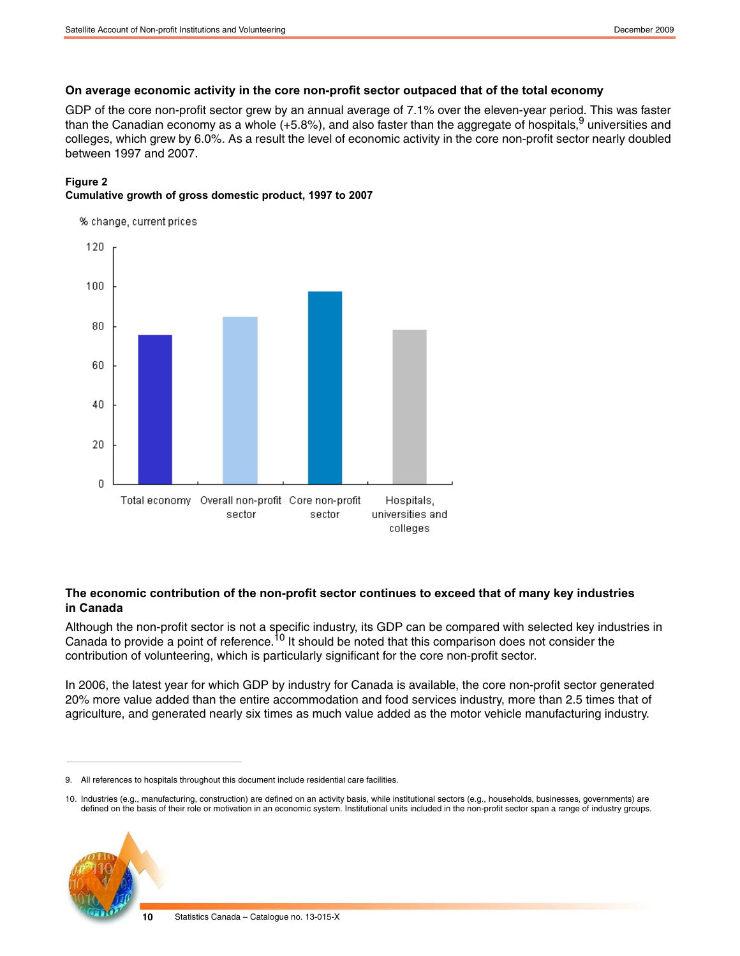#### **On average economic activity in the core non-profit sector outpaced that of the total economy**

GDP of the core non-profit sector grew by an annual average of 7.1% over the eleven-year period. This was faster than the Canadian economy as a whole  $(+5.8%)$ , and also faster than the aggregate of hospitals,  $9$  universities and colleges, which grew by 6.0%. As a result the level of economic activity in the core non-profit sector nearly doubled between 1997 and 2007.

#### **Figure 2**

#### **Cumulative growth of gross domestic product, 1997 to 2007**



### **The economic contribution of the non-profit sector continues to exceed that of many key industries in Canada**

Although the non-profit sector is not a specific industry, its GDP can be compared with selected key industries in Canada to provide a point of reference.<sup>10</sup> It should be noted that this comparison does not consider the contribution of volunteering, which is particularly significant for the core non-profit sector.

In 2006, the latest year for which GDP by industry for Canada is available, the core non-profit sector generated 20% more value added than the entire accommodation and food services industry, more than 2.5 times that of agriculture, and generated nearly six times as much value added as the motor vehicle manufacturing industry.

<sup>10.</sup> Industries (e.g., manufacturing, construction) are defined on an activity basis, while institutional sectors (e.g., households, businesses, governments) are defined on the basis of their role or motivation in an economic system. Institutional units included in the non-profit sector span a range of industry groups.



<sup>9.</sup> All references to hospitals throughout this document include residential care facilities.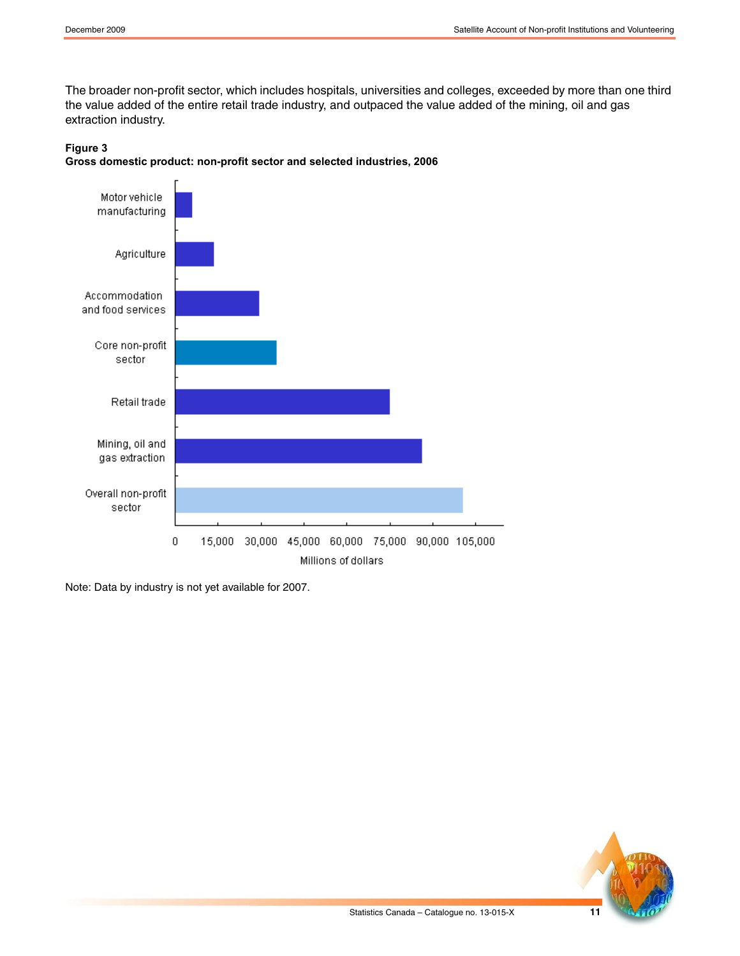The broader non-profit sector, which includes hospitals, universities and colleges, exceeded by more than one third the value added of the entire retail trade industry, and outpaced the value added of the mining, oil and gas extraction industry.





Note: Data by industry is not yet available for 2007.

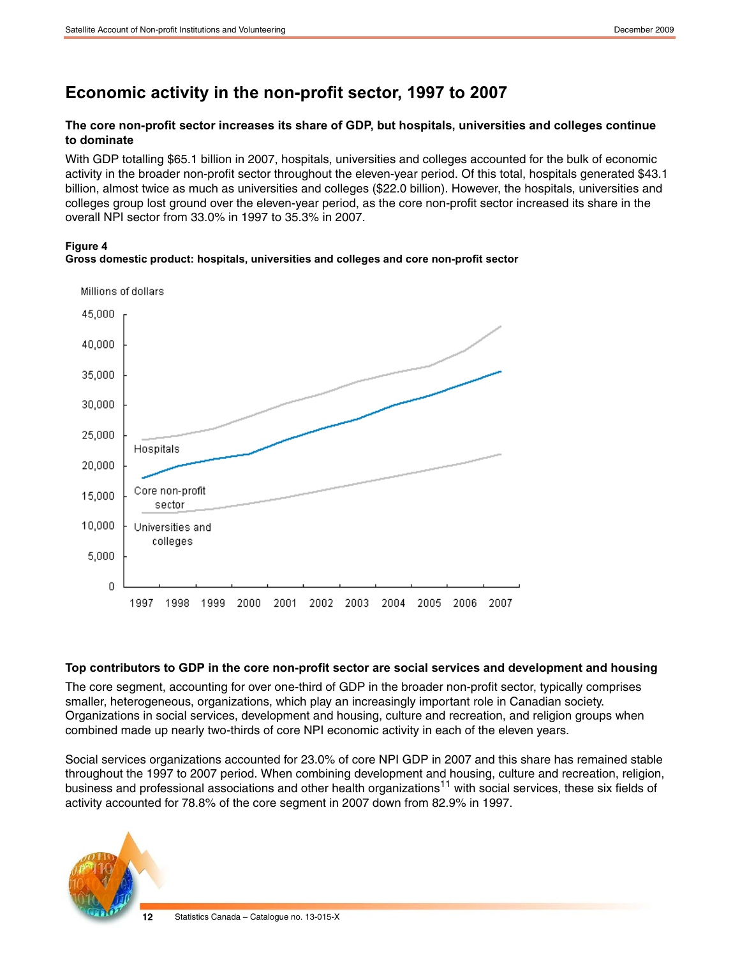# **Economic activity in the non-profit sector, 1997 to 2007**

# **The core non-profit sector increases its share of GDP, but hospitals, universities and colleges continue to dominate**

With GDP totalling \$65.1 billion in 2007, hospitals, universities and colleges accounted for the bulk of economic activity in the broader non-profit sector throughout the eleven-year period. Of this total, hospitals generated \$43.1 billion, almost twice as much as universities and colleges (\$22.0 billion). However, the hospitals, universities and colleges group lost ground over the eleven-year period, as the core non-profit sector increased its share in the overall NPI sector from 33.0% in 1997 to 35.3% in 2007.

### **Figure 4**



#### **Gross domestic product: hospitals, universities and colleges and core non-profit sector**

# **Top contributors to GDP in the core non-profit sector are social services and development and housing**

The core segment, accounting for over one-third of GDP in the broader non-profit sector, typically comprises smaller, heterogeneous, organizations, which play an increasingly important role in Canadian society. Organizations in social services, development and housing, culture and recreation, and religion groups when combined made up nearly two-thirds of core NPI economic activity in each of the eleven years.

Social services organizations accounted for 23.0% of core NPI GDP in 2007 and this share has remained stable throughout the 1997 to 2007 period. When combining development and housing, culture and recreation, religion, business and professional associations and other health organizations<sup>11</sup> with social services, these six fields of activity accounted for 78.8% of the core segment in 2007 down from 82.9% in 1997.

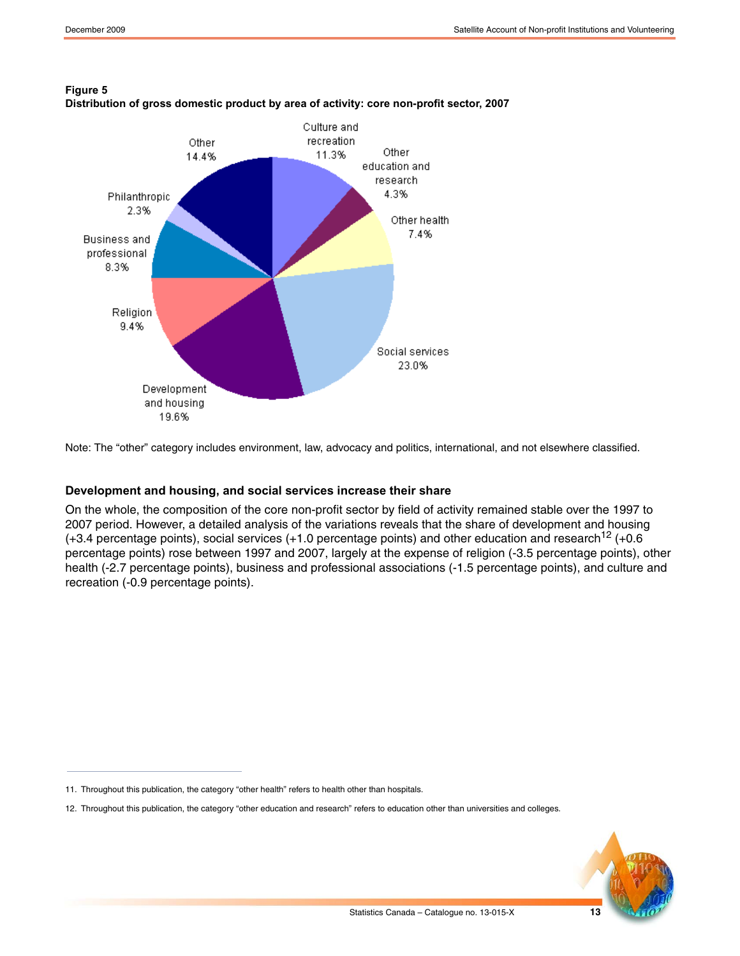

**Figure 5 Distribution of gross domestic product by area of activity: core non-profit sector, 2007**

Note: The "other" category includes environment, law, advocacy and politics, international, and not elsewhere classified.

### **Development and housing, and social services increase their share**

On the whole, the composition of the core non-profit sector by field of activity remained stable over the 1997 to 2007 period. However, a detailed analysis of the variations reveals that the share of development and housing  $(+3.4$  percentage points), social services  $(+1.0$  percentage points) and other education and research<sup>12</sup> (+0.6) percentage points) rose between 1997 and 2007, largely at the expense of religion (-3.5 percentage points), other health (-2.7 percentage points), business and professional associations (-1.5 percentage points), and culture and recreation (-0.9 percentage points).

<sup>12.</sup> Throughout this publication, the category "other education and research" refers to education other than universities and colleges.



<sup>11.</sup> Throughout this publication, the category "other health" refers to health other than hospitals.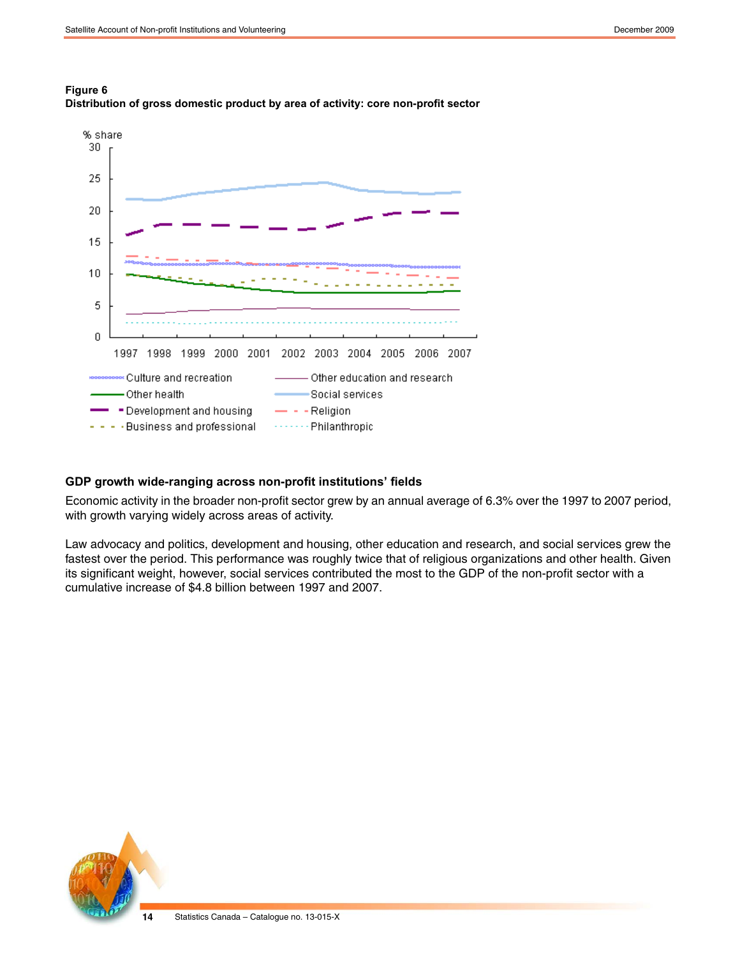

**Figure 6 Distribution of gross domestic product by area of activity: core non-profit sector**

### **GDP growth wide-ranging across non-profit institutions' fields**

Economic activity in the broader non-profit sector grew by an annual average of 6.3% over the 1997 to 2007 period, with growth varying widely across areas of activity.

Law advocacy and politics, development and housing, other education and research, and social services grew the fastest over the period. This performance was roughly twice that of religious organizations and other health. Given its significant weight, however, social services contributed the most to the GDP of the non-profit sector with a cumulative increase of \$4.8 billion between 1997 and 2007.

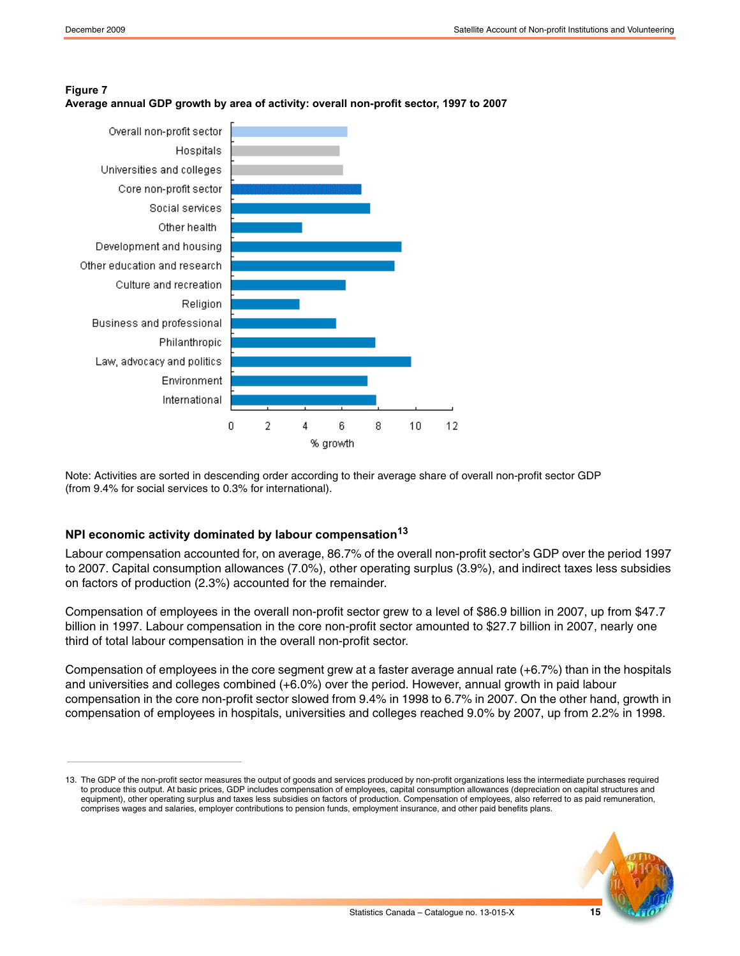

# **Figure 7**

**Average annual GDP growth by area of activity: overall non-profit sector, 1997 to 2007**

Note: Activities are sorted in descending order according to their average share of overall non-profit sector GDP (from 9.4% for social services to 0.3% for international).

# **NPI economic activity dominated by labour compensation13**

Labour compensation accounted for, on average, 86.7% of the overall non-profit sector's GDP over the period 1997 to 2007. Capital consumption allowances (7.0%), other operating surplus (3.9%), and indirect taxes less subsidies on factors of production (2.3%) accounted for the remainder.

Compensation of employees in the overall non-profit sector grew to a level of \$86.9 billion in 2007, up from \$47.7 billion in 1997. Labour compensation in the core non-profit sector amounted to \$27.7 billion in 2007, nearly one third of total labour compensation in the overall non-profit sector.

Compensation of employees in the core segment grew at a faster average annual rate (+6.7%) than in the hospitals and universities and colleges combined (+6.0%) over the period. However, annual growth in paid labour compensation in the core non-profit sector slowed from 9.4% in 1998 to 6.7% in 2007. On the other hand, growth in compensation of employees in hospitals, universities and colleges reached 9.0% by 2007, up from 2.2% in 1998.

<sup>13.</sup> The GDP of the non-profit sector measures the output of goods and services produced by non-profit organizations less the intermediate purchases required to produce this output. At basic prices, GDP includes compensation of employees, capital consumption allowances (depreciation on capital structures and equipment), other operating surplus and taxes less subsidies on factors of production. Compensation of employees, also referred to as paid remuneration, comprises wages and salaries, employer contributions to pension funds, employment insurance, and other paid benefits plans.

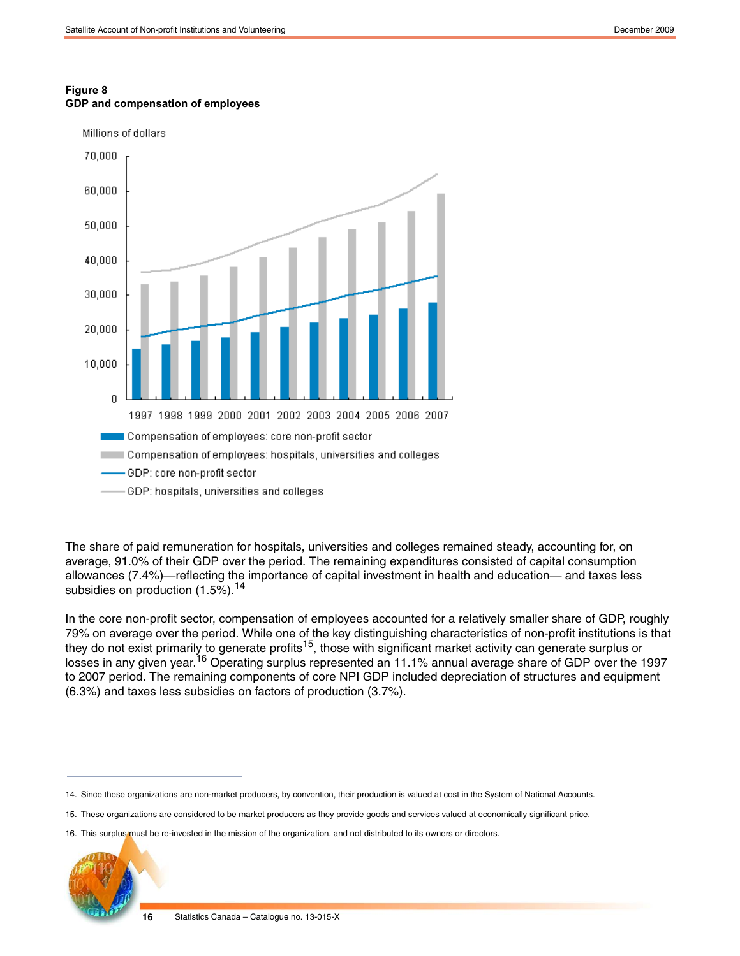### **Figure 8 GDP and compensation of employees**



The share of paid remuneration for hospitals, universities and colleges remained steady, accounting for, on average, 91.0% of their GDP over the period. The remaining expenditures consisted of capital consumption allowances (7.4%)—reflecting the importance of capital investment in health and education— and taxes less subsidies on production  $(1.5\%)$ .<sup>14</sup>

In the core non-profit sector, compensation of employees accounted for a relatively smaller share of GDP, roughly 79% on average over the period. While one of the key distinguishing characteristics of non-profit institutions is that they do not exist primarily to generate profits<sup>15</sup>, those with significant market activity can generate surplus or losses in any given year.<sup>16</sup> Operating surplus represented an 11.1% annual average share of GDP over the 1997 to 2007 period. The remaining components of core NPI GDP included depreciation of structures and equipment (6.3%) and taxes less subsidies on factors of production (3.7%).

<sup>16.</sup> This surplus must be re-invested in the mission of the organization, and not distributed to its owners or directors.



<sup>14.</sup> Since these organizations are non-market producers, by convention, their production is valued at cost in the System of National Accounts.

<sup>15.</sup> These organizations are considered to be market producers as they provide goods and services valued at economically significant price.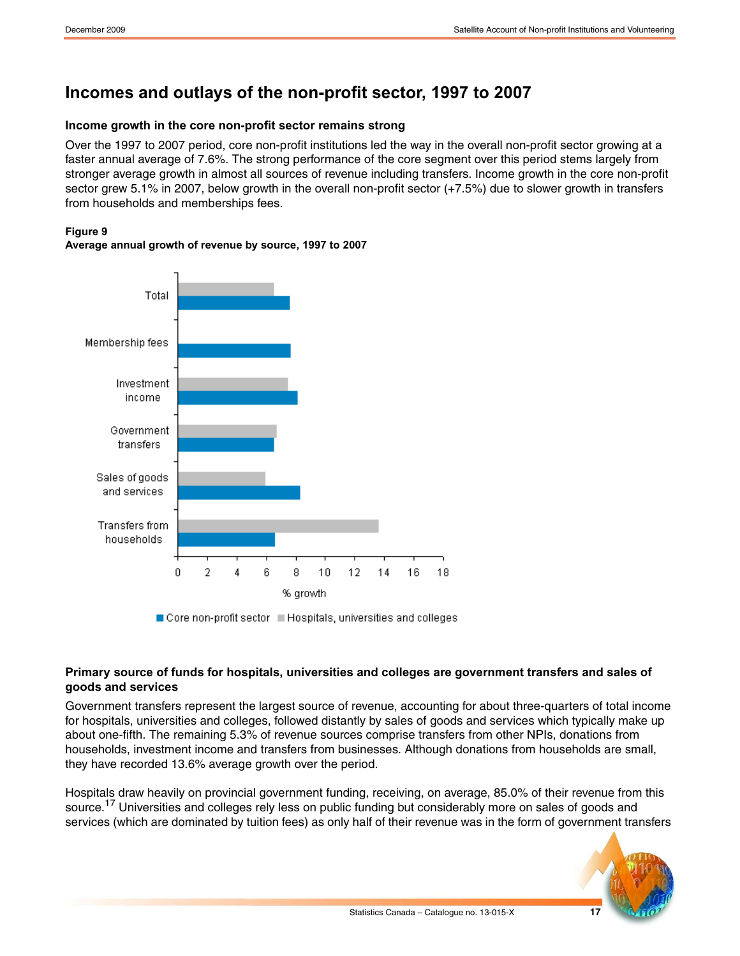# **Incomes and outlays of the non-profit sector, 1997 to 2007**

## **Income growth in the core non-profit sector remains strong**

Over the 1997 to 2007 period, core non-profit institutions led the way in the overall non-profit sector growing at a faster annual average of 7.6%. The strong performance of the core segment over this period stems largely from stronger average growth in almost all sources of revenue including transfers. Income growth in the core non-profit sector grew 5.1% in 2007, below growth in the overall non-profit sector (+7.5%) due to slower growth in transfers from households and memberships fees.

### **Figure 9**



**Average annual growth of revenue by source, 1997 to 2007**

■ Core non-profit sector ■ Hospitals, universities and colleges

## **Primary source of funds for hospitals, universities and colleges are government transfers and sales of goods and services**

Government transfers represent the largest source of revenue, accounting for about three-quarters of total income for hospitals, universities and colleges, followed distantly by sales of goods and services which typically make up about one-fifth. The remaining 5.3% of revenue sources comprise transfers from other NPIs, donations from households, investment income and transfers from businesses. Although donations from households are small, they have recorded 13.6% average growth over the period.

Hospitals draw heavily on provincial government funding, receiving, on average, 85.0% of their revenue from this source.<sup>17</sup> Universities and colleges rely less on public funding but considerably more on sales of goods and services (which are dominated by tuition fees) as only half of their revenue was in the form of government transfers

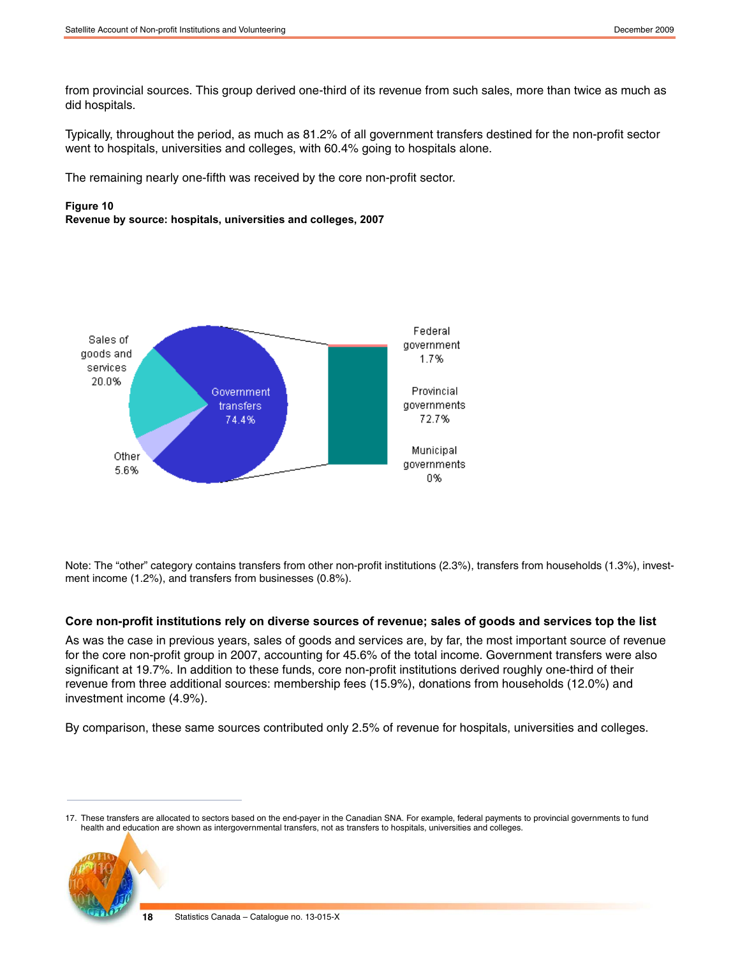from provincial sources. This group derived one-third of its revenue from such sales, more than twice as much as did hospitals.

Typically, throughout the period, as much as 81.2% of all government transfers destined for the non-profit sector went to hospitals, universities and colleges, with 60.4% going to hospitals alone.

The remaining nearly one-fifth was received by the core non-profit sector.

#### **Figure 10**

**Revenue by source: hospitals, universities and colleges, 2007**



Note: The "other" category contains transfers from other non-profit institutions (2.3%), transfers from households (1.3%), investment income (1.2%), and transfers from businesses (0.8%).

#### **Core non-profit institutions rely on diverse sources of revenue; sales of goods and services top the list**

As was the case in previous years, sales of goods and services are, by far, the most important source of revenue for the core non-profit group in 2007, accounting for 45.6% of the total income. Government transfers were also significant at 19.7%. In addition to these funds, core non-profit institutions derived roughly one-third of their revenue from three additional sources: membership fees (15.9%), donations from households (12.0%) and investment income (4.9%).

By comparison, these same sources contributed only 2.5% of revenue for hospitals, universities and colleges.

<sup>17.</sup> These transfers are allocated to sectors based on the end-payer in the Canadian SNA. For example, federal payments to provincial governments to fund health and education are shown as intergovernmental transfers, not as transfers to hospitals, universities and colleges.

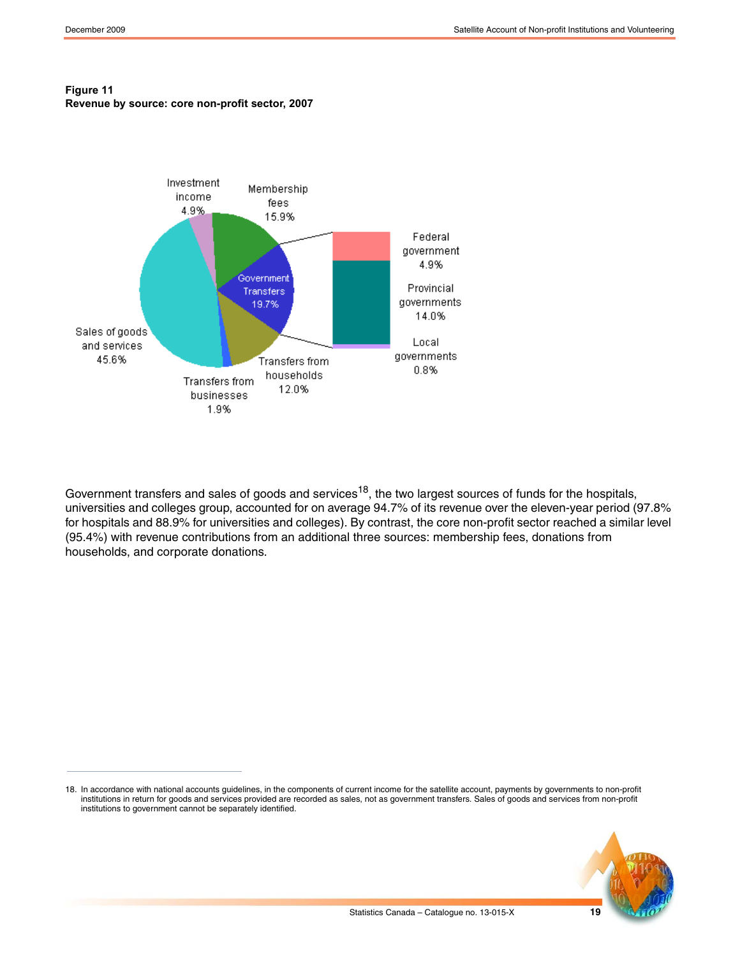

# **Figure 11 Revenue by source: core non-profit sector, 2007**

Government transfers and sales of goods and services<sup>18</sup>, the two largest sources of funds for the hospitals, universities and colleges group, accounted for on average 94.7% of its revenue over the eleven-year period (97.8% for hospitals and 88.9% for universities and colleges). By contrast, the core non-profit sector reached a similar level (95.4%) with revenue contributions from an additional three sources: membership fees, donations from households, and corporate donations.

<sup>18.</sup> In accordance with national accounts guidelines, in the components of current income for the satellite account, payments by governments to non-profit institutions in return for goods and services provided are recorded as sales, not as government transfers. Sales of goods and services from non-profit institutions to government cannot be separately identified.

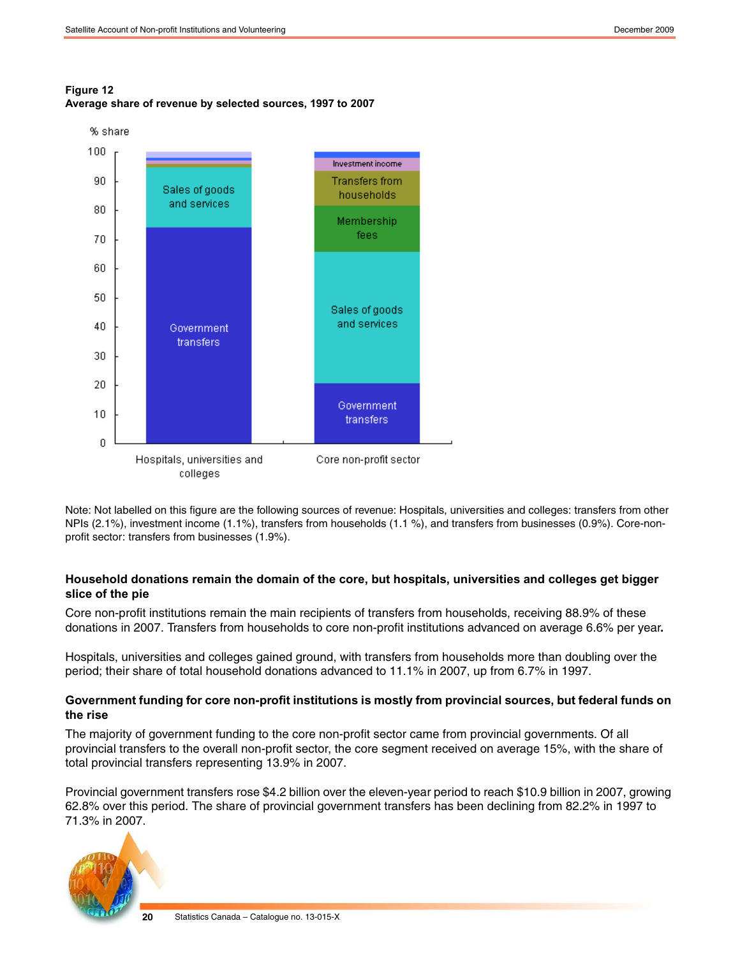



Note: Not labelled on this figure are the following sources of revenue: Hospitals, universities and colleges: transfers from other NPIs (2.1%), investment income (1.1%), transfers from households (1.1 %), and transfers from businesses (0.9%). Core-nonprofit sector: transfers from businesses (1.9%).

### **Household donations remain the domain of the core, but hospitals, universities and colleges get bigger slice of the pie**

Core non-profit institutions remain the main recipients of transfers from households, receiving 88.9% of these donations in 2007. Transfers from households to core non-profit institutions advanced on average 6.6% per year**.**

Hospitals, universities and colleges gained ground, with transfers from households more than doubling over the period; their share of total household donations advanced to 11.1% in 2007, up from 6.7% in 1997.

### **Government funding for core non-profit institutions is mostly from provincial sources, but federal funds on the rise**

The majority of government funding to the core non-profit sector came from provincial governments. Of all provincial transfers to the overall non-profit sector, the core segment received on average 15%, with the share of total provincial transfers representing 13.9% in 2007.

Provincial government transfers rose \$4.2 billion over the eleven-year period to reach \$10.9 billion in 2007, growing 62.8% over this period. The share of provincial government transfers has been declining from 82.2% in 1997 to 71.3% in 2007.

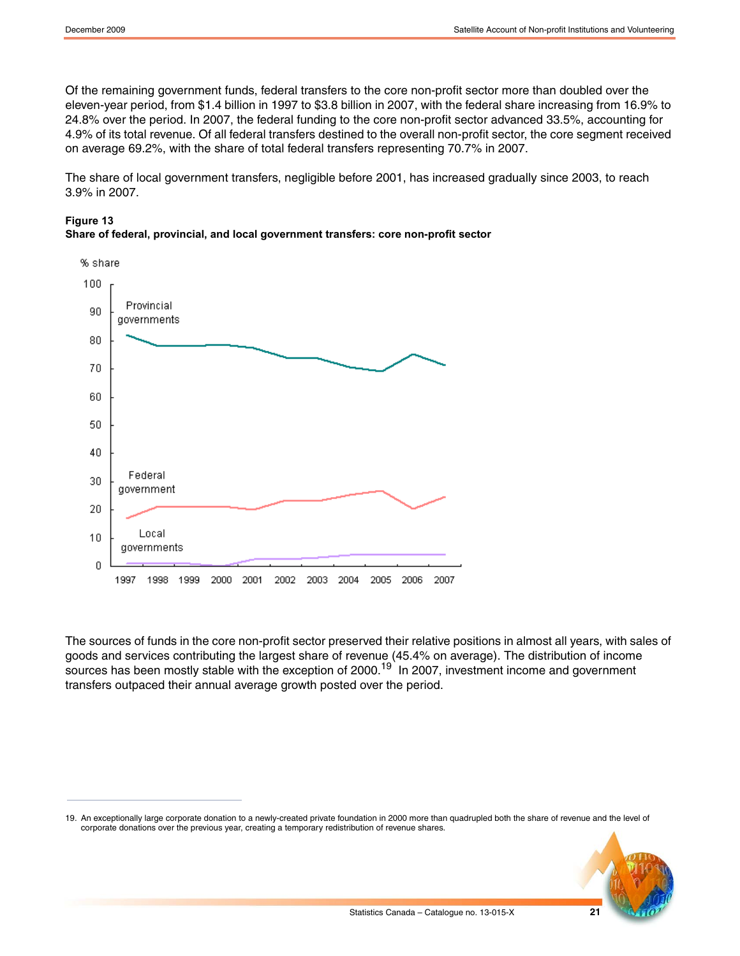Of the remaining government funds, federal transfers to the core non-profit sector more than doubled over the eleven-year period, from \$1.4 billion in 1997 to \$3.8 billion in 2007, with the federal share increasing from 16.9% to 24.8% over the period. In 2007, the federal funding to the core non-profit sector advanced 33.5%, accounting for 4.9% of its total revenue. Of all federal transfers destined to the overall non-profit sector, the core segment received on average 69.2%, with the share of total federal transfers representing 70.7% in 2007.

The share of local government transfers, negligible before 2001, has increased gradually since 2003, to reach 3.9% in 2007.



#### **Figure 13 Share of federal, provincial, and local government transfers: core non-profit sector**

The sources of funds in the core non-profit sector preserved their relative positions in almost all years, with sales of goods and services contributing the largest share of revenue (45.4% on average). The distribution of income sources has been mostly stable with the exception of 2000.<sup>19</sup> In 2007, investment income and government transfers outpaced their annual average growth posted over the period.

<sup>19.</sup> An exceptionally large corporate donation to a newly-created private foundation in 2000 more than quadrupled both the share of revenue and the level of corporate donations over the previous year, creating a temporary redistribution of revenue shares.

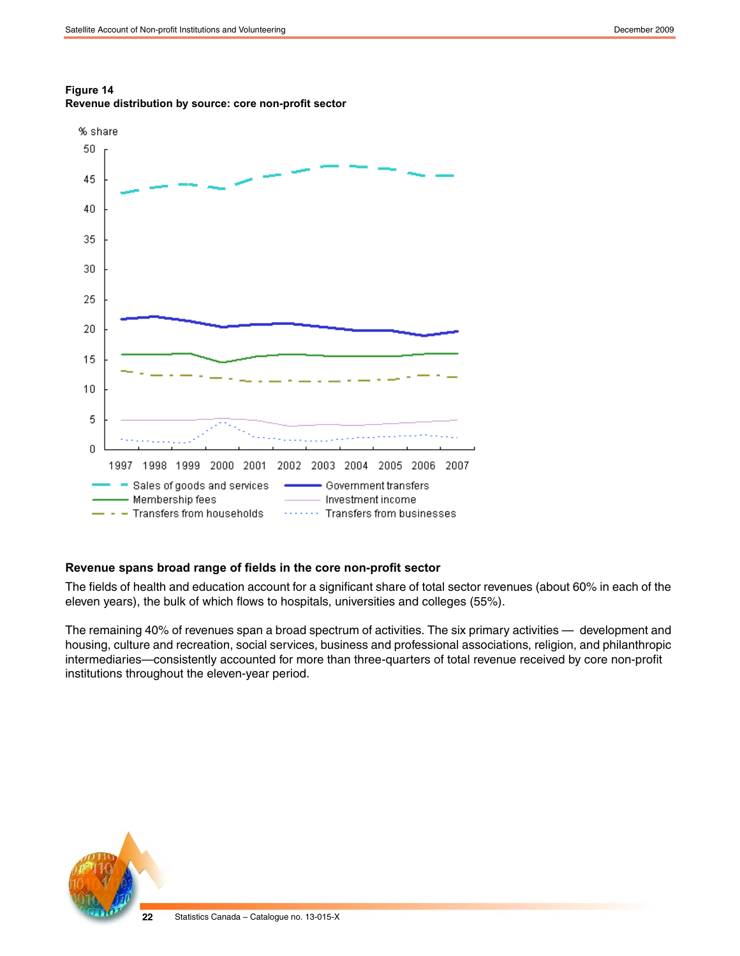



### **Revenue spans broad range of fields in the core non-profit sector**

The fields of health and education account for a significant share of total sector revenues (about 60% in each of the eleven years), the bulk of which flows to hospitals, universities and colleges (55%).

The remaining 40% of revenues span a broad spectrum of activities. The six primary activities — development and housing, culture and recreation, social services, business and professional associations, religion, and philanthropic intermediaries—consistently accounted for more than three-quarters of total revenue received by core non-profit institutions throughout the eleven-year period.

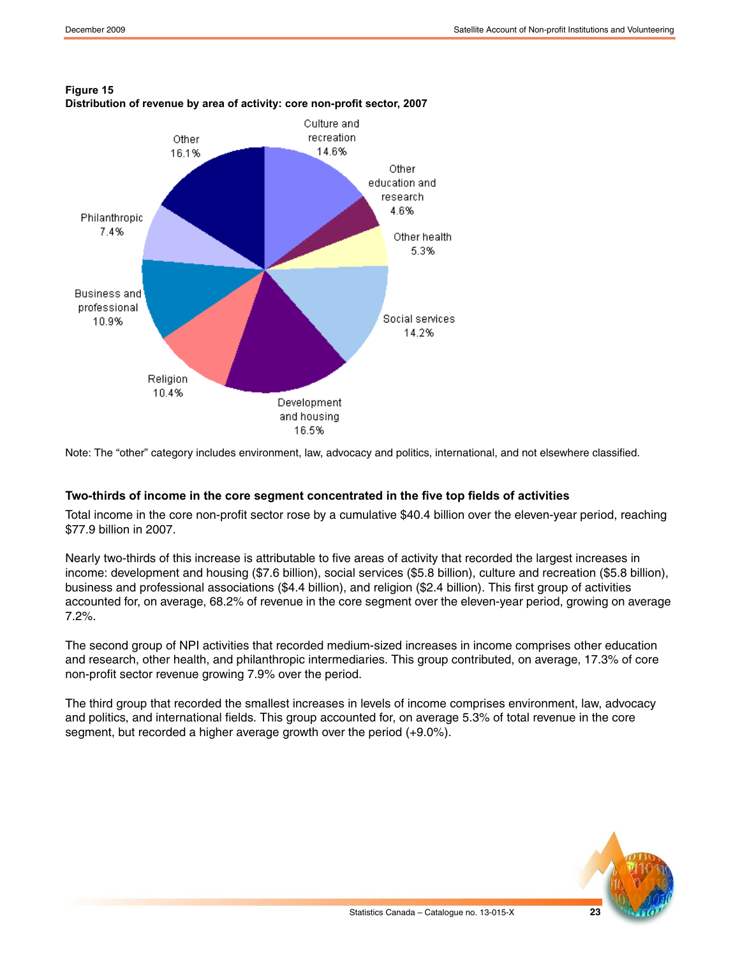

### **Figure 15 Distribution of revenue by area of activity: core non-profit sector, 2007**

Note: The "other" category includes environment, law, advocacy and politics, international, and not elsewhere classified.

# **Two-thirds of income in the core segment concentrated in the five top fields of activities**

Total income in the core non-profit sector rose by a cumulative \$40.4 billion over the eleven-year period, reaching \$77.9 billion in 2007.

Nearly two-thirds of this increase is attributable to five areas of activity that recorded the largest increases in income: development and housing (\$7.6 billion), social services (\$5.8 billion), culture and recreation (\$5.8 billion), business and professional associations (\$4.4 billion), and religion (\$2.4 billion). This first group of activities accounted for, on average, 68.2% of revenue in the core segment over the eleven-year period, growing on average 7.2%.

The second group of NPI activities that recorded medium-sized increases in income comprises other education and research, other health, and philanthropic intermediaries. This group contributed, on average, 17.3% of core non-profit sector revenue growing 7.9% over the period.

The third group that recorded the smallest increases in levels of income comprises environment, law, advocacy and politics, and international fields. This group accounted for, on average 5.3% of total revenue in the core segment, but recorded a higher average growth over the period (+9.0%).

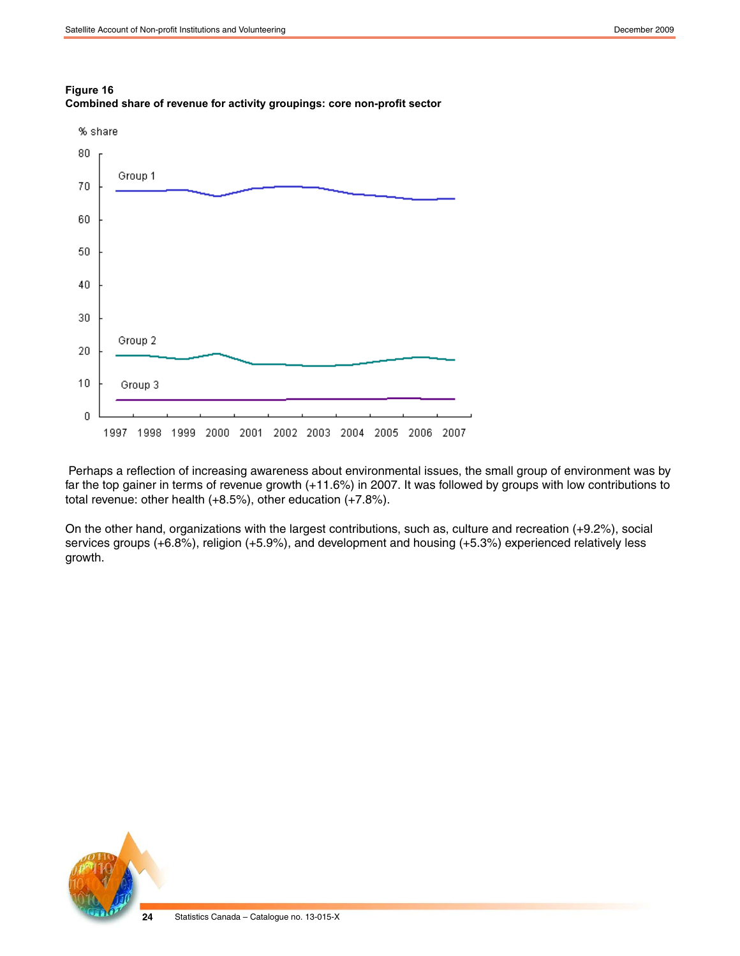

# **Figure 16 Combined share of revenue for activity groupings: core non-profit sector**

Perhaps a reflection of increasing awareness about environmental issues, the small group of environment was by far the top gainer in terms of revenue growth (+11.6%) in 2007. It was followed by groups with low contributions to total revenue: other health (+8.5%), other education (+7.8%).

On the other hand, organizations with the largest contributions, such as, culture and recreation (+9.2%), social services groups (+6.8%), religion (+5.9%), and development and housing (+5.3%) experienced relatively less growth.

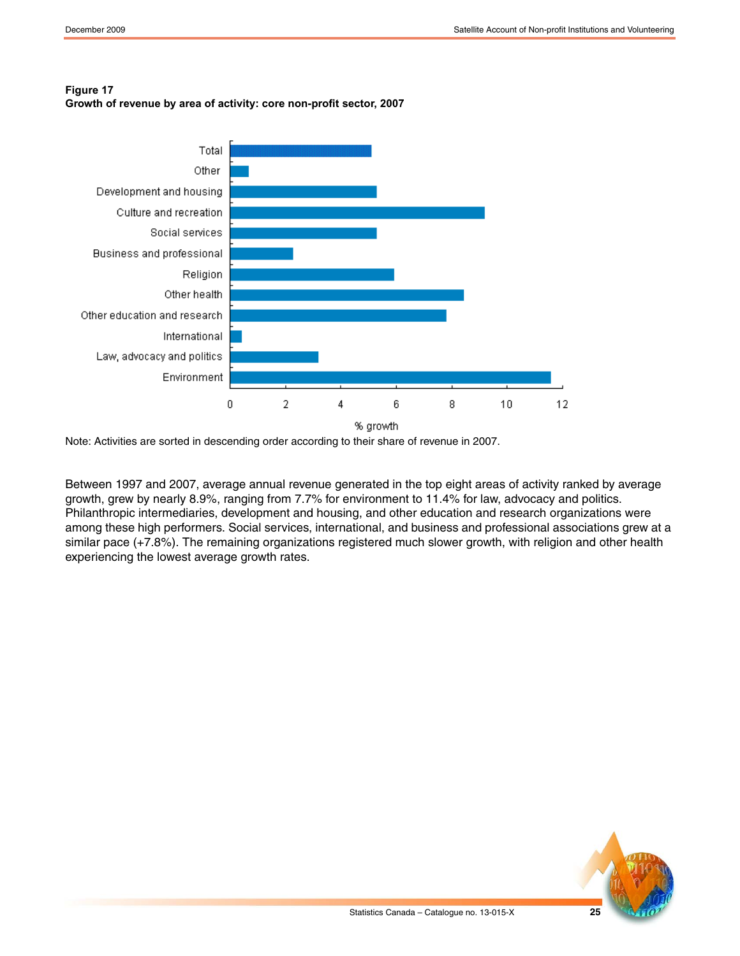### **Figure 17**

**Growth of revenue by area of activity: core non-profit sector, 2007**



Note: Activities are sorted in descending order according to their share of revenue in 2007.

Between 1997 and 2007, average annual revenue generated in the top eight areas of activity ranked by average growth, grew by nearly 8.9%, ranging from 7.7% for environment to 11.4% for law, advocacy and politics. Philanthropic intermediaries, development and housing, and other education and research organizations were among these high performers. Social services, international, and business and professional associations grew at a similar pace (+7.8%). The remaining organizations registered much slower growth, with religion and other health experiencing the lowest average growth rates.

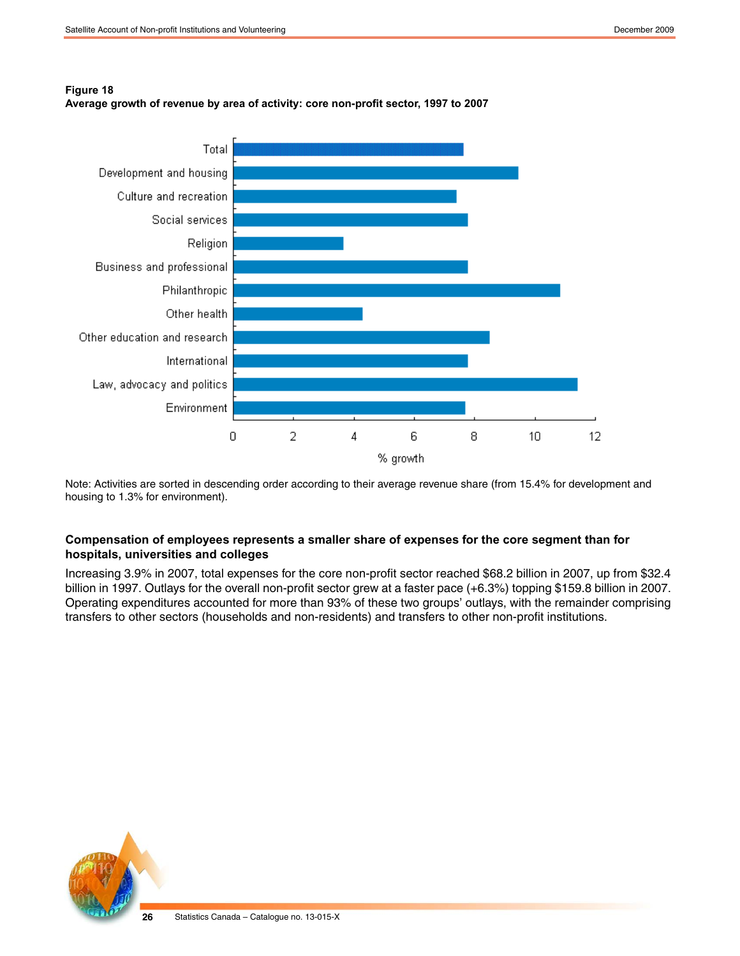# **Figure 18**

**Average growth of revenue by area of activity: core non-profit sector, 1997 to 2007**



Note: Activities are sorted in descending order according to their average revenue share (from 15.4% for development and housing to 1.3% for environment).

# **Compensation of employees represents a smaller share of expenses for the core segment than for hospitals, universities and colleges**

Increasing 3.9% in 2007, total expenses for the core non-profit sector reached \$68.2 billion in 2007, up from \$32.4 billion in 1997. Outlays for the overall non-profit sector grew at a faster pace (+6.3%) topping \$159.8 billion in 2007. Operating expenditures accounted for more than 93% of these two groups' outlays, with the remainder comprising transfers to other sectors (households and non-residents) and transfers to other non-profit institutions.

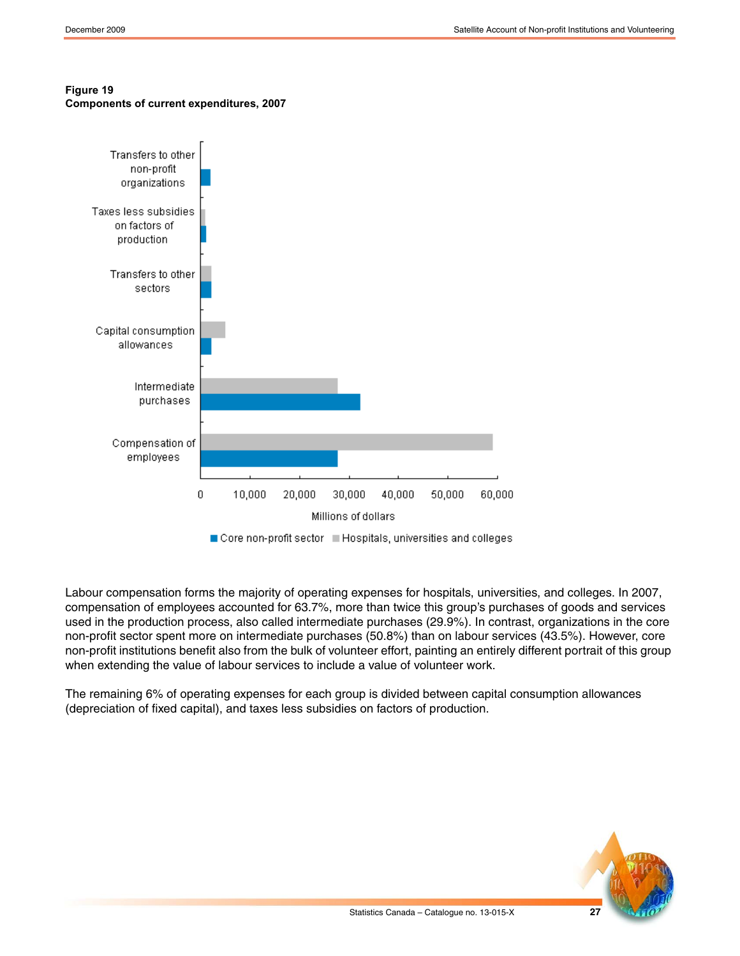

#### **Figure 19 Components of current expenditures, 2007**

Labour compensation forms the majority of operating expenses for hospitals, universities, and colleges. In 2007, compensation of employees accounted for 63.7%, more than twice this group's purchases of goods and services used in the production process, also called intermediate purchases (29.9%). In contrast, organizations in the core non-profit sector spent more on intermediate purchases (50.8%) than on labour services (43.5%). However, core non-profit institutions benefit also from the bulk of volunteer effort, painting an entirely different portrait of this group when extending the value of labour services to include a value of volunteer work.

The remaining 6% of operating expenses for each group is divided between capital consumption allowances (depreciation of fixed capital), and taxes less subsidies on factors of production.

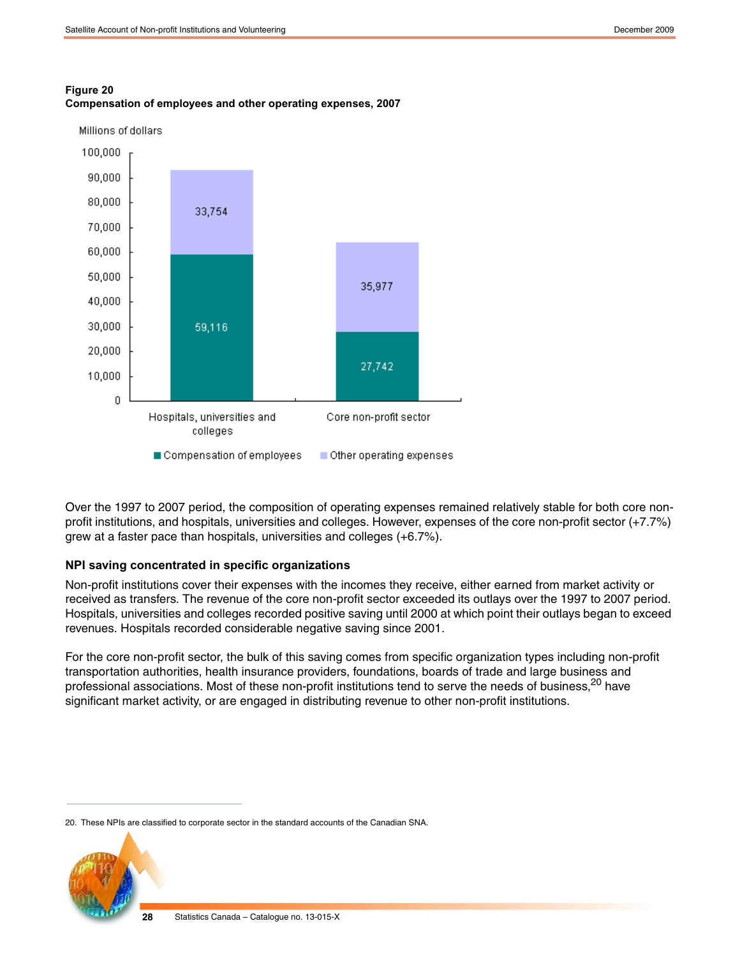

# **Figure 20 Compensation of employees and other operating expenses, 2007**

Over the 1997 to 2007 period, the composition of operating expenses remained relatively stable for both core nonprofit institutions, and hospitals, universities and colleges. However, expenses of the core non-profit sector (+7.7%) grew at a faster pace than hospitals, universities and colleges (+6.7%).

# **NPI saving concentrated in specific organizations**

Non-profit institutions cover their expenses with the incomes they receive, either earned from market activity or received as transfers. The revenue of the core non-profit sector exceeded its outlays over the 1997 to 2007 period. Hospitals, universities and colleges recorded positive saving until 2000 at which point their outlays began to exceed revenues. Hospitals recorded considerable negative saving since 2001.

For the core non-profit sector, the bulk of this saving comes from specific organization types including non-profit transportation authorities, health insurance providers, foundations, boards of trade and large business and professional associations. Most of these non-profit institutions tend to serve the needs of business,<sup>20</sup> have significant market activity, or are engaged in distributing revenue to other non-profit institutions.

<sup>20.</sup> These NPIs are classified to corporate sector in the standard accounts of the Canadian SNA.

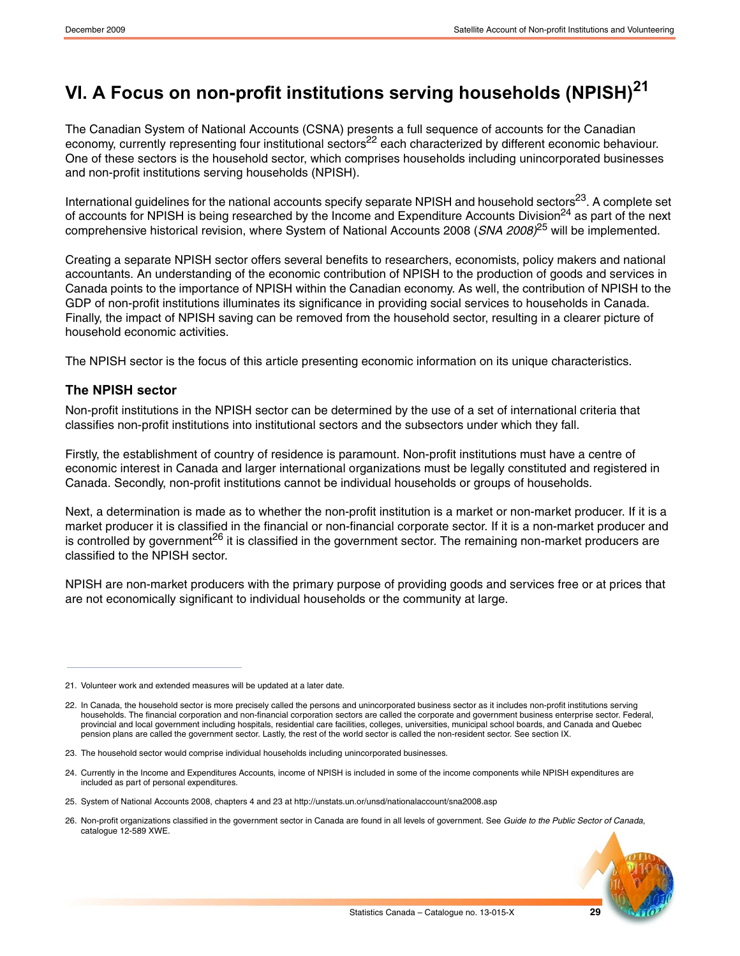# <span id="page-28-0"></span>**VI. A Focus on non-profit institutions serving households (NPISH)<sup>21</sup>**

The Canadian System of National Accounts (CSNA) presents a full sequence of accounts for the Canadian economy, currently representing four institutional sectors<sup>22</sup> each characterized by different economic behaviour. One of these sectors is the household sector, which comprises households including unincorporated businesses and non-profit institutions serving households (NPISH).

International guidelines for the national accounts specify separate NPISH and household sectors<sup>23</sup>. A complete set of accounts for NPISH is being researched by the Income and Expenditure Accounts Division<sup>24</sup> as part of the next comprehensive historical revision, where System of National Accounts 2008 (*SNA 2008)*25 will be implemented.

Creating a separate NPISH sector offers several benefits to researchers, economists, policy makers and national accountants. An understanding of the economic contribution of NPISH to the production of goods and services in Canada points to the importance of NPISH within the Canadian economy. As well, the contribution of NPISH to the GDP of non-profit institutions illuminates its significance in providing social services to households in Canada. Finally, the impact of NPISH saving can be removed from the household sector, resulting in a clearer picture of household economic activities.

The NPISH sector is the focus of this article presenting economic information on its unique characteristics.

# **The NPISH sector**

Non-profit institutions in the NPISH sector can be determined by the use of a set of international criteria that classifies non-profit institutions into institutional sectors and the subsectors under which they fall.

Firstly, the establishment of country of residence is paramount. Non-profit institutions must have a centre of economic interest in Canada and larger international organizations must be legally constituted and registered in Canada. Secondly, non-profit institutions cannot be individual households or groups of households.

Next, a determination is made as to whether the non-profit institution is a market or non-market producer. If it is a market producer it is classified in the financial or non-financial corporate sector. If it is a non-market producer and is controlled by government<sup>26</sup> it is classified in the government sector. The remaining non-market producers are classified to the NPISH sector.

NPISH are non-market producers with the primary purpose of providing goods and services free or at prices that are not economically significant to individual households or the community at large.

<sup>26.</sup> Non-profit organizations classified in the government sector in Canada are found in all levels of government. See *Guide to the Public Sector of Canada*, catalogue 12-589 XWE.



<sup>21.</sup> Volunteer work and extended measures will be updated at a later date.

<sup>22.</sup> In Canada, the household sector is more precisely called the persons and unincorporated business sector as it includes non-profit institutions serving households. The financial corporation and non-financial corporation sectors are called the corporate and government business enterprise sector. Federal, provincial and local government including hospitals, residential care facilities, colleges, universities, municipal school boards, and Canada and Quebec pension plans are called the government sector. Lastly, the rest of the world sector is called the non-resident sector. See section IX.

<sup>23.</sup> The household sector would comprise individual households including unincorporated businesses.

<sup>24.</sup> Currently in the Income and Expenditures Accounts, income of NPISH is included in some of the income components while NPISH expenditures are included as part of personal expenditures.

<sup>25.</sup> [System of National Accounts 2008, chapters 4 and 23 at http://unstats.un.or/unsd/nationalaccount/sna2008.asp](http://unstats.un.or/unsd/nationalaccount/sna2008.asp)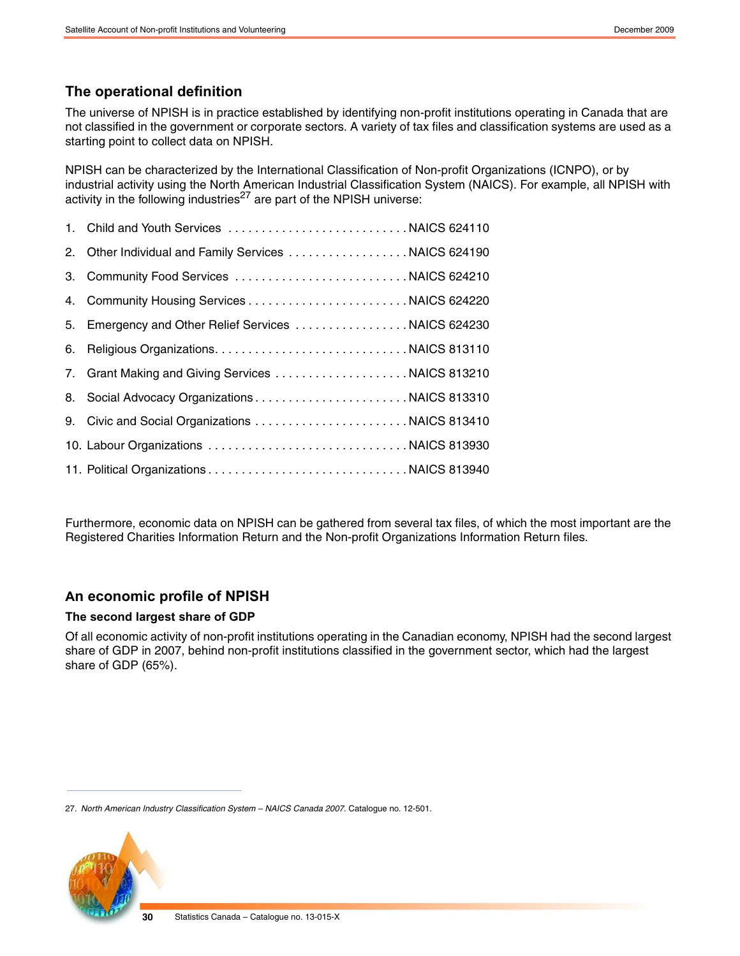# **The operational definition**

The universe of NPISH is in practice established by identifying non-profit institutions operating in Canada that are not classified in the government or corporate sectors. A variety of tax files and classification systems are used as a starting point to collect data on NPISH.

NPISH can be characterized by the International Classification of Non-profit Organizations (ICNPO), or by industrial activity using the North American Industrial Classification System (NAICS). For example, all NPISH with activity in the following industries $^{27}$  are part of the NPISH universe:

|    | 1. Child and Youth Services  NAICS 624110             |  |
|----|-------------------------------------------------------|--|
|    | 2. Other Individual and Family Services  NAICS 624190 |  |
|    | 3. Community Food Services  NAICS 624210              |  |
|    |                                                       |  |
|    | 5. Emergency and Other Relief Services  NAICS 624230  |  |
| 6. |                                                       |  |
|    | 7. Grant Making and Giving Services  NAICS 813210     |  |
|    |                                                       |  |
|    |                                                       |  |
|    |                                                       |  |
|    |                                                       |  |

Furthermore, economic data on NPISH can be gathered from several tax files, of which the most important are the Registered Charities Information Return and the Non-profit Organizations Information Return files.

# **An economic profile of NPISH**

### **The second largest share of GDP**

Of all economic activity of non-profit institutions operating in the Canadian economy, NPISH had the second largest share of GDP in 2007, behind non-profit institutions classified in the government sector, which had the largest share of GDP (65%).

<sup>27.</sup> *North American Industry Classification System – NAICS Canada 2007*. Catalogue no. 12-501.

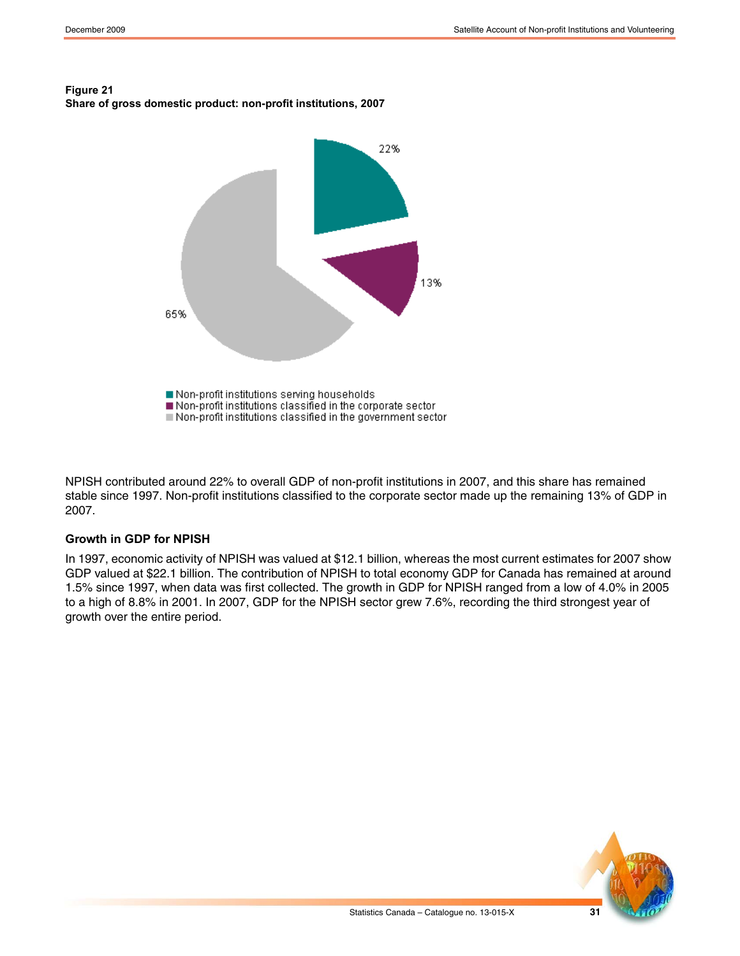#### **Figure 21 Share of gross domestic product: non-profit institutions, 2007**



NPISH contributed around 22% to overall GDP of non-profit institutions in 2007, and this share has remained stable since 1997. Non-profit institutions classified to the corporate sector made up the remaining 13% of GDP in 2007.

### **Growth in GDP for NPISH**

In 1997, economic activity of NPISH was valued at \$12.1 billion, whereas the most current estimates for 2007 show GDP valued at \$22.1 billion. The contribution of NPISH to total economy GDP for Canada has remained at around 1.5% since 1997, when data was first collected. The growth in GDP for NPISH ranged from a low of 4.0% in 2005 to a high of 8.8% in 2001. In 2007, GDP for the NPISH sector grew 7.6%, recording the third strongest year of growth over the entire period.

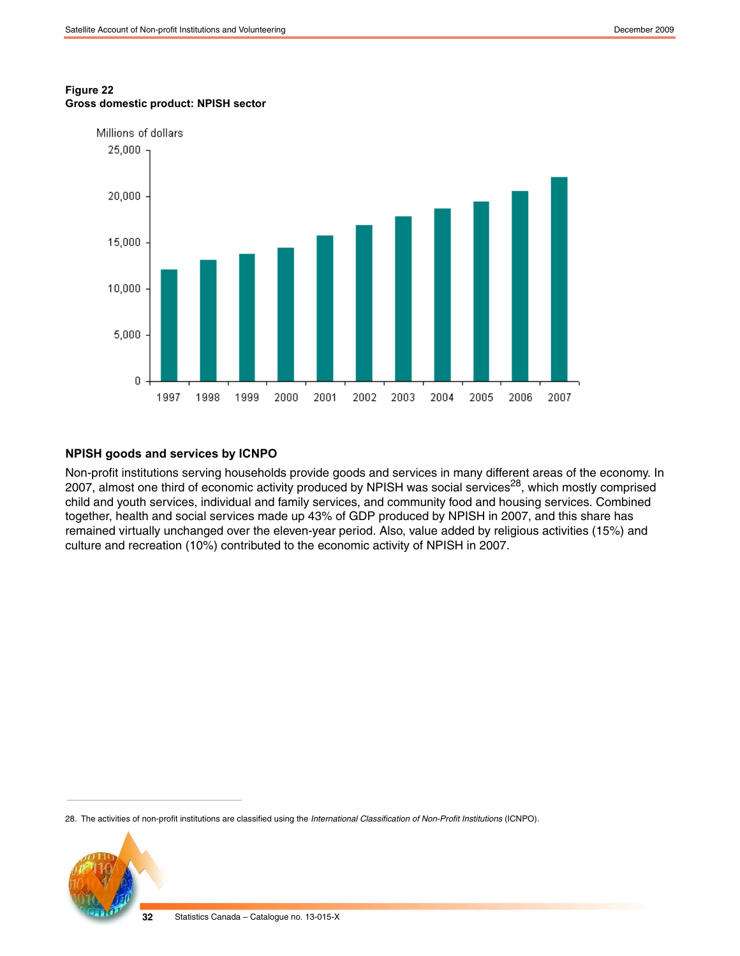



### **NPISH goods and services by ICNPO**

Non-profit institutions serving households provide goods and services in many different areas of the economy. In 2007, almost one third of economic activity produced by NPISH was social services<sup>28</sup>, which mostly comprised child and youth services, individual and family services, and community food and housing services. Combined together, health and social services made up 43% of GDP produced by NPISH in 2007, and this share has remained virtually unchanged over the eleven-year period. Also, value added by religious activities (15%) and culture and recreation (10%) contributed to the economic activity of NPISH in 2007.

<sup>28.</sup> The activities of non-profit institutions are classified using the *International Classification of Non-Profit Institutions* (ICNPO).

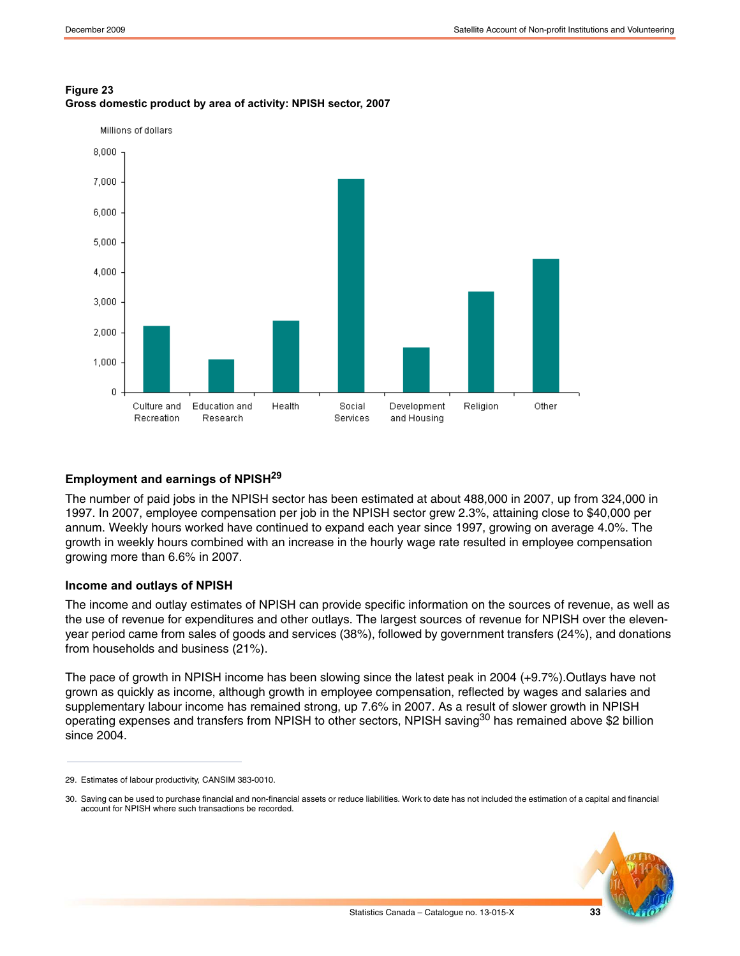

### **Figure 23 Gross domestic product by area of activity: NPISH sector, 2007**

### **Employment and earnings of NPISH29**

The number of paid jobs in the NPISH sector has been estimated at about 488,000 in 2007, up from 324,000 in 1997. In 2007, employee compensation per job in the NPISH sector grew 2.3%, attaining close to \$40,000 per annum. Weekly hours worked have continued to expand each year since 1997, growing on average 4.0%. The growth in weekly hours combined with an increase in the hourly wage rate resulted in employee compensation growing more than 6.6% in 2007.

### **Income and outlays of NPISH**

The income and outlay estimates of NPISH can provide specific information on the sources of revenue, as well as the use of revenue for expenditures and other outlays. The largest sources of revenue for NPISH over the elevenyear period came from sales of goods and services (38%), followed by government transfers (24%), and donations from households and business (21%).

The pace of growth in NPISH income has been slowing since the latest peak in 2004 (+9.7%).Outlays have not grown as quickly as income, although growth in employee compensation, reflected by wages and salaries and supplementary labour income has remained strong, up 7.6% in 2007. As a result of slower growth in NPISH operating expenses and transfers from NPISH to other sectors, NPISH saving<sup>30</sup> has remained above \$2 billion since 2004.

<sup>30.</sup> Saving can be used to purchase financial and non-financial assets or reduce liabilities. Work to date has not included the estimation of a capital and financial account for NPISH where such transactions be recorded.



<sup>29.</sup> Estimates of labour productivity, CANSIM 383-0010.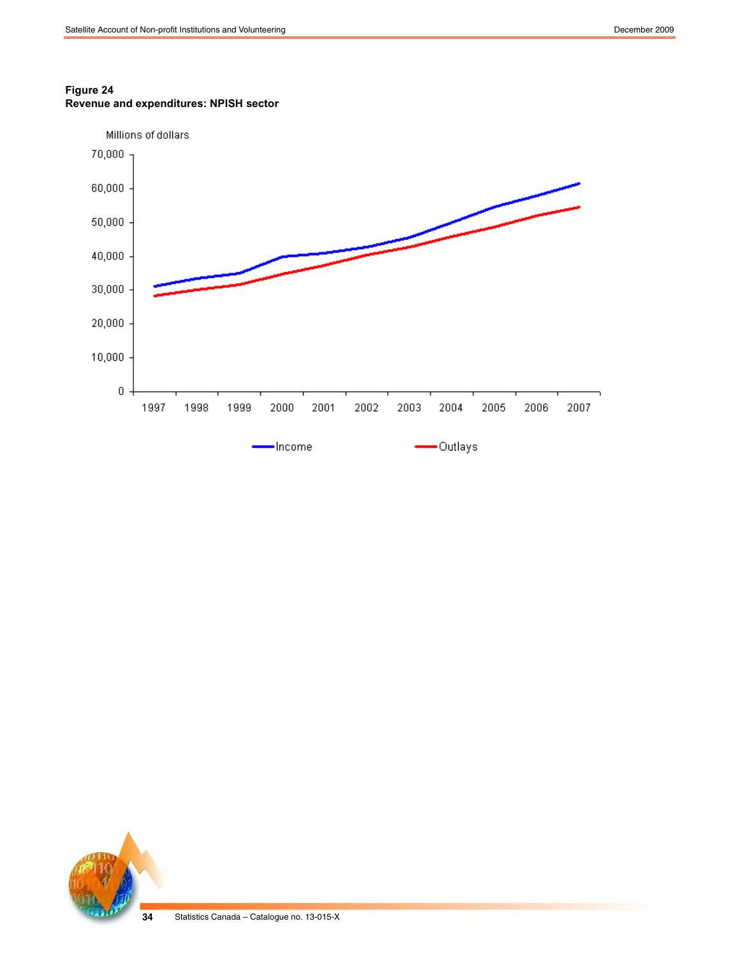### **Figure 24 Revenue and expenditures: NPISH sector**



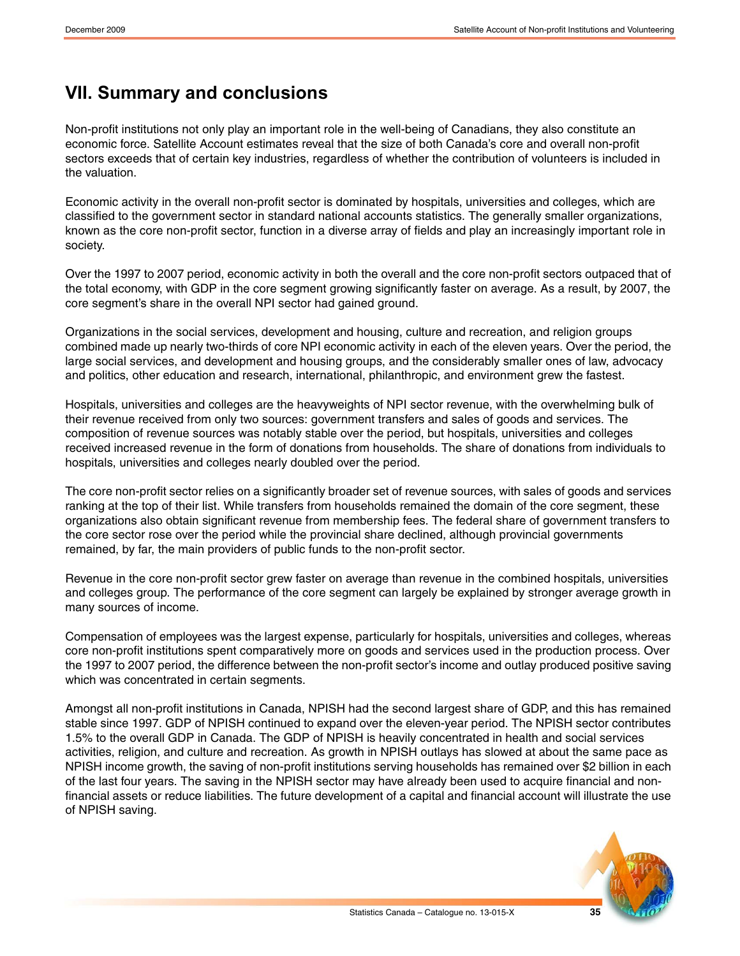# <span id="page-34-0"></span>**VII. Summary and conclusions**

Non-profit institutions not only play an important role in the well-being of Canadians, they also constitute an economic force. Satellite Account estimates reveal that the size of both Canada's core and overall non-profit sectors exceeds that of certain key industries, regardless of whether the contribution of volunteers is included in the valuation.

Economic activity in the overall non-profit sector is dominated by hospitals, universities and colleges, which are classified to the government sector in standard national accounts statistics. The generally smaller organizations, known as the core non-profit sector, function in a diverse array of fields and play an increasingly important role in society.

Over the 1997 to 2007 period, economic activity in both the overall and the core non-profit sectors outpaced that of the total economy, with GDP in the core segment growing significantly faster on average. As a result, by 2007, the core segment's share in the overall NPI sector had gained ground.

Organizations in the social services, development and housing, culture and recreation, and religion groups combined made up nearly two-thirds of core NPI economic activity in each of the eleven years. Over the period, the large social services, and development and housing groups, and the considerably smaller ones of law, advocacy and politics, other education and research, international, philanthropic, and environment grew the fastest.

Hospitals, universities and colleges are the heavyweights of NPI sector revenue, with the overwhelming bulk of their revenue received from only two sources: government transfers and sales of goods and services. The composition of revenue sources was notably stable over the period, but hospitals, universities and colleges received increased revenue in the form of donations from households. The share of donations from individuals to hospitals, universities and colleges nearly doubled over the period.

The core non-profit sector relies on a significantly broader set of revenue sources, with sales of goods and services ranking at the top of their list. While transfers from households remained the domain of the core segment, these organizations also obtain significant revenue from membership fees. The federal share of government transfers to the core sector rose over the period while the provincial share declined, although provincial governments remained, by far, the main providers of public funds to the non-profit sector.

Revenue in the core non-profit sector grew faster on average than revenue in the combined hospitals, universities and colleges group. The performance of the core segment can largely be explained by stronger average growth in many sources of income.

Compensation of employees was the largest expense, particularly for hospitals, universities and colleges, whereas core non-profit institutions spent comparatively more on goods and services used in the production process. Over the 1997 to 2007 period, the difference between the non-profit sector's income and outlay produced positive saving which was concentrated in certain segments.

Amongst all non-profit institutions in Canada, NPISH had the second largest share of GDP, and this has remained stable since 1997. GDP of NPISH continued to expand over the eleven-year period. The NPISH sector contributes 1.5% to the overall GDP in Canada. The GDP of NPISH is heavily concentrated in health and social services activities, religion, and culture and recreation. As growth in NPISH outlays has slowed at about the same pace as NPISH income growth, the saving of non-profit institutions serving households has remained over \$2 billion in each of the last four years. The saving in the NPISH sector may have already been used to acquire financial and nonfinancial assets or reduce liabilities. The future development of a capital and financial account will illustrate the use of NPISH saving.

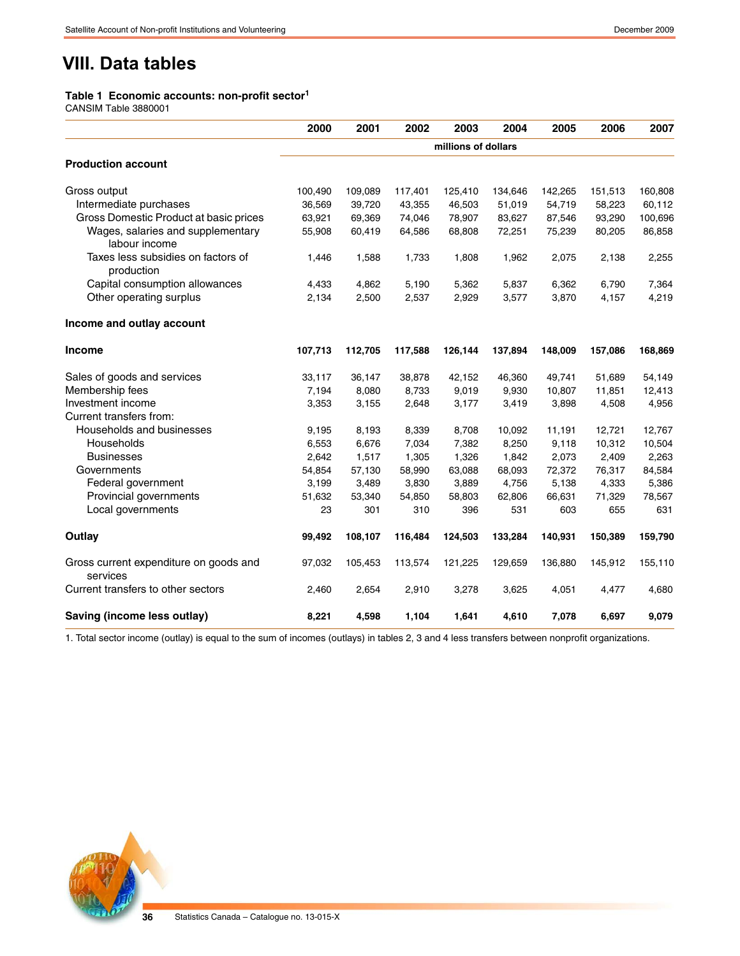# <span id="page-35-0"></span>**VIII. Data tables**

#### **Table 1 Economic accounts: non-profit sector1**

CANSIM Table 3880001

|                                                    | 2000    | 2001    | 2002    | 2003                | 2004    | 2005    | 2006    | 2007    |
|----------------------------------------------------|---------|---------|---------|---------------------|---------|---------|---------|---------|
|                                                    |         |         |         | millions of dollars |         |         |         |         |
| <b>Production account</b>                          |         |         |         |                     |         |         |         |         |
| Gross output                                       | 100,490 | 109,089 | 117,401 | 125,410             | 134,646 | 142,265 | 151,513 | 160,808 |
| Intermediate purchases                             | 36,569  | 39,720  | 43,355  | 46,503              | 51,019  | 54,719  | 58,223  | 60,112  |
| Gross Domestic Product at basic prices             | 63,921  | 69,369  | 74,046  | 78,907              | 83,627  | 87,546  | 93,290  | 100,696 |
| Wages, salaries and supplementary<br>labour income | 55,908  | 60,419  | 64,586  | 68,808              | 72,251  | 75,239  | 80,205  | 86,858  |
| Taxes less subsidies on factors of<br>production   | 1,446   | 1,588   | 1,733   | 1,808               | 1,962   | 2,075   | 2,138   | 2,255   |
| Capital consumption allowances                     | 4,433   | 4,862   | 5,190   | 5,362               | 5,837   | 6,362   | 6,790   | 7,364   |
| Other operating surplus                            | 2,134   | 2,500   | 2,537   | 2,929               | 3,577   | 3,870   | 4,157   | 4,219   |
| Income and outlay account                          |         |         |         |                     |         |         |         |         |
| <b>Income</b>                                      | 107,713 | 112,705 | 117,588 | 126,144             | 137,894 | 148,009 | 157,086 | 168,869 |
| Sales of goods and services                        | 33,117  | 36,147  | 38,878  | 42,152              | 46,360  | 49,741  | 51,689  | 54,149  |
| Membership fees                                    | 7,194   | 8,080   | 8,733   | 9,019               | 9,930   | 10,807  | 11,851  | 12,413  |
| Investment income                                  | 3,353   | 3,155   | 2,648   | 3,177               | 3,419   | 3,898   | 4,508   | 4,956   |
| Current transfers from:                            |         |         |         |                     |         |         |         |         |
| Households and businesses                          | 9,195   | 8,193   | 8,339   | 8,708               | 10,092  | 11,191  | 12,721  | 12,767  |
| Households                                         | 6,553   | 6,676   | 7,034   | 7,382               | 8,250   | 9,118   | 10,312  | 10,504  |
| <b>Businesses</b>                                  | 2,642   | 1,517   | 1,305   | 1,326               | 1,842   | 2,073   | 2,409   | 2,263   |
| Governments                                        | 54,854  | 57,130  | 58,990  | 63,088              | 68,093  | 72,372  | 76,317  | 84,584  |
| Federal government                                 | 3,199   | 3,489   | 3,830   | 3,889               | 4,756   | 5,138   | 4,333   | 5,386   |
| Provincial governments                             | 51,632  | 53,340  | 54,850  | 58,803              | 62,806  | 66,631  | 71,329  | 78,567  |
| Local governments                                  | 23      | 301     | 310     | 396                 | 531     | 603     | 655     | 631     |
| Outlay                                             | 99,492  | 108,107 | 116,484 | 124,503             | 133,284 | 140,931 | 150,389 | 159,790 |
| Gross current expenditure on goods and<br>services | 97,032  | 105,453 | 113,574 | 121,225             | 129,659 | 136,880 | 145,912 | 155,110 |
| Current transfers to other sectors                 | 2,460   | 2,654   | 2,910   | 3,278               | 3,625   | 4,051   | 4,477   | 4,680   |
| Saving (income less outlay)                        | 8,221   | 4,598   | 1,104   | 1,641               | 4,610   | 7,078   | 6,697   | 9,079   |

1. Total sector income (outlay) is equal to the sum of incomes (outlays) in tables 2, 3 and 4 less transfers between nonprofit organizations.

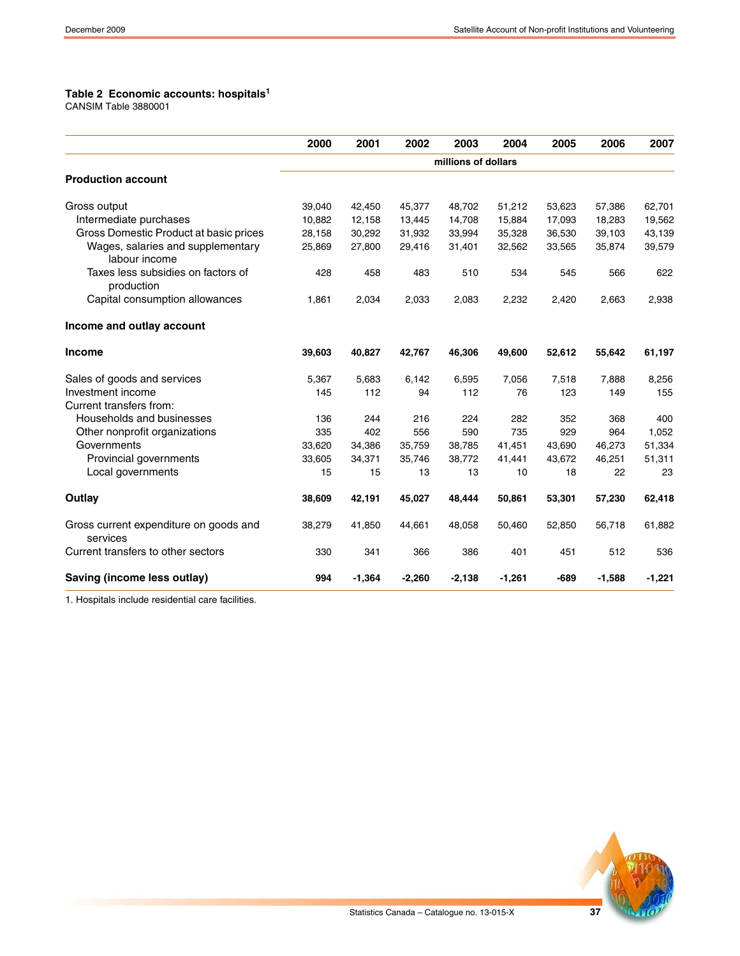## **Table 2 Economic accounts: hospitals<sup>1</sup>**

CANSIM Table 3880001

|                                                    | 2000   | 2001     | 2002     | 2003                | 2004     | 2005   | 2006     | 2007     |
|----------------------------------------------------|--------|----------|----------|---------------------|----------|--------|----------|----------|
|                                                    |        |          |          | millions of dollars |          |        |          |          |
| <b>Production account</b>                          |        |          |          |                     |          |        |          |          |
| Gross output                                       | 39,040 | 42,450   | 45,377   | 48,702              | 51,212   | 53,623 | 57,386   | 62,701   |
| Intermediate purchases                             | 10,882 | 12,158   | 13,445   | 14,708              | 15,884   | 17,093 | 18,283   | 19,562   |
| Gross Domestic Product at basic prices             | 28,158 | 30,292   | 31,932   | 33,994              | 35,328   | 36,530 | 39,103   | 43,139   |
| Wages, salaries and supplementary<br>labour income | 25,869 | 27,800   | 29,416   | 31,401              | 32,562   | 33,565 | 35,874   | 39,579   |
| Taxes less subsidies on factors of<br>production   | 428    | 458      | 483      | 510                 | 534      | 545    | 566      | 622      |
| Capital consumption allowances                     | 1,861  | 2,034    | 2,033    | 2,083               | 2,232    | 2,420  | 2,663    | 2,938    |
| Income and outlay account                          |        |          |          |                     |          |        |          |          |
| <b>Income</b>                                      | 39,603 | 40,827   | 42,767   | 46,306              | 49,600   | 52,612 | 55,642   | 61,197   |
| Sales of goods and services                        | 5,367  | 5,683    | 6,142    | 6,595               | 7,056    | 7,518  | 7,888    | 8,256    |
| Investment income                                  | 145    | 112      | 94       | 112                 | 76       | 123    | 149      | 155      |
| Current transfers from:                            |        |          |          |                     |          |        |          |          |
| Households and businesses                          | 136    | 244      | 216      | 224                 | 282      | 352    | 368      | 400      |
| Other nonprofit organizations                      | 335    | 402      | 556      | 590                 | 735      | 929    | 964      | 1,052    |
| Governments                                        | 33,620 | 34,386   | 35,759   | 38,785              | 41,451   | 43,690 | 46,273   | 51,334   |
| Provincial governments                             | 33,605 | 34,371   | 35,746   | 38,772              | 41,441   | 43,672 | 46,251   | 51,311   |
| Local governments                                  | 15     | 15       | 13       | 13                  | 10       | 18     | 22       | 23       |
| Outlay                                             | 38,609 | 42,191   | 45,027   | 48,444              | 50,861   | 53,301 | 57,230   | 62,418   |
| Gross current expenditure on goods and<br>services | 38,279 | 41,850   | 44,661   | 48,058              | 50,460   | 52,850 | 56,718   | 61,882   |
| Current transfers to other sectors                 | 330    | 341      | 366      | 386                 | 401      | 451    | 512      | 536      |
| Saving (income less outlay)                        | 994    | $-1,364$ | $-2,260$ | $-2,138$            | $-1,261$ | $-689$ | $-1,588$ | $-1,221$ |

1. Hospitals include residential care facilities.

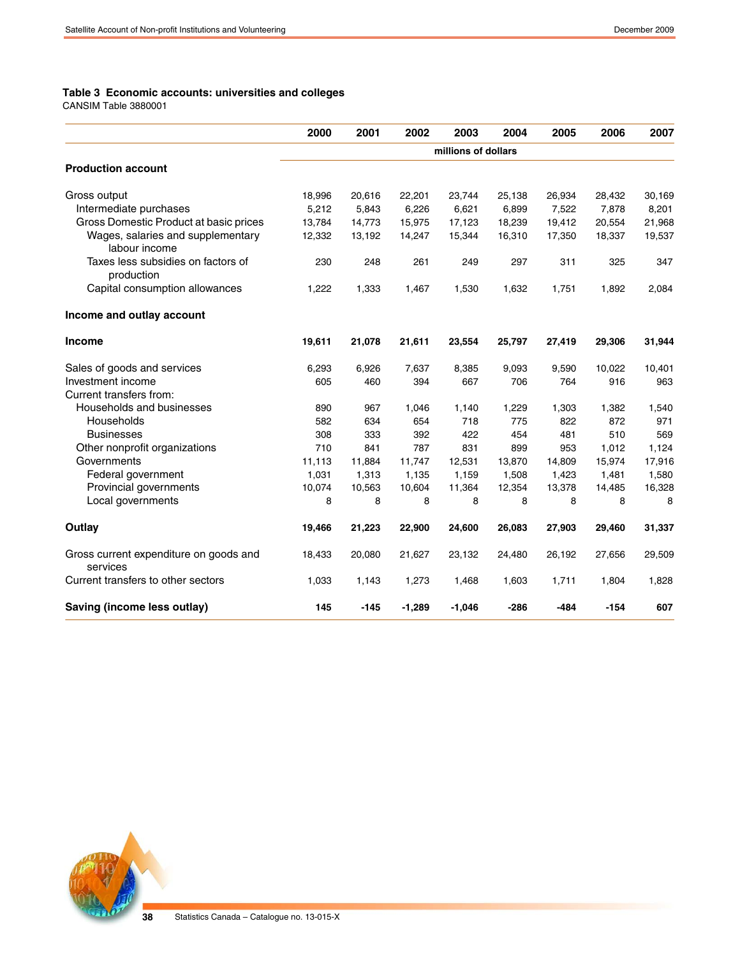### **Table 3 Economic accounts: universities and colleges**

CANSIM Table 3880001

|                                                    | 2000   | 2001   | 2002     | 2003                | 2004   | 2005   | 2006   | 2007   |
|----------------------------------------------------|--------|--------|----------|---------------------|--------|--------|--------|--------|
|                                                    |        |        |          | millions of dollars |        |        |        |        |
| <b>Production account</b>                          |        |        |          |                     |        |        |        |        |
| Gross output                                       | 18,996 | 20,616 | 22,201   | 23,744              | 25,138 | 26,934 | 28,432 | 30,169 |
| Intermediate purchases                             | 5,212  | 5,843  | 6,226    | 6,621               | 6,899  | 7,522  | 7,878  | 8,201  |
| Gross Domestic Product at basic prices             | 13,784 | 14,773 | 15,975   | 17,123              | 18,239 | 19,412 | 20,554 | 21,968 |
| Wages, salaries and supplementary<br>labour income | 12,332 | 13,192 | 14,247   | 15,344              | 16,310 | 17,350 | 18,337 | 19,537 |
| Taxes less subsidies on factors of<br>production   | 230    | 248    | 261      | 249                 | 297    | 311    | 325    | 347    |
| Capital consumption allowances                     | 1,222  | 1,333  | 1,467    | 1,530               | 1,632  | 1,751  | 1,892  | 2,084  |
| Income and outlay account                          |        |        |          |                     |        |        |        |        |
| <b>Income</b>                                      | 19,611 | 21,078 | 21,611   | 23,554              | 25,797 | 27,419 | 29,306 | 31,944 |
| Sales of goods and services                        | 6,293  | 6,926  | 7,637    | 8,385               | 9,093  | 9,590  | 10,022 | 10,401 |
| Investment income                                  | 605    | 460    | 394      | 667                 | 706    | 764    | 916    | 963    |
| Current transfers from:                            |        |        |          |                     |        |        |        |        |
| Households and businesses                          | 890    | 967    | 1,046    | 1,140               | 1,229  | 1,303  | 1,382  | 1,540  |
| Households                                         | 582    | 634    | 654      | 718                 | 775    | 822    | 872    | 971    |
| <b>Businesses</b>                                  | 308    | 333    | 392      | 422                 | 454    | 481    | 510    | 569    |
| Other nonprofit organizations                      | 710    | 841    | 787      | 831                 | 899    | 953    | 1,012  | 1,124  |
| Governments                                        | 11,113 | 11,884 | 11,747   | 12,531              | 13,870 | 14,809 | 15,974 | 17,916 |
| Federal government                                 | 1,031  | 1,313  | 1,135    | 1,159               | 1,508  | 1,423  | 1,481  | 1,580  |
| Provincial governments                             | 10,074 | 10,563 | 10,604   | 11,364              | 12,354 | 13,378 | 14,485 | 16,328 |
| Local governments                                  | 8      | 8      | 8        | 8                   | 8      | 8      | 8      | 8      |
| Outlay                                             | 19,466 | 21,223 | 22,900   | 24,600              | 26,083 | 27,903 | 29,460 | 31,337 |
| Gross current expenditure on goods and<br>services | 18,433 | 20,080 | 21,627   | 23,132              | 24,480 | 26,192 | 27,656 | 29,509 |
| Current transfers to other sectors                 | 1,033  | 1,143  | 1,273    | 1,468               | 1,603  | 1,711  | 1,804  | 1,828  |
| Saving (income less outlay)                        | 145    | $-145$ | $-1,289$ | $-1,046$            | $-286$ | $-484$ | $-154$ | 607    |

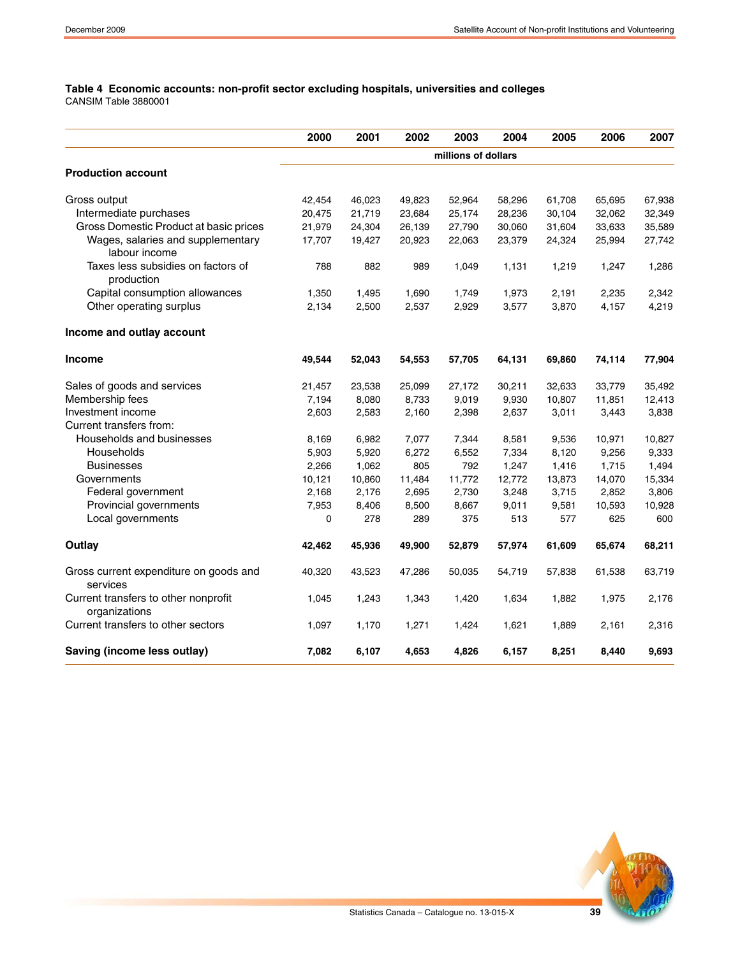**Table 4 Economic accounts: non-profit sector excluding hospitals, universities and colleges** CANSIM Table 3880001

|                                                       | 2000   | 2001   | 2002   | 2003                | 2004   | 2005   | 2006   | 2007   |
|-------------------------------------------------------|--------|--------|--------|---------------------|--------|--------|--------|--------|
|                                                       |        |        |        | millions of dollars |        |        |        |        |
| <b>Production account</b>                             |        |        |        |                     |        |        |        |        |
| Gross output                                          | 42,454 | 46,023 | 49,823 | 52,964              | 58,296 | 61,708 | 65,695 | 67,938 |
| Intermediate purchases                                | 20,475 | 21,719 | 23,684 | 25,174              | 28,236 | 30,104 | 32,062 | 32,349 |
| Gross Domestic Product at basic prices                | 21,979 | 24,304 | 26,139 | 27,790              | 30,060 | 31,604 | 33,633 | 35,589 |
| Wages, salaries and supplementary<br>labour income    | 17,707 | 19,427 | 20,923 | 22,063              | 23,379 | 24,324 | 25,994 | 27,742 |
| Taxes less subsidies on factors of<br>production      | 788    | 882    | 989    | 1,049               | 1,131  | 1,219  | 1,247  | 1,286  |
| Capital consumption allowances                        | 1,350  | 1,495  | 1,690  | 1,749               | 1,973  | 2,191  | 2,235  | 2,342  |
| Other operating surplus                               | 2,134  | 2,500  | 2,537  | 2,929               | 3,577  | 3,870  | 4,157  | 4,219  |
| Income and outlay account                             |        |        |        |                     |        |        |        |        |
| <b>Income</b>                                         | 49,544 | 52,043 | 54,553 | 57,705              | 64,131 | 69,860 | 74,114 | 77,904 |
| Sales of goods and services                           | 21,457 | 23,538 | 25,099 | 27,172              | 30,211 | 32,633 | 33,779 | 35,492 |
| Membership fees                                       | 7,194  | 8,080  | 8,733  | 9,019               | 9,930  | 10,807 | 11,851 | 12,413 |
| Investment income                                     | 2,603  | 2,583  | 2,160  | 2,398               | 2,637  | 3,011  | 3,443  | 3,838  |
| Current transfers from:                               |        |        |        |                     |        |        |        |        |
| Households and businesses                             | 8,169  | 6,982  | 7,077  | 7,344               | 8,581  | 9,536  | 10,971 | 10,827 |
| Households                                            | 5,903  | 5,920  | 6,272  | 6,552               | 7,334  | 8,120  | 9,256  | 9,333  |
| <b>Businesses</b>                                     | 2,266  | 1,062  | 805    | 792                 | 1,247  | 1,416  | 1,715  | 1,494  |
| Governments                                           | 10,121 | 10,860 | 11,484 | 11,772              | 12,772 | 13,873 | 14,070 | 15,334 |
| Federal government                                    | 2,168  | 2,176  | 2,695  | 2,730               | 3,248  | 3,715  | 2,852  | 3,806  |
| Provincial governments                                | 7,953  | 8,406  | 8,500  | 8,667               | 9,011  | 9,581  | 10,593 | 10,928 |
| Local governments                                     | 0      | 278    | 289    | 375                 | 513    | 577    | 625    | 600    |
| Outlay                                                | 42,462 | 45,936 | 49,900 | 52,879              | 57,974 | 61,609 | 65,674 | 68,211 |
| Gross current expenditure on goods and<br>services    | 40,320 | 43,523 | 47,286 | 50,035              | 54,719 | 57,838 | 61,538 | 63,719 |
| Current transfers to other nonprofit<br>organizations | 1,045  | 1,243  | 1,343  | 1,420               | 1,634  | 1,882  | 1,975  | 2,176  |
| Current transfers to other sectors                    | 1,097  | 1,170  | 1,271  | 1,424               | 1,621  | 1,889  | 2,161  | 2,316  |
| Saving (income less outlay)                           | 7,082  | 6,107  | 4,653  | 4,826               | 6,157  | 8,251  | 8,440  | 9,693  |

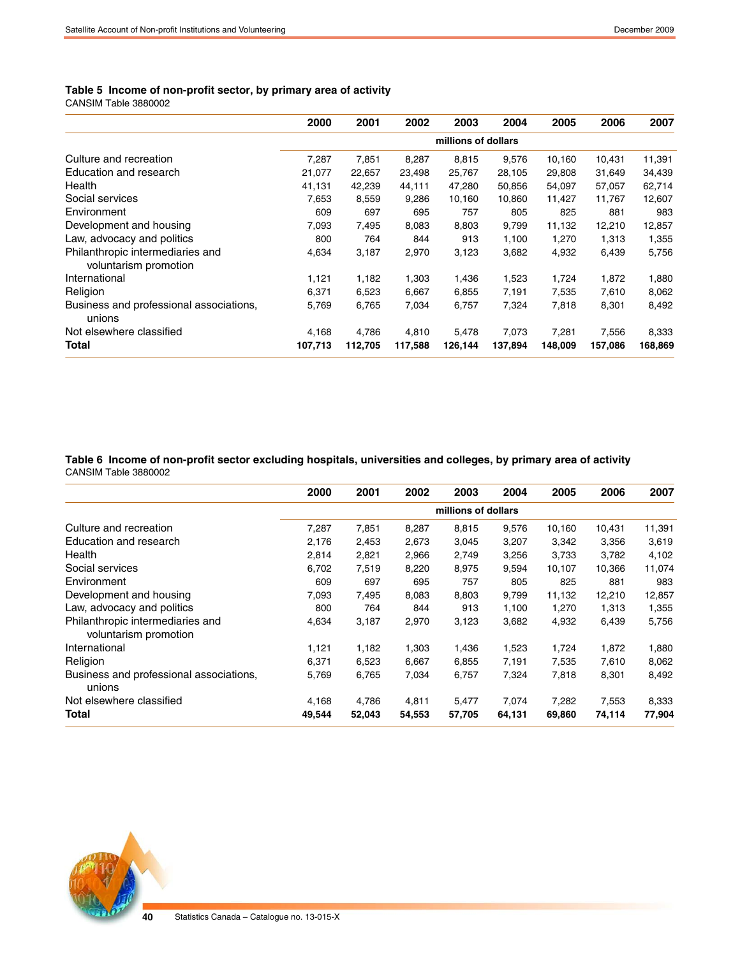### **Table 5 Income of non-profit sector, by primary area of activity**

CANSIM Table 3880002

|                                                           | 2000                | 2001    | 2002    | 2003    | 2004    | 2005    | 2006    | 2007    |  |
|-----------------------------------------------------------|---------------------|---------|---------|---------|---------|---------|---------|---------|--|
|                                                           | millions of dollars |         |         |         |         |         |         |         |  |
| Culture and recreation                                    | 7,287               | 7,851   | 8,287   | 8,815   | 9,576   | 10,160  | 10,431  | 11,391  |  |
| Education and research                                    | 21,077              | 22,657  | 23,498  | 25,767  | 28,105  | 29,808  | 31,649  | 34,439  |  |
| Health                                                    | 41,131              | 42,239  | 44,111  | 47,280  | 50,856  | 54,097  | 57,057  | 62,714  |  |
| Social services                                           | 7,653               | 8,559   | 9,286   | 10,160  | 10,860  | 11,427  | 11,767  | 12,607  |  |
| Environment                                               | 609                 | 697     | 695     | 757     | 805     | 825     | 881     | 983     |  |
| Development and housing                                   | 7,093               | 7,495   | 8,083   | 8,803   | 9,799   | 11,132  | 12,210  | 12,857  |  |
| Law, advocacy and politics                                | 800                 | 764     | 844     | 913     | 1,100   | 1.270   | 1,313   | 1,355   |  |
| Philanthropic intermediaries and<br>voluntarism promotion | 4,634               | 3,187   | 2,970   | 3,123   | 3,682   | 4,932   | 6,439   | 5,756   |  |
| International                                             | 1,121               | 1,182   | 1,303   | 1,436   | 1,523   | 1,724   | 1,872   | 1,880   |  |
| Religion                                                  | 6,371               | 6,523   | 6,667   | 6,855   | 7,191   | 7,535   | 7,610   | 8,062   |  |
| Business and professional associations,<br>unions         | 5,769               | 6,765   | 7,034   | 6,757   | 7,324   | 7,818   | 8,301   | 8,492   |  |
| Not elsewhere classified                                  | 4,168               | 4,786   | 4,810   | 5,478   | 7,073   | 7,281   | 7,556   | 8,333   |  |
| Total                                                     | 107,713             | 112,705 | 117,588 | 126,144 | 137.894 | 148.009 | 157,086 | 168,869 |  |

#### **Table 6 Income of non-profit sector excluding hospitals, universities and colleges, by primary area of activity** CANSIM Table 3880002

|                                                           | 2000                | 2001   | 2002   | 2003   | 2004   | 2005   | 2006   | 2007   |  |
|-----------------------------------------------------------|---------------------|--------|--------|--------|--------|--------|--------|--------|--|
|                                                           | millions of dollars |        |        |        |        |        |        |        |  |
| Culture and recreation                                    | 7,287               | 7,851  | 8,287  | 8,815  | 9,576  | 10,160 | 10,431 | 11,391 |  |
| Education and research                                    | 2,176               | 2,453  | 2,673  | 3,045  | 3,207  | 3,342  | 3,356  | 3,619  |  |
| Health                                                    | 2,814               | 2,821  | 2,966  | 2,749  | 3,256  | 3,733  | 3,782  | 4,102  |  |
| Social services                                           | 6,702               | 7,519  | 8,220  | 8,975  | 9,594  | 10,107 | 10,366 | 11,074 |  |
| Environment                                               | 609                 | 697    | 695    | 757    | 805    | 825    | 881    | 983    |  |
| Development and housing                                   | 7,093               | 7,495  | 8,083  | 8,803  | 9,799  | 11,132 | 12,210 | 12,857 |  |
| Law, advocacy and politics                                | 800                 | 764    | 844    | 913    | 1,100  | 1,270  | 1,313  | 1,355  |  |
| Philanthropic intermediaries and<br>voluntarism promotion | 4,634               | 3,187  | 2,970  | 3,123  | 3,682  | 4,932  | 6,439  | 5,756  |  |
| International                                             | 1,121               | 1,182  | 1,303  | 1,436  | 1,523  | 1,724  | 1,872  | 1,880  |  |
| Religion                                                  | 6.371               | 6,523  | 6,667  | 6,855  | 7,191  | 7,535  | 7,610  | 8,062  |  |
| Business and professional associations,<br>unions         | 5,769               | 6,765  | 7,034  | 6,757  | 7,324  | 7,818  | 8,301  | 8,492  |  |
| Not elsewhere classified                                  | 4,168               | 4,786  | 4,811  | 5,477  | 7,074  | 7,282  | 7,553  | 8,333  |  |
| Total                                                     | 49,544              | 52,043 | 54,553 | 57,705 | 64,131 | 69,860 | 74,114 | 77,904 |  |

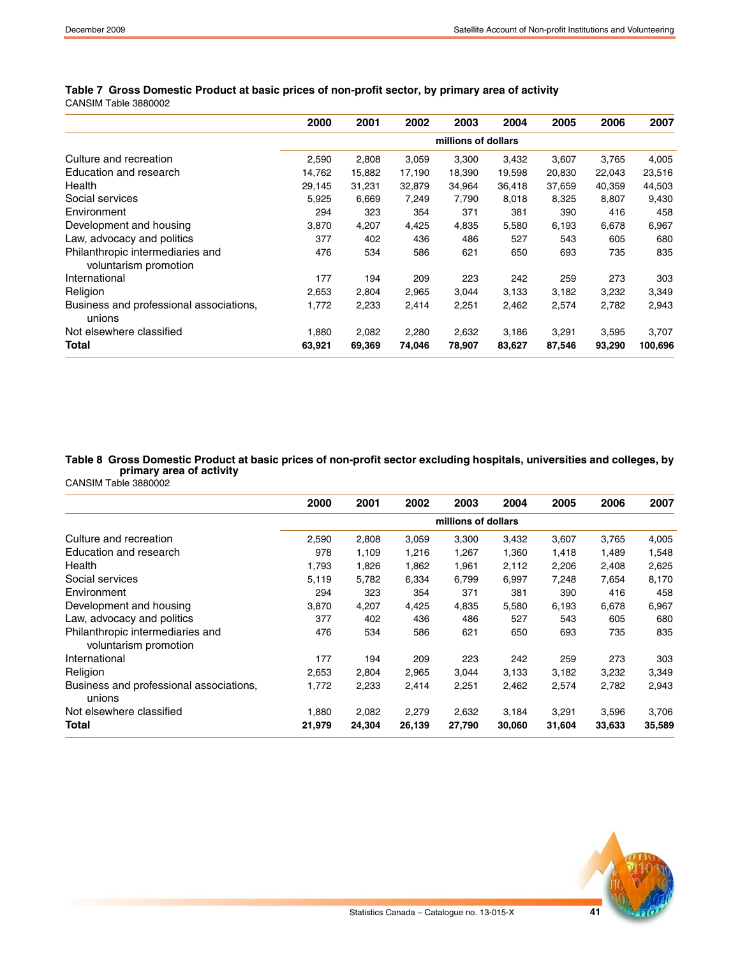|                                                           | 2000   | 2001   | 2002   | 2003                | 2004   | 2005   | 2006   | 2007    |
|-----------------------------------------------------------|--------|--------|--------|---------------------|--------|--------|--------|---------|
|                                                           |        |        |        | millions of dollars |        |        |        |         |
| Culture and recreation                                    | 2,590  | 2,808  | 3,059  | 3,300               | 3,432  | 3,607  | 3,765  | 4,005   |
| Education and research                                    | 14,762 | 15,882 | 17,190 | 18,390              | 19,598 | 20,830 | 22,043 | 23,516  |
| Health                                                    | 29,145 | 31,231 | 32,879 | 34,964              | 36,418 | 37,659 | 40,359 | 44,503  |
| Social services                                           | 5,925  | 6,669  | 7,249  | 7,790               | 8,018  | 8,325  | 8,807  | 9,430   |
| Environment                                               | 294    | 323    | 354    | 371                 | 381    | 390    | 416    | 458     |
| Development and housing                                   | 3,870  | 4,207  | 4,425  | 4,835               | 5,580  | 6,193  | 6,678  | 6,967   |
| Law, advocacy and politics                                | 377    | 402    | 436    | 486                 | 527    | 543    | 605    | 680     |
| Philanthropic intermediaries and<br>voluntarism promotion | 476    | 534    | 586    | 621                 | 650    | 693    | 735    | 835     |
| International                                             | 177    | 194    | 209    | 223                 | 242    | 259    | 273    | 303     |
| Religion                                                  | 2,653  | 2,804  | 2,965  | 3,044               | 3,133  | 3,182  | 3,232  | 3,349   |
| Business and professional associations,<br>unions         | 1,772  | 2,233  | 2,414  | 2,251               | 2,462  | 2,574  | 2,782  | 2,943   |
| Not elsewhere classified                                  | 1,880  | 2,082  | 2,280  | 2,632               | 3,186  | 3,291  | 3,595  | 3,707   |
| Total                                                     | 63,921 | 69,369 | 74,046 | 78,907              | 83,627 | 87,546 | 93,290 | 100,696 |

# **Table 7 Gross Domestic Product at basic prices of non-profit sector, by primary area of activity**

CANSIM Table 3880002

**Table 8 Gross Domestic Product at basic prices of non-profit sector excluding hospitals, universities and colleges, by primary area of activity**

CANSIM Table 3880002

|                                                           | 2000                | 2001   | 2002   | 2003   | 2004   | 2005   | 2006   | 2007   |
|-----------------------------------------------------------|---------------------|--------|--------|--------|--------|--------|--------|--------|
|                                                           | millions of dollars |        |        |        |        |        |        |        |
| Culture and recreation                                    | 2,590               | 2,808  | 3,059  | 3,300  | 3,432  | 3,607  | 3,765  | 4,005  |
| Education and research                                    | 978                 | 1,109  | 1,216  | 1,267  | 1,360  | 1,418  | 1,489  | 1,548  |
| Health                                                    | 1,793               | 1,826  | 1,862  | 1,961  | 2,112  | 2,206  | 2,408  | 2,625  |
| Social services                                           | 5,119               | 5,782  | 6,334  | 6,799  | 6,997  | 7,248  | 7,654  | 8,170  |
| Environment                                               | 294                 | 323    | 354    | 371    | 381    | 390    | 416    | 458    |
| Development and housing                                   | 3,870               | 4,207  | 4,425  | 4,835  | 5,580  | 6,193  | 6,678  | 6,967  |
| Law, advocacy and politics                                | 377                 | 402    | 436    | 486    | 527    | 543    | 605    | 680    |
| Philanthropic intermediaries and<br>voluntarism promotion | 476                 | 534    | 586    | 621    | 650    | 693    | 735    | 835    |
| International                                             | 177                 | 194    | 209    | 223    | 242    | 259    | 273    | 303    |
| Religion                                                  | 2,653               | 2,804  | 2,965  | 3,044  | 3,133  | 3,182  | 3,232  | 3,349  |
| Business and professional associations,<br>unions         | 1,772               | 2,233  | 2,414  | 2,251  | 2,462  | 2,574  | 2,782  | 2,943  |
| Not elsewhere classified                                  | 1,880               | 2,082  | 2,279  | 2,632  | 3,184  | 3,291  | 3,596  | 3,706  |
| Total                                                     | 21,979              | 24,304 | 26,139 | 27,790 | 30,060 | 31,604 | 33,633 | 35,589 |

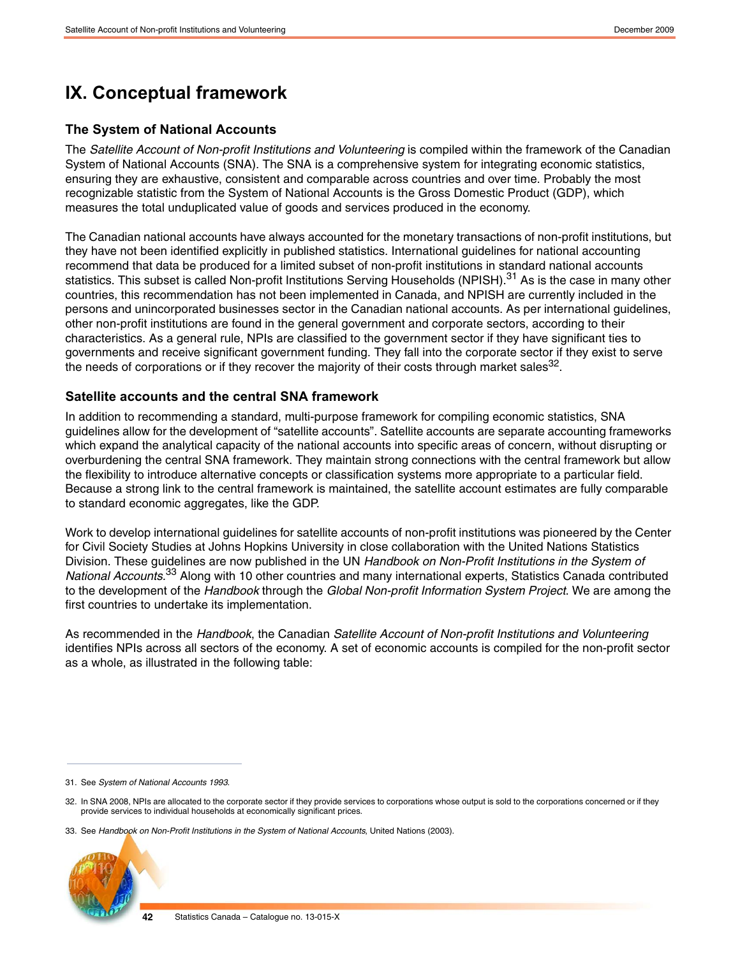# <span id="page-41-0"></span>**IX. Conceptual framework**

# **The System of National Accounts**

The *Satellite Account of Non-profit Institutions and Volunteering* is compiled within the framework of the Canadian System of National Accounts (SNA). The SNA is a comprehensive system for integrating economic statistics, ensuring they are exhaustive, consistent and comparable across countries and over time. Probably the most recognizable statistic from the System of National Accounts is the Gross Domestic Product (GDP), which measures the total unduplicated value of goods and services produced in the economy.

The Canadian national accounts have always accounted for the monetary transactions of non-profit institutions, but they have not been identified explicitly in published statistics. International guidelines for national accounting recommend that data be produced for a limited subset of non-profit institutions in standard national accounts statistics. This subset is called Non-profit Institutions Serving Households (NPISH).<sup>31</sup> As is the case in many other countries, this recommendation has not been implemented in Canada, and NPISH are currently included in the persons and unincorporated businesses sector in the Canadian national accounts. As per international guidelines, other non-profit institutions are found in the general government and corporate sectors, according to their characteristics. As a general rule, NPIs are classified to the government sector if they have significant ties to governments and receive significant government funding. They fall into the corporate sector if they exist to serve the needs of corporations or if they recover the majority of their costs through market sales  $32$ .

# **Satellite accounts and the central SNA framework**

In addition to recommending a standard, multi-purpose framework for compiling economic statistics, SNA guidelines allow for the development of "satellite accounts". Satellite accounts are separate accounting frameworks which expand the analytical capacity of the national accounts into specific areas of concern, without disrupting or overburdening the central SNA framework. They maintain strong connections with the central framework but allow the flexibility to introduce alternative concepts or classification systems more appropriate to a particular field. Because a strong link to the central framework is maintained, the satellite account estimates are fully comparable to standard economic aggregates, like the GDP.

Work to develop international guidelines for satellite accounts of non-profit institutions was pioneered by the Center for Civil Society Studies at Johns Hopkins University in close collaboration with the United Nations Statistics Division. These guidelines are now published in the UN *Handbook on Non-Profit Institutions in the System of National Accounts.*33 Along with 10 other countries and many international experts, Statistics Canada contributed to the development of the *Handbook* through the *Global Non-profit Information System Project*. We are among the first countries to undertake its implementation.

As recommended in the *Handbook*, the Canadian *Satellite Account of Non-profit Institutions and Volunteering* identifies NPIs across all sectors of the economy. A set of economic accounts is compiled for the non-profit sector as a whole, as illustrated in the following table:

<sup>33.</sup> See *Handbook on Non-Profit Institutions in the System of National Accounts*, United Nations (2003).



<sup>31.</sup> See *System of National Accounts 1993*.

<sup>32.</sup> In SNA 2008, NPIs are allocated to the corporate sector if they provide services to corporations whose output is sold to the corporations concerned or if they provide services to individual households at economically significant prices.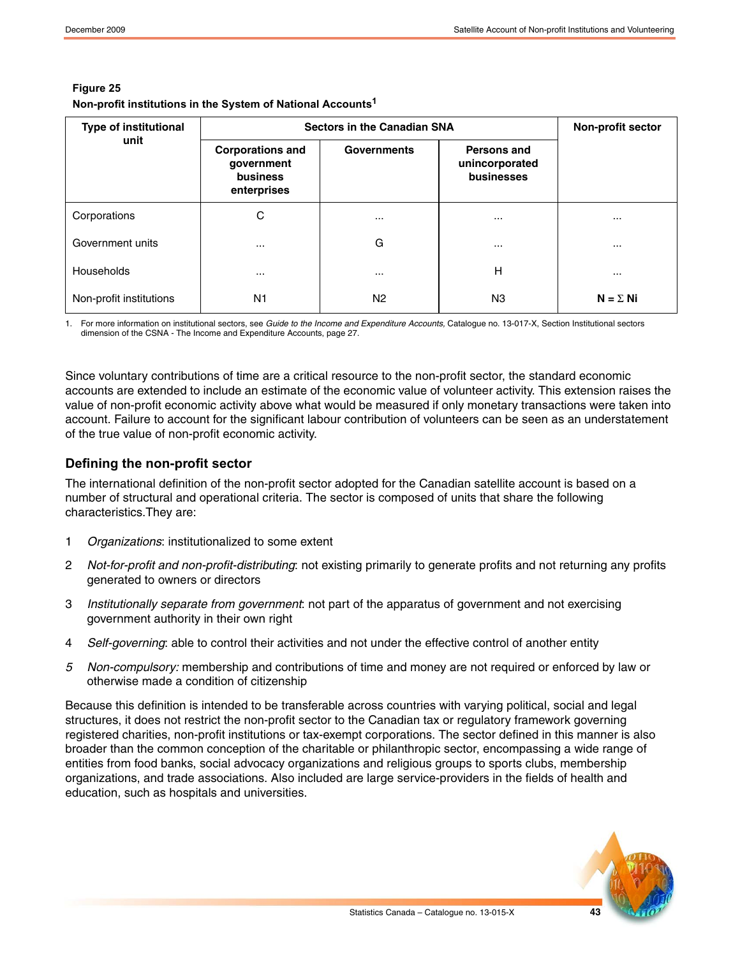| <b>Type of institutional</b> | <b>Sectors in the Canadian SNA</b>                                      | Non-profit sector  |                                             |                  |  |
|------------------------------|-------------------------------------------------------------------------|--------------------|---------------------------------------------|------------------|--|
| unit                         | <b>Corporations and</b><br>government<br><b>business</b><br>enterprises | <b>Governments</b> | Persons and<br>unincorporated<br>businesses |                  |  |
| Corporations                 | C                                                                       | $\cdots$           | $\cdots$                                    | $\cdots$         |  |
| Government units             | $\cdots$                                                                | G                  | $\cdots$                                    | $\cdots$         |  |
| Households                   | $\cdots$                                                                | $\cdots$           | Н                                           | $\cdots$         |  |
| Non-profit institutions      | N <sub>1</sub>                                                          | N <sub>2</sub>     | N <sub>3</sub>                              | $N = \Sigma N$ i |  |

### **Figure 25 Non-profit institutions in the System of National Accounts1**

1. For more information on institutional sectors, see *Guide to the Income and Expenditure Accounts,* Catalogue no. 13-017-X, Section Institutional sectors dimension of the CSNA - The Income and Expenditure Accounts, page 27.

Since voluntary contributions of time are a critical resource to the non-profit sector, the standard economic accounts are extended to include an estimate of the economic value of volunteer activity. This extension raises the value of non-profit economic activity above what would be measured if only monetary transactions were taken into account. Failure to account for the significant labour contribution of volunteers can be seen as an understatement of the true value of non-profit economic activity.

# **Defining the non-profit sector**

The international definition of the non-profit sector adopted for the Canadian satellite account is based on a number of structural and operational criteria. The sector is composed of units that share the following characteristics.They are:

- 1 *Organizations*: institutionalized to some extent
- 2 *Not-for-profit and non-profit-distributing*: not existing primarily to generate profits and not returning any profits generated to owners or directors
- 3 *Institutionally separate from government*: not part of the apparatus of government and not exercising government authority in their own right
- 4 *Self-governing*: able to control their activities and not under the effective control of another entity
- *5 Non-compulsory:* membership and contributions of time and money are not required or enforced by law or otherwise made a condition of citizenship

Because this definition is intended to be transferable across countries with varying political, social and legal structures, it does not restrict the non-profit sector to the Canadian tax or regulatory framework governing registered charities, non-profit institutions or tax-exempt corporations. The sector defined in this manner is also broader than the common conception of the charitable or philanthropic sector, encompassing a wide range of entities from food banks, social advocacy organizations and religious groups to sports clubs, membership organizations, and trade associations. Also included are large service-providers in the fields of health and education, such as hospitals and universities.

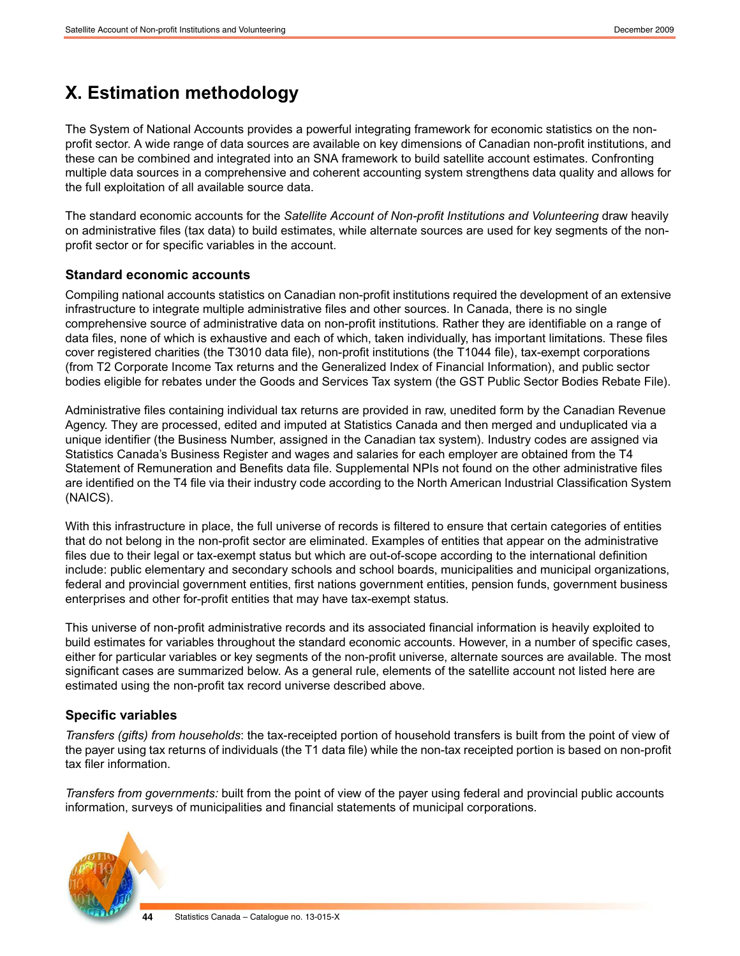# <span id="page-43-0"></span>**X. Estimation methodology**

The System of National Accounts provides a powerful integrating framework for economic statistics on the nonprofit sector. A wide range of data sources are available on key dimensions of Canadian non-profit institutions, and these can be combined and integrated into an SNA framework to build satellite account estimates. Confronting multiple data sources in a comprehensive and coherent accounting system strengthens data quality and allows for the full exploitation of all available source data.

The standard economic accounts for the *Satellite Account of Non-profit Institutions and Volunteering* draw heavily on administrative files (tax data) to build estimates, while alternate sources are used for key segments of the nonprofit sector or for specific variables in the account.

## **Standard economic accounts**

Compiling national accounts statistics on Canadian non-profit institutions required the development of an extensive infrastructure to integrate multiple administrative files and other sources. In Canada, there is no single comprehensive source of administrative data on non-profit institutions. Rather they are identifiable on a range of data files, none of which is exhaustive and each of which, taken individually, has important limitations. These files cover registered charities (the T3010 data file), non-profit institutions (the T1044 file), tax-exempt corporations (from T2 Corporate Income Tax returns and the Generalized Index of Financial Information), and public sector bodies eligible for rebates under the Goods and Services Tax system (the GST Public Sector Bodies Rebate File).

Administrative files containing individual tax returns are provided in raw, unedited form by the Canadian Revenue Agency. They are processed, edited and imputed at Statistics Canada and then merged and unduplicated via a unique identifier (the Business Number, assigned in the Canadian tax system). Industry codes are assigned via Statistics Canada's Business Register and wages and salaries for each employer are obtained from the T4 Statement of Remuneration and Benefits data file. Supplemental NPIs not found on the other administrative files are identified on the T4 file via their industry code according to the North American Industrial Classification System (NAICS).

With this infrastructure in place, the full universe of records is filtered to ensure that certain categories of entities that do not belong in the non-profit sector are eliminated. Examples of entities that appear on the administrative files due to their legal or tax-exempt status but which are out-of-scope according to the international definition include: public elementary and secondary schools and school boards, municipalities and municipal organizations, federal and provincial government entities, first nations government entities, pension funds, government business enterprises and other for-profit entities that may have tax-exempt status.

This universe of non-profit administrative records and its associated financial information is heavily exploited to build estimates for variables throughout the standard economic accounts. However, in a number of specific cases, either for particular variables or key segments of the non-profit universe, alternate sources are available. The most significant cases are summarized below. As a general rule, elements of the satellite account not listed here are estimated using the non-profit tax record universe described above.

# **Specific variables**

*Transfers (gifts) from households*: the tax-receipted portion of household transfers is built from the point of view of the payer using tax returns of individuals (the T1 data file) while the non-tax receipted portion is based on non-profit tax filer information.

*Transfers from governments:* built from the point of view of the payer using federal and provincial public accounts information, surveys of municipalities and financial statements of municipal corporations.

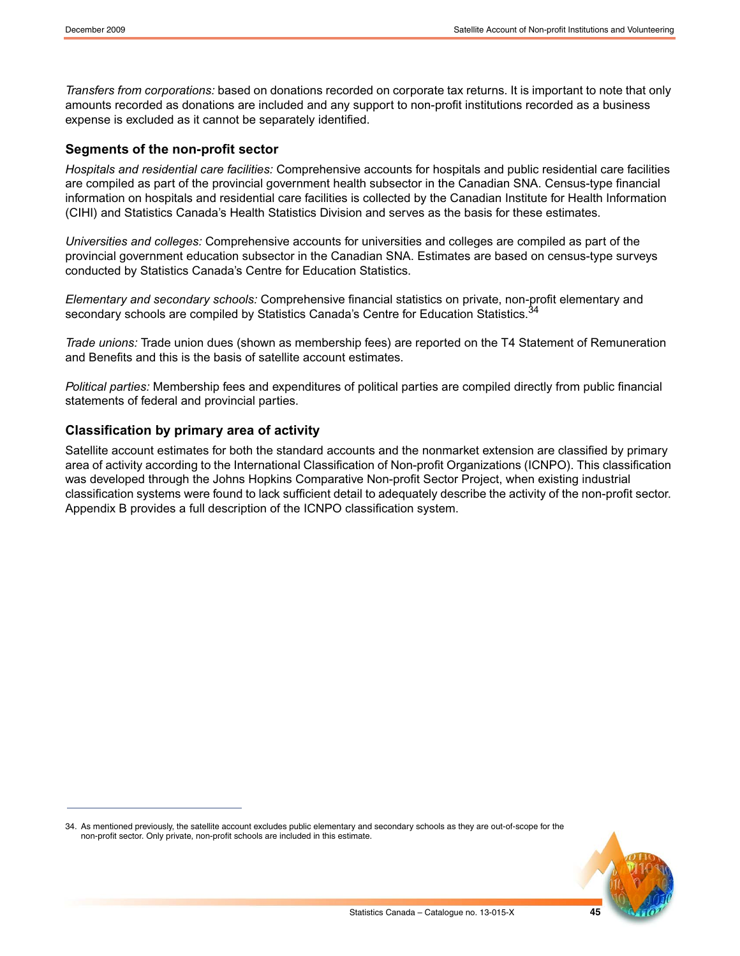*Transfers from corporations:* based on donations recorded on corporate tax returns. It is important to note that only amounts recorded as donations are included and any support to non-profit institutions recorded as a business expense is excluded as it cannot be separately identified.

# **Segments of the non-profit sector**

*Hospitals and residential care facilities:* Comprehensive accounts for hospitals and public residential care facilities are compiled as part of the provincial government health subsector in the Canadian SNA. Census-type financial information on hospitals and residential care facilities is collected by the Canadian Institute for Health Information (CIHI) and Statistics Canada's Health Statistics Division and serves as the basis for these estimates.

*Universities and colleges:* Comprehensive accounts for universities and colleges are compiled as part of the provincial government education subsector in the Canadian SNA. Estimates are based on census-type surveys conducted by Statistics Canada's Centre for Education Statistics.

*Elementary and secondary schools:* Comprehensive financial statistics on private, non-profit elementary and secondary schools are compiled by Statistics Canada's Centre for Education Statistics.<sup>34</sup>

*Trade unions:* Trade union dues (shown as membership fees) are reported on the T4 Statement of Remuneration and Benefits and this is the basis of satellite account estimates.

*Political parties:* Membership fees and expenditures of political parties are compiled directly from public financial statements of federal and provincial parties.

## **Classification by primary area of activity**

Satellite account estimates for both the standard accounts and the nonmarket extension are classified by primary area of activity according to the International Classification of Non-profit Organizations (ICNPO). This classification was developed through the Johns Hopkins Comparative Non-profit Sector Project, when existing industrial classification systems were found to lack sufficient detail to adequately describe the activity of the non-profit sector. Appendix B provides a full description of the ICNPO classification system.

<sup>34.</sup> As mentioned previously, the satellite account excludes public elementary and secondary schools as they are out-of-scope for the non-profit sector. Only private, non-profit schools are included in this estimate.

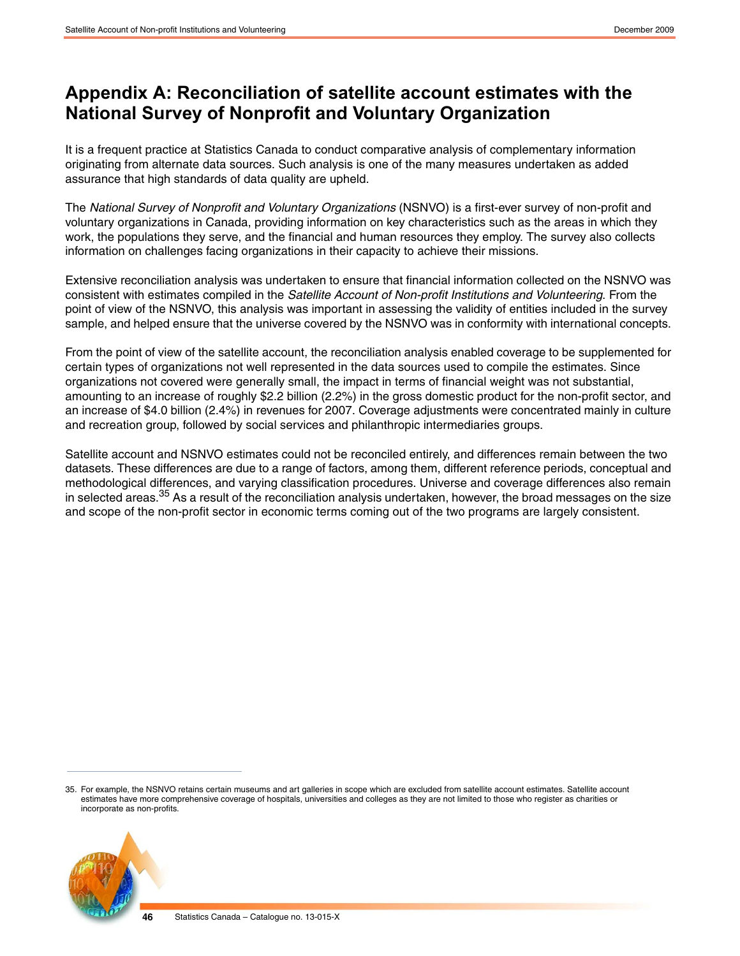# <span id="page-45-0"></span>**Appendix A: Reconciliation of satellite account estimates with the National Survey of Nonprofit and Voluntary Organization**

It is a frequent practice at Statistics Canada to conduct comparative analysis of complementary information originating from alternate data sources. Such analysis is one of the many measures undertaken as added assurance that high standards of data quality are upheld.

The *National Survey of Nonprofit and Voluntary Organizations* (NSNVO) is a first-ever survey of non-profit and voluntary organizations in Canada, providing information on key characteristics such as the areas in which they work, the populations they serve, and the financial and human resources they employ. The survey also collects information on challenges facing organizations in their capacity to achieve their missions.

Extensive reconciliation analysis was undertaken to ensure that financial information collected on the NSNVO was consistent with estimates compiled in the *Satellite Account of Non-profit Institutions and Volunteering*. From the point of view of the NSNVO, this analysis was important in assessing the validity of entities included in the survey sample, and helped ensure that the universe covered by the NSNVO was in conformity with international concepts.

From the point of view of the satellite account, the reconciliation analysis enabled coverage to be supplemented for certain types of organizations not well represented in the data sources used to compile the estimates. Since organizations not covered were generally small, the impact in terms of financial weight was not substantial, amounting to an increase of roughly \$2.2 billion (2.2%) in the gross domestic product for the non-profit sector, and an increase of \$4.0 billion (2.4%) in revenues for 2007. Coverage adjustments were concentrated mainly in culture and recreation group, followed by social services and philanthropic intermediaries groups.

Satellite account and NSNVO estimates could not be reconciled entirely, and differences remain between the two datasets. These differences are due to a range of factors, among them, different reference periods, conceptual and methodological differences, and varying classification procedures. Universe and coverage differences also remain in selected areas.<sup>35</sup> As a result of the reconciliation analysis undertaken, however, the broad messages on the size and scope of the non-profit sector in economic terms coming out of the two programs are largely consistent.

<sup>35.</sup> For example, the NSNVO retains certain museums and art galleries in scope which are excluded from satellite account estimates. Satellite account estimates have more comprehensive coverage of hospitals, universities and colleges as they are not limited to those who register as charities or incorporate as non-profits.

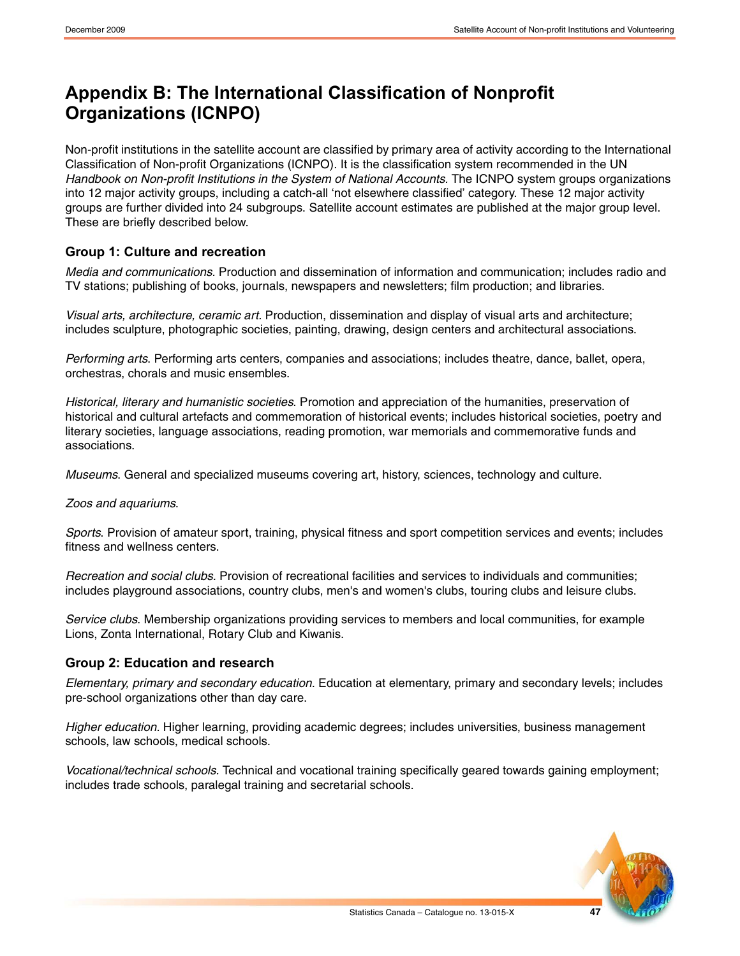# <span id="page-46-0"></span>**Appendix B: The International Classification of Nonprofit Organizations (ICNPO)**

Non-profit institutions in the satellite account are classified by primary area of activity according to the International Classification of Non-profit Organizations (ICNPO). It is the classification system recommended in the UN *Handbook on Non-profit Institutions in the System of National Accounts.* The ICNPO system groups organizations into 12 major activity groups, including a catch-all 'not elsewhere classified' category. These 12 major activity groups are further divided into 24 subgroups. Satellite account estimates are published at the major group level. These are briefly described below.

# **Group 1: Culture and recreation**

*Media and communications.* Production and dissemination of information and communication; includes radio and TV stations; publishing of books, journals, newspapers and newsletters; film production; and libraries.

*Visual arts, architecture, ceramic art.* Production, dissemination and display of visual arts and architecture; includes sculpture, photographic societies, painting, drawing, design centers and architectural associations.

*Performing arts*. Performing arts centers, companies and associations; includes theatre, dance, ballet, opera, orchestras, chorals and music ensembles.

*Historical, literary and humanistic societies*. Promotion and appreciation of the humanities, preservation of historical and cultural artefacts and commemoration of historical events; includes historical societies, poetry and literary societies, language associations, reading promotion, war memorials and commemorative funds and associations.

*Museums*. General and specialized museums covering art, history, sciences, technology and culture.

### *Zoos and aquariums*.

*Sports*. Provision of amateur sport, training, physical fitness and sport competition services and events; includes fitness and wellness centers.

*Recreation and social clubs.* Provision of recreational facilities and services to individuals and communities; includes playground associations, country clubs, men's and women's clubs, touring clubs and leisure clubs.

*Service clubs*. Membership organizations providing services to members and local communities, for example Lions, Zonta International, Rotary Club and Kiwanis.

# **Group 2: Education and research**

*Elementary, primary and secondary education.* Education at elementary, primary and secondary levels; includes pre-school organizations other than day care.

*Higher education.* Higher learning, providing academic degrees; includes universities, business management schools, law schools, medical schools.

*Vocational/technical schools.* Technical and vocational training specifically geared towards gaining employment; includes trade schools, paralegal training and secretarial schools.

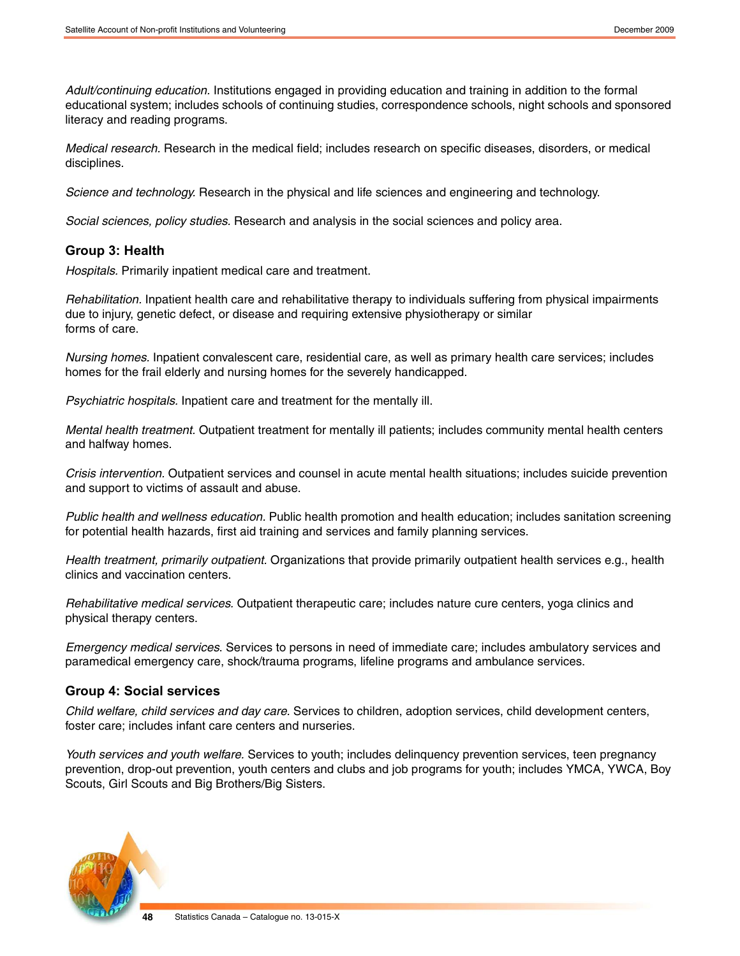*Adult/continuing education.* Institutions engaged in providing education and training in addition to the formal educational system; includes schools of continuing studies, correspondence schools, night schools and sponsored literacy and reading programs.

*Medical research.* Research in the medical field; includes research on specific diseases, disorders, or medical disciplines.

*Science and technology.* Research in the physical and life sciences and engineering and technology.

*Social sciences, policy studies.* Research and analysis in the social sciences and policy area.

# **Group 3: Health**

*Hospitals.* Primarily inpatient medical care and treatment.

*Rehabilitation.* Inpatient health care and rehabilitative therapy to individuals suffering from physical impairments due to injury, genetic defect, or disease and requiring extensive physiotherapy or similar forms of care.

*Nursing homes.* Inpatient convalescent care, residential care, as well as primary health care services; includes homes for the frail elderly and nursing homes for the severely handicapped.

*Psychiatric hospitals.* Inpatient care and treatment for the mentally ill.

*Mental health treatment.* Outpatient treatment for mentally ill patients; includes community mental health centers and halfway homes.

*Crisis intervention.* Outpatient services and counsel in acute mental health situations; includes suicide prevention and support to victims of assault and abuse.

*Public health and wellness education.* Public health promotion and health education; includes sanitation screening for potential health hazards, first aid training and services and family planning services.

*Health treatment, primarily outpatient.* Organizations that provide primarily outpatient health services e.g., health clinics and vaccination centers.

*Rehabilitative medical services.* Outpatient therapeutic care; includes nature cure centers, yoga clinics and physical therapy centers.

*Emergency medical services*. Services to persons in need of immediate care; includes ambulatory services and paramedical emergency care, shock/trauma programs, lifeline programs and ambulance services.

# **Group 4: Social services**

*Child welfare, child services and day care.* Services to children, adoption services, child development centers, foster care; includes infant care centers and nurseries.

*Youth services and youth welfare.* Services to youth; includes delinquency prevention services, teen pregnancy prevention, drop-out prevention, youth centers and clubs and job programs for youth; includes YMCA, YWCA, Boy Scouts, Girl Scouts and Big Brothers/Big Sisters.

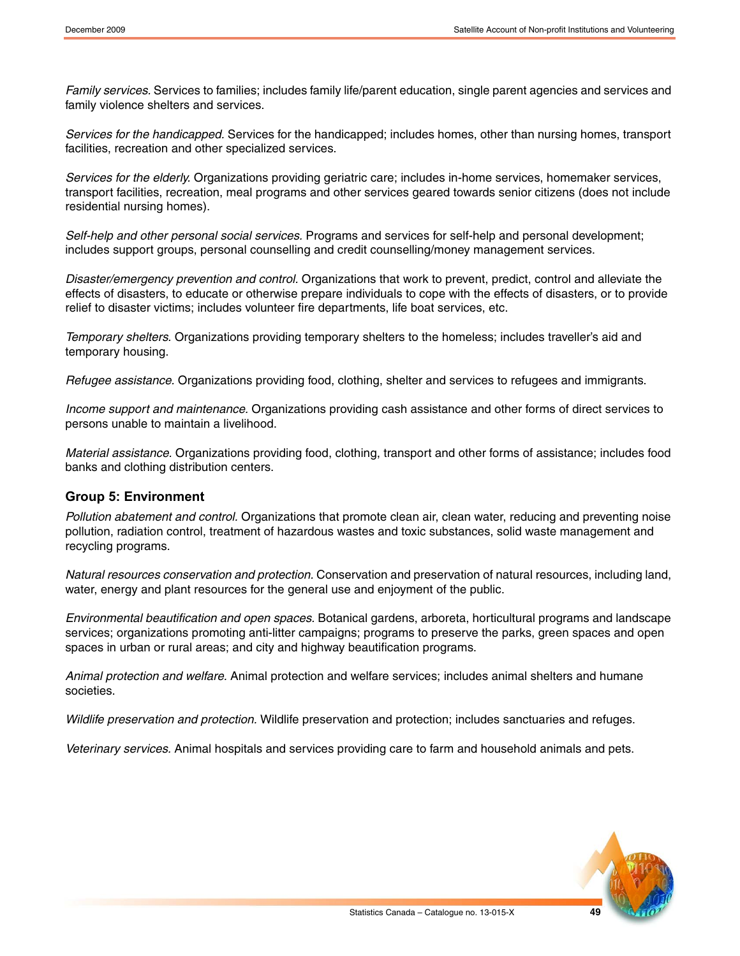*Family services.* Services to families; includes family life/parent education, single parent agencies and services and family violence shelters and services.

*Services for the handicapped.* Services for the handicapped; includes homes, other than nursing homes, transport facilities, recreation and other specialized services.

*Services for the elderly.* Organizations providing geriatric care; includes in-home services, homemaker services, transport facilities, recreation, meal programs and other services geared towards senior citizens (does not include residential nursing homes).

*Self-help and other personal social services.* Programs and services for self-help and personal development; includes support groups, personal counselling and credit counselling/money management services.

*Disaster/emergency prevention and control.* Organizations that work to prevent, predict, control and alleviate the effects of disasters, to educate or otherwise prepare individuals to cope with the effects of disasters, or to provide relief to disaster victims; includes volunteer fire departments, life boat services, etc.

*Temporary shelters.* Organizations providing temporary shelters to the homeless; includes traveller's aid and temporary housing.

*Refugee assistance.* Organizations providing food, clothing, shelter and services to refugees and immigrants.

*Income support and maintenance.* Organizations providing cash assistance and other forms of direct services to persons unable to maintain a livelihood.

*Material assistance.* Organizations providing food, clothing, transport and other forms of assistance; includes food banks and clothing distribution centers.

### **Group 5: Environment**

*Pollution abatement and control.* Organizations that promote clean air, clean water, reducing and preventing noise pollution, radiation control, treatment of hazardous wastes and toxic substances, solid waste management and recycling programs.

*Natural resources conservation and protection.* Conservation and preservation of natural resources, including land, water, energy and plant resources for the general use and enjoyment of the public.

*Environmental beautification and open spaces.* Botanical gardens, arboreta, horticultural programs and landscape services; organizations promoting anti-litter campaigns; programs to preserve the parks, green spaces and open spaces in urban or rural areas; and city and highway beautification programs.

*Animal protection and welfare.* Animal protection and welfare services; includes animal shelters and humane societies.

*Wildlife preservation and protection.* Wildlife preservation and protection; includes sanctuaries and refuges.

*Veterinary services.* Animal hospitals and services providing care to farm and household animals and pets.

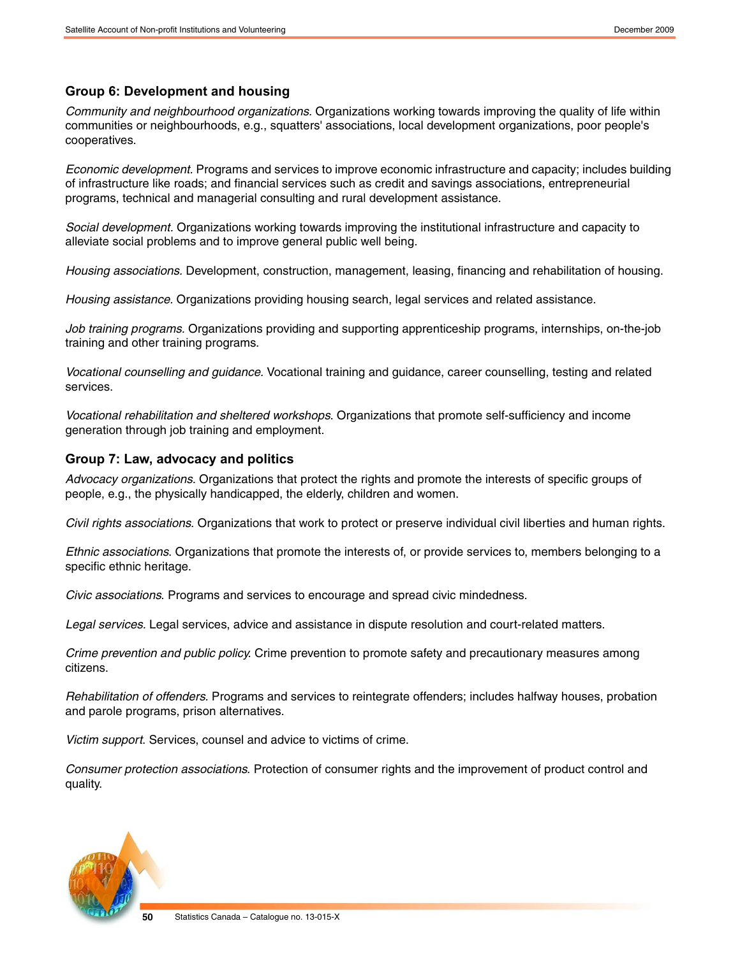# **Group 6: Development and housing**

*Community and neighbourhood organizations.* Organizations working towards improving the quality of life within communities or neighbourhoods, e.g., squatters' associations, local development organizations, poor people's cooperatives.

*Economic development.* Programs and services to improve economic infrastructure and capacity; includes building of infrastructure like roads; and financial services such as credit and savings associations, entrepreneurial programs, technical and managerial consulting and rural development assistance.

*Social development.* Organizations working towards improving the institutional infrastructure and capacity to alleviate social problems and to improve general public well being.

*Housing associations.* Development, construction, management, leasing, financing and rehabilitation of housing.

*Housing assistance.* Organizations providing housing search, legal services and related assistance.

*Job training programs.* Organizations providing and supporting apprenticeship programs, internships, on-the-job training and other training programs.

*Vocational counselling and guidance.* Vocational training and guidance, career counselling, testing and related services.

*Vocational rehabilitation and sheltered workshops.* Organizations that promote self-sufficiency and income generation through job training and employment.

### **Group 7: Law, advocacy and politics**

*Advocacy organizations.* Organizations that protect the rights and promote the interests of specific groups of people, e.g., the physically handicapped, the elderly, children and women.

*Civil rights associations*. Organizations that work to protect or preserve individual civil liberties and human rights.

*Ethnic associations*. Organizations that promote the interests of, or provide services to, members belonging to a specific ethnic heritage.

*Civic associations*. Programs and services to encourage and spread civic mindedness.

*Legal services.* Legal services, advice and assistance in dispute resolution and court-related matters.

*Crime prevention and public policy*. Crime prevention to promote safety and precautionary measures among citizens.

*Rehabilitation of offenders.* Programs and services to reintegrate offenders; includes halfway houses, probation and parole programs, prison alternatives.

*Victim support*. Services, counsel and advice to victims of crime.

*Consumer protection associations*. Protection of consumer rights and the improvement of product control and quality.

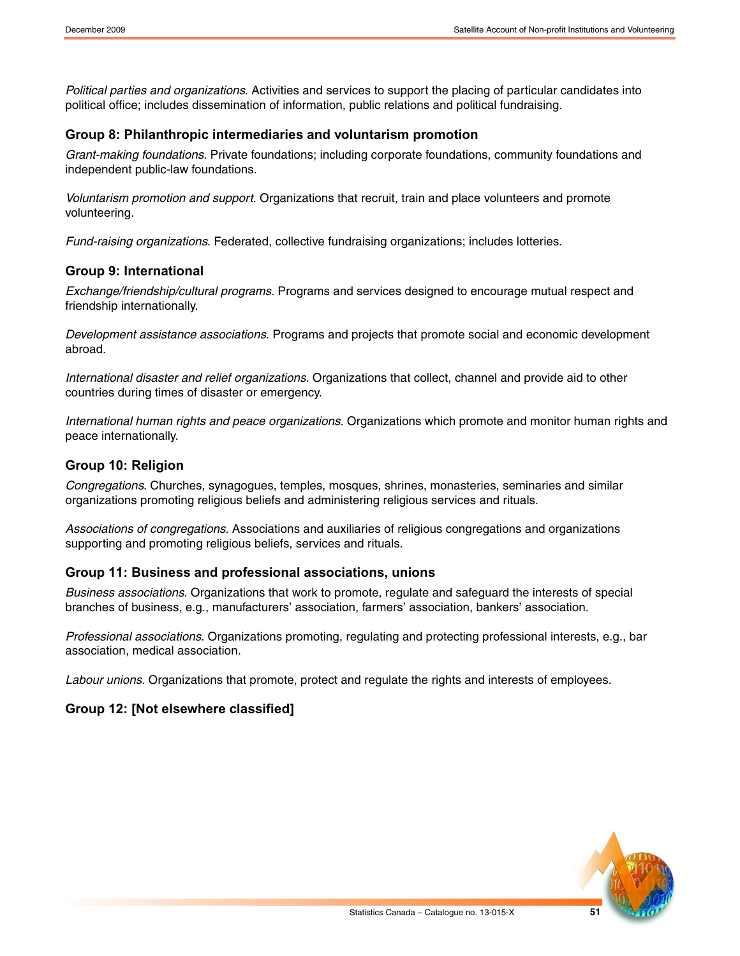*Political parties and organizations*. Activities and services to support the placing of particular candidates into political office; includes dissemination of information, public relations and political fundraising.

## **Group 8: Philanthropic intermediaries and voluntarism promotion**

*Grant-making foundations.* Private foundations; including corporate foundations, community foundations and independent public-law foundations.

*Voluntarism promotion and support*. Organizations that recruit, train and place volunteers and promote volunteering.

*Fund-raising organizations*. Federated, collective fundraising organizations; includes lotteries.

## **Group 9: International**

*Exchange/friendship/cultural programs.* Programs and services designed to encourage mutual respect and friendship internationally.

*Development assistance associations.* Programs and projects that promote social and economic development abroad.

*International disaster and relief organizations.* Organizations that collect, channel and provide aid to other countries during times of disaster or emergency.

*International human rights and peace organizations.* Organizations which promote and monitor human rights and peace internationally.

# **Group 10: Religion**

*Congregations.* Churches, synagogues, temples, mosques, shrines, monasteries, seminaries and similar organizations promoting religious beliefs and administering religious services and rituals.

*Associations of congregations.* Associations and auxiliaries of religious congregations and organizations supporting and promoting religious beliefs, services and rituals.

# **Group 11: Business and professional associations, unions**

*Business associations.* Organizations that work to promote, regulate and safeguard the interests of special branches of business, e.g., manufacturers' association, farmers' association, bankers' association.

*Professional associations.* Organizations promoting, regulating and protecting professional interests, e.g., bar association, medical association.

*Labour unions.* Organizations that promote, protect and regulate the rights and interests of employees.

# **Group 12: [Not elsewhere classified]**

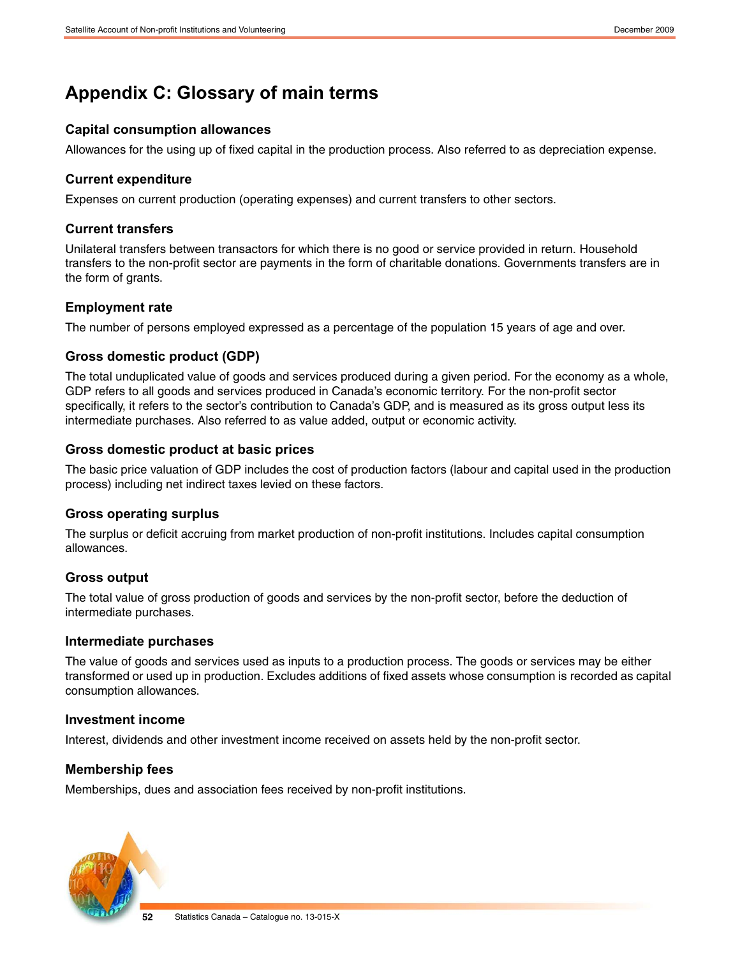# <span id="page-51-0"></span>**Appendix C: Glossary of main terms**

# **Capital consumption allowances**

Allowances for the using up of fixed capital in the production process. Also referred to as depreciation expense.

# **Current expenditure**

Expenses on current production (operating expenses) and current transfers to other sectors.

# **Current transfers**

Unilateral transfers between transactors for which there is no good or service provided in return. Household transfers to the non-profit sector are payments in the form of charitable donations. Governments transfers are in the form of grants.

# **Employment rate**

The number of persons employed expressed as a percentage of the population 15 years of age and over.

# **Gross domestic product (GDP)**

The total unduplicated value of goods and services produced during a given period. For the economy as a whole, GDP refers to all goods and services produced in Canada's economic territory. For the non-profit sector specifically, it refers to the sector's contribution to Canada's GDP, and is measured as its gross output less its intermediate purchases. Also referred to as value added, output or economic activity.

# **Gross domestic product at basic prices**

The basic price valuation of GDP includes the cost of production factors (labour and capital used in the production process) including net indirect taxes levied on these factors.

# **Gross operating surplus**

The surplus or deficit accruing from market production of non-profit institutions. Includes capital consumption allowances.

# **Gross output**

The total value of gross production of goods and services by the non-profit sector, before the deduction of intermediate purchases.

# **Intermediate purchases**

The value of goods and services used as inputs to a production process. The goods or services may be either transformed or used up in production. Excludes additions of fixed assets whose consumption is recorded as capital consumption allowances.

# **Investment income**

Interest, dividends and other investment income received on assets held by the non-profit sector.

# **Membership fees**

Memberships, dues and association fees received by non-profit institutions.

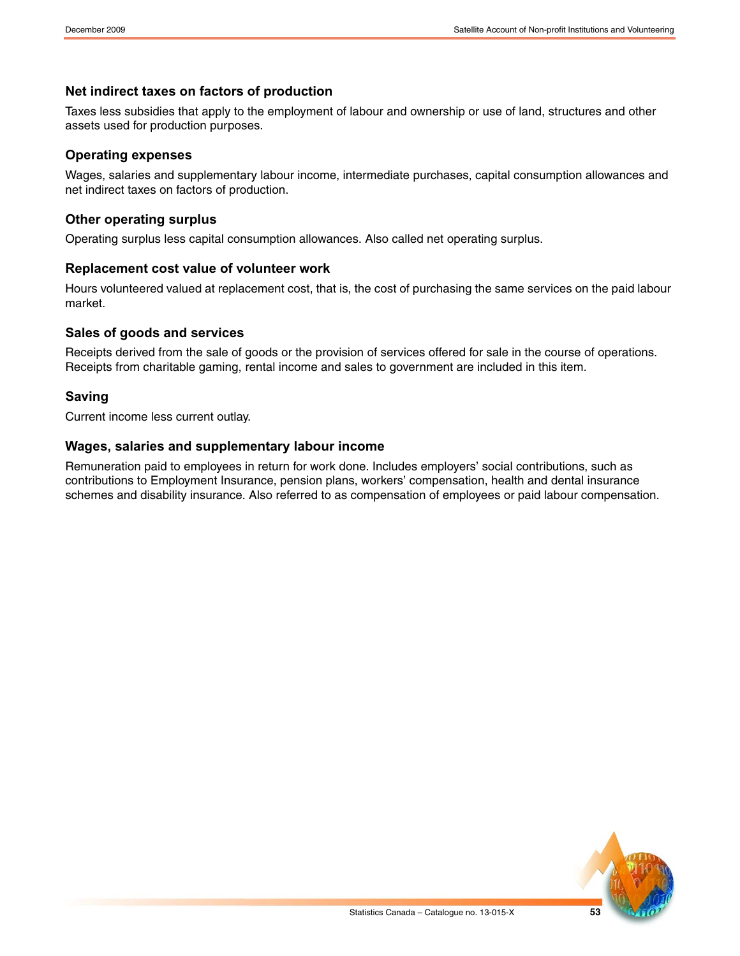### **Net indirect taxes on factors of production**

Taxes less subsidies that apply to the employment of labour and ownership or use of land, structures and other assets used for production purposes.

## **Operating expenses**

Wages, salaries and supplementary labour income, intermediate purchases, capital consumption allowances and net indirect taxes on factors of production.

## **Other operating surplus**

Operating surplus less capital consumption allowances. Also called net operating surplus.

## **Replacement cost value of volunteer work**

Hours volunteered valued at replacement cost, that is, the cost of purchasing the same services on the paid labour market.

# **Sales of goods and services**

Receipts derived from the sale of goods or the provision of services offered for sale in the course of operations. Receipts from charitable gaming, rental income and sales to government are included in this item.

## **Saving**

Current income less current outlay.

## **Wages, salaries and supplementary labour income**

Remuneration paid to employees in return for work done. Includes employers' social contributions, such as contributions to Employment Insurance, pension plans, workers' compensation, health and dental insurance schemes and disability insurance. Also referred to as compensation of employees or paid labour compensation.

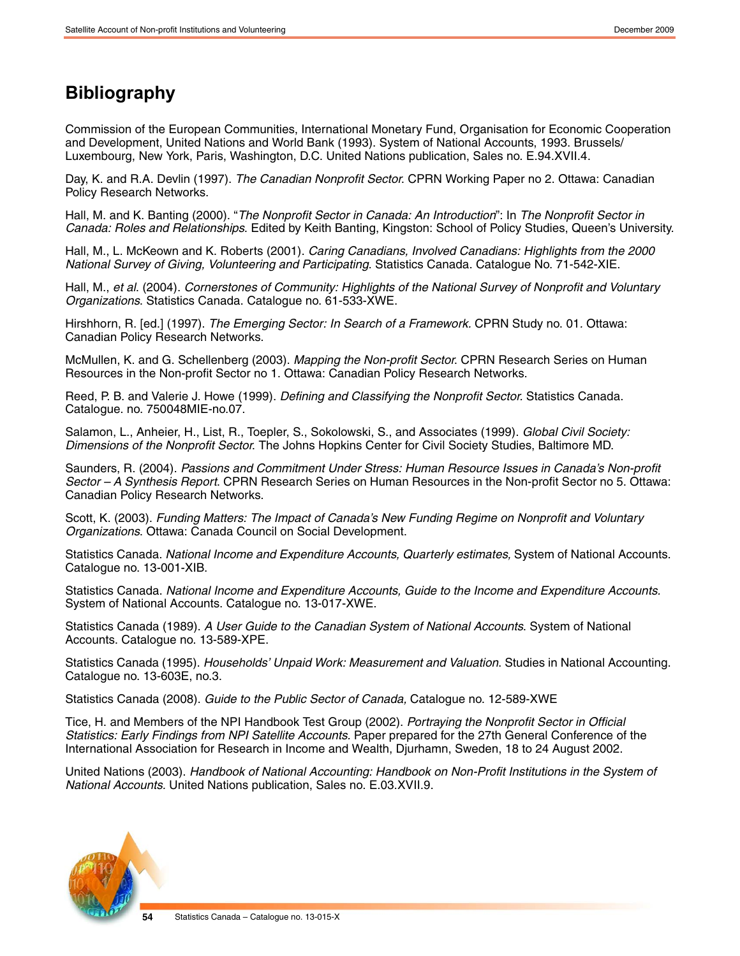# <span id="page-53-0"></span>**Bibliography**

Commission of the European Communities, International Monetary Fund, Organisation for Economic Cooperation and Development, United Nations and World Bank (1993). System of National Accounts, 1993. Brussels/ Luxembourg, New York, Paris, Washington, D.C. United Nations publication, Sales no. E.94.XVII.4.

Day, K. and R.A. Devlin (1997). *The Canadian Nonprofit Sector*. CPRN Working Paper no 2. Ottawa: Canadian Policy Research Networks.

Hall, M. and K. Banting (2000). "*The Nonprofit Sector in Canada: An Introduction*": In *The Nonprofit Sector in Canada: Roles and Relationships*. Edited by Keith Banting, Kingston: School of Policy Studies, Queen's University.

Hall, M., L. McKeown and K. Roberts (2001). *Caring Canadians, Involved Canadians: Highlights from the 2000 National Survey of Giving, Volunteering and Participating*. Statistics Canada. Catalogue No. 71-542-XIE.

Hall, M., *et al*. (2004). *Cornerstones of Community: Highlights of the National Survey of Nonprofit and Voluntary Organizations*. Statistics Canada. Catalogue no. 61-533-XWE.

Hirshhorn, R. [ed.] (1997). *The Emerging Sector: In Search of a Framework.* CPRN Study no. 01*.* Ottawa: Canadian Policy Research Networks.

McMullen, K. and G. Schellenberg (2003). *Mapping the Non-profit Sector*. CPRN Research Series on Human Resources in the Non-profit Sector no 1. Ottawa: Canadian Policy Research Networks.

Reed, P. B. and Valerie J. Howe (1999). *Defining and Classifying the Nonprofit Sector.* Statistics Canada. Catalogue. no. 750048MIE-no.07.

Salamon, L., Anheier, H., List, R., Toepler, S., Sokolowski, S., and Associates (1999). *Global Civil Society: Dimensions of the Nonprofit Sector*. The Johns Hopkins Center for Civil Society Studies, Baltimore MD.

Saunders, R. (2004). *Passions and Commitment Under Stress: Human Resource Issues in Canada's Non-profit Sector – A Synthesis Report*. CPRN Research Series on Human Resources in the Non-profit Sector no 5. Ottawa: Canadian Policy Research Networks.

Scott, K. (2003). *Funding Matters: The Impact of Canada's New Funding Regime on Nonprofit and Voluntary Organizations*. Ottawa: Canada Council on Social Development.

Statistics Canada. *National Income and Expenditure Accounts, Quarterly estimates,* System of National Accounts. Catalogue no. 13-001-XIB.

Statistics Canada. *National Income and Expenditure Accounts, Guide to the Income and Expenditure Accounts.* System of National Accounts. Catalogue no. 13-017-XWE.

Statistics Canada (1989). *A User Guide to the Canadian System of National Accounts*. System of National Accounts. Catalogue no. 13-589-XPE.

Statistics Canada (1995). *Households' Unpaid Work: Measurement and Valuation*. Studies in National Accounting. Catalogue no. 13-603E, no.3.

Statistics Canada (2008). *Guide to the Public Sector of Canada,* Catalogue no. 12-589-XWE

Tice, H. and Members of the NPI Handbook Test Group (2002). *Portraying the Nonprofit Sector in Official Statistics: Early Findings from NPI Satellite Accounts.* Paper prepared for the 27th General Conference of the International Association for Research in Income and Wealth, Djurhamn, Sweden, 18 to 24 August 2002.

United Nations (2003). *Handbook of National Accounting: Handbook on Non-Profit Institutions in the System of National Accounts.* United Nations publication, Sales no. E.03.XVII.9.

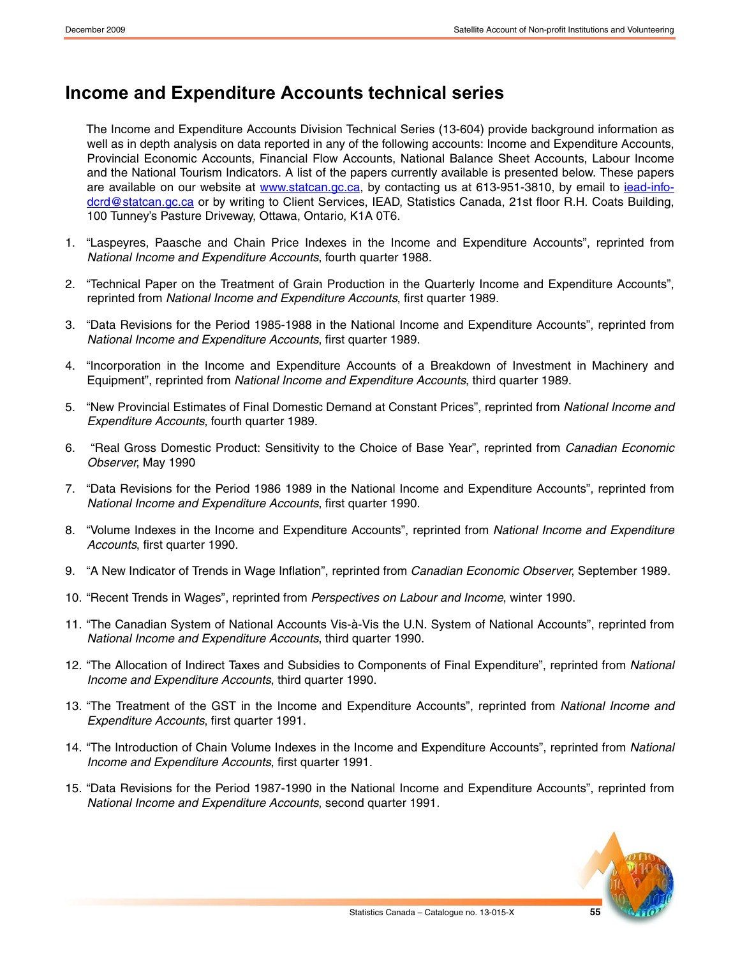# <span id="page-54-0"></span>**Income and Expenditure Accounts technical series**

The Income and Expenditure Accounts Division Technical Series (13-604) provide background information as well as in depth analysis on data reported in any of the following accounts: Income and Expenditure Accounts, Provincial Economic Accounts, Financial Flow Accounts, National Balance Sheet Accounts, Labour Income and the National Tourism Indicators. A list of the papers currently available is presented below. These papers are available on our website at www.statcan.gc.ca, by contacting us at 613-951-3810, by email to jead-infodcrd@statcan.gc.ca or by writing to Client Services, IEAD, Statistics Canada, 21st floor R.H. Coats Building, 100 Tunney's Pasture Driveway, Ottawa, Ontario, K1A 0T6.

- 1. "Laspeyres, Paasche and Chain Price Indexes in the Income and Expenditure Accounts", reprinted from *National Income and Expenditure Accounts*, fourth quarter 1988.
- 2. "Technical Paper on the Treatment of Grain Production in the Quarterly Income and Expenditure Accounts", reprinted from *National Income and Expenditure Accounts*, first quarter 1989.
- 3. "Data Revisions for the Period 1985-1988 in the National Income and Expenditure Accounts", reprinted from *National Income and Expenditure Accounts*, first quarter 1989.
- 4. "Incorporation in the Income and Expenditure Accounts of a Breakdown of Investment in Machinery and Equipment", reprinted from *National Income and Expenditure Accounts*, third quarter 1989.
- 5. "New Provincial Estimates of Final Domestic Demand at Constant Prices", reprinted from *National Income and Expenditure Accounts*, fourth quarter 1989.
- 6. "Real Gross Domestic Product: Sensitivity to the Choice of Base Year", reprinted from *Canadian Economic Observer*, May 1990
- 7. "Data Revisions for the Period 1986 1989 in the National Income and Expenditure Accounts", reprinted from *National Income and Expenditure Accounts*, first quarter 1990.
- 8. "Volume Indexes in the Income and Expenditure Accounts", reprinted from *National Income and Expenditure Accounts*, first quarter 1990.
- 9. "A New Indicator of Trends in Wage Inflation", reprinted from *Canadian Economic Observer*, September 1989.
- 10. "Recent Trends in Wages", reprinted from *Perspectives on Labour and Income*, winter 1990.
- 11. "The Canadian System of National Accounts Vis-à-Vis the U.N. System of National Accounts", reprinted from *National Income and Expenditure Accounts*, third quarter 1990.
- 12. "The Allocation of Indirect Taxes and Subsidies to Components of Final Expenditure", reprinted from *National Income and Expenditure Accounts*, third quarter 1990.
- 13. "The Treatment of the GST in the Income and Expenditure Accounts", reprinted from *National Income and Expenditure Accounts*, first quarter 1991.
- 14. "The Introduction of Chain Volume Indexes in the Income and Expenditure Accounts", reprinted from *National Income and Expenditure Accounts*, first quarter 1991.
- 15. "Data Revisions for the Period 1987-1990 in the National Income and Expenditure Accounts", reprinted from *National Income and Expenditure Accounts*, second quarter 1991.

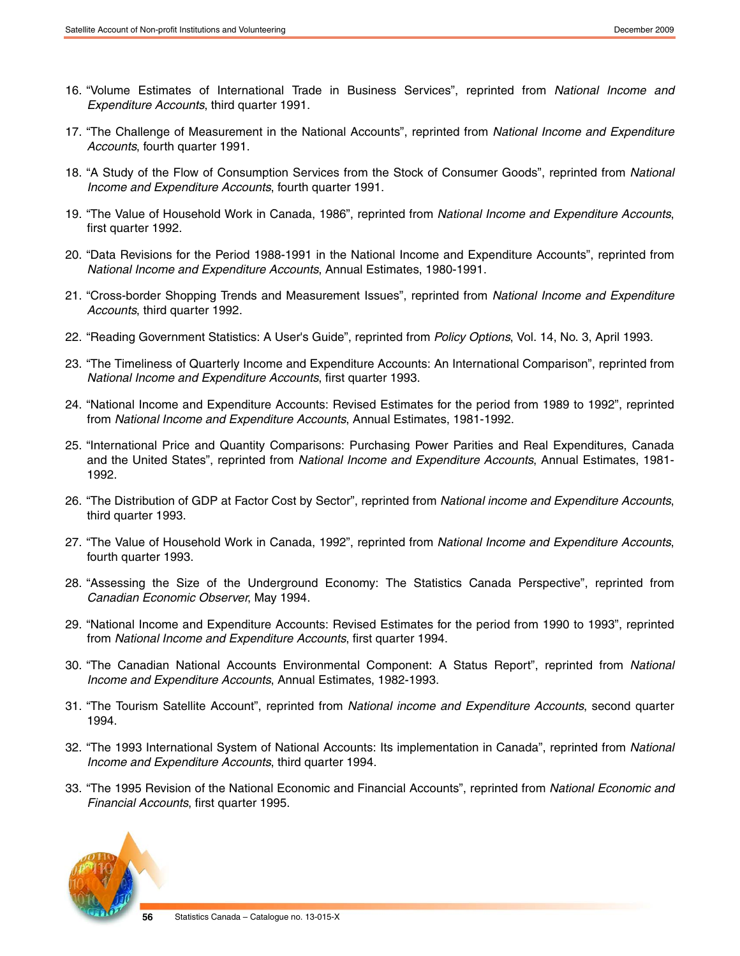- 16. "Volume Estimates of International Trade in Business Services", reprinted from *National Income and Expenditure Accounts*, third quarter 1991.
- 17. "The Challenge of Measurement in the National Accounts", reprinted from *National Income and Expenditure Accounts*, fourth quarter 1991.
- 18. "A Study of the Flow of Consumption Services from the Stock of Consumer Goods", reprinted from *National Income and Expenditure Accounts*, fourth quarter 1991.
- 19. "The Value of Household Work in Canada, 1986", reprinted from *National Income and Expenditure Accounts*, first quarter 1992.
- 20. "Data Revisions for the Period 1988-1991 in the National Income and Expenditure Accounts", reprinted from *National Income and Expenditure Accounts*, Annual Estimates, 1980-1991.
- 21. "Cross-border Shopping Trends and Measurement Issues", reprinted from *National Income and Expenditure Accounts*, third quarter 1992.
- 22. "Reading Government Statistics: A User's Guide", reprinted from *Policy Options*, Vol. 14, No. 3, April 1993.
- 23. "The Timeliness of Quarterly Income and Expenditure Accounts: An International Comparison", reprinted from *National Income and Expenditure Accounts*, first quarter 1993.
- 24. "National Income and Expenditure Accounts: Revised Estimates for the period from 1989 to 1992", reprinted from *National Income and Expenditure Accounts*, Annual Estimates, 1981-1992.
- 25. "International Price and Quantity Comparisons: Purchasing Power Parities and Real Expenditures, Canada and the United States", reprinted from *National Income and Expenditure Accounts*, Annual Estimates, 1981- 1992.
- 26. "The Distribution of GDP at Factor Cost by Sector", reprinted from *National income and Expenditure Accounts*, third quarter 1993.
- 27. "The Value of Household Work in Canada, 1992", reprinted from *National Income and Expenditure Accounts*, fourth quarter 1993.
- 28. "Assessing the Size of the Underground Economy: The Statistics Canada Perspective", reprinted from *Canadian Economic Observer*, May 1994.
- 29. "National Income and Expenditure Accounts: Revised Estimates for the period from 1990 to 1993", reprinted from *National Income and Expenditure Accounts*, first quarter 1994.
- 30. "The Canadian National Accounts Environmental Component: A Status Report", reprinted from *National Income and Expenditure Accounts*, Annual Estimates, 1982-1993.
- 31. "The Tourism Satellite Account", reprinted from *National income and Expenditure Accounts*, second quarter 1994.
- 32. "The 1993 International System of National Accounts: Its implementation in Canada", reprinted from *National Income and Expenditure Accounts*, third quarter 1994.
- 33. "The 1995 Revision of the National Economic and Financial Accounts", reprinted from *National Economic and Financial Accounts*, first quarter 1995.

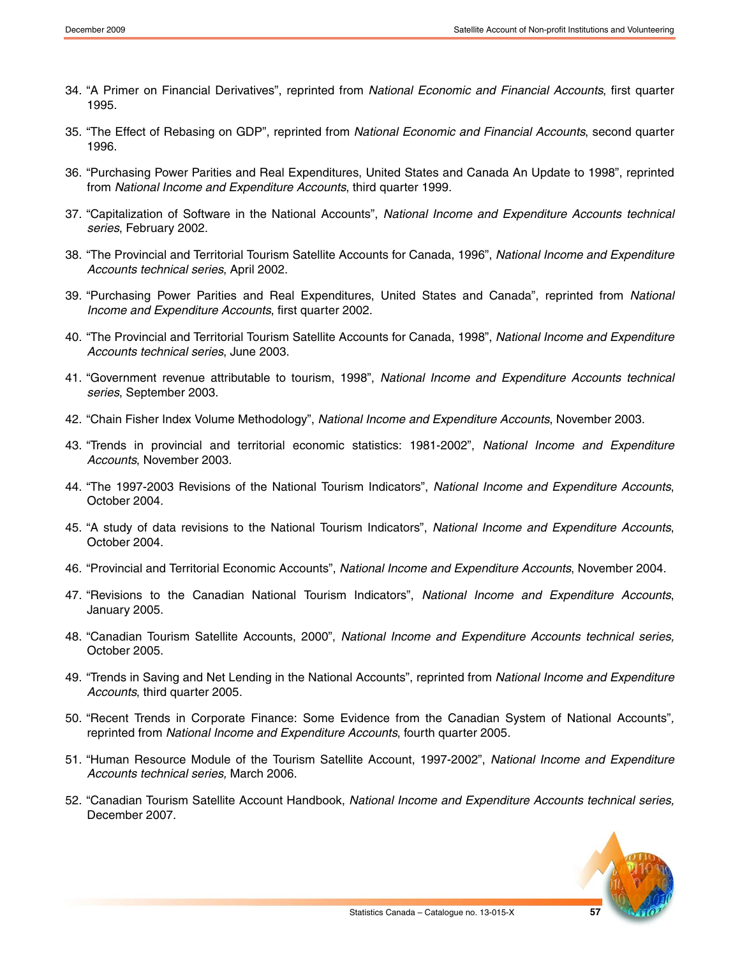- 34. "A Primer on Financial Derivatives", reprinted from *National Economic and Financial Accounts*, first quarter 1995.
- 35. "The Effect of Rebasing on GDP", reprinted from *National Economic and Financial Accounts*, second quarter 1996.
- 36. "Purchasing Power Parities and Real Expenditures, United States and Canada An Update to 1998", reprinted from *National Income and Expenditure Accounts*, third quarter 1999.
- 37. "Capitalization of Software in the National Accounts", *National Income and Expenditure Accounts technical series*, February 2002.
- 38. "The Provincial and Territorial Tourism Satellite Accounts for Canada, 1996", *National Income and Expenditure Accounts technical series*, April 2002.
- 39. "Purchasing Power Parities and Real Expenditures, United States and Canada", reprinted from *National Income and Expenditure Accounts*, first quarter 2002.
- 40. "The Provincial and Territorial Tourism Satellite Accounts for Canada, 1998", *National Income and Expenditure Accounts technical series*, June 2003.
- 41. "Government revenue attributable to tourism, 1998", *National Income and Expenditure Accounts technical series*, September 2003.
- 42. "Chain Fisher Index Volume Methodology", *National Income and Expenditure Accounts*, November 2003.
- 43. "Trends in provincial and territorial economic statistics: 1981-2002", *National Income and Expenditure Accounts*, November 2003.
- 44. "The 1997-2003 Revisions of the National Tourism Indicators", *National Income and Expenditure Accounts*, October 2004.
- 45. "A study of data revisions to the National Tourism Indicators", *National Income and Expenditure Accounts*, October 2004.
- 46. "Provincial and Territorial Economic Accounts", *National Income and Expenditure Accounts*, November 2004.
- 47. "Revisions to the Canadian National Tourism Indicators", *National Income and Expenditure Accounts*, January 2005.
- 48. "Canadian Tourism Satellite Accounts, 2000", *National Income and Expenditure Accounts technical series,* October 2005.
- 49. "Trends in Saving and Net Lending in the National Accounts", reprinted from *National Income and Expenditure Accounts*, third quarter 2005.
- 50. "Recent Trends in Corporate Finance: Some Evidence from the Canadian System of National Accounts"*,* reprinted from *National Income and Expenditure Accounts*, fourth quarter 2005.
- 51. "Human Resource Module of the Tourism Satellite Account, 1997-2002", *National Income and Expenditure Accounts technical series,* March 2006.
- 52. "Canadian Tourism Satellite Account Handbook, *National Income and Expenditure Accounts technical series,* December 2007.